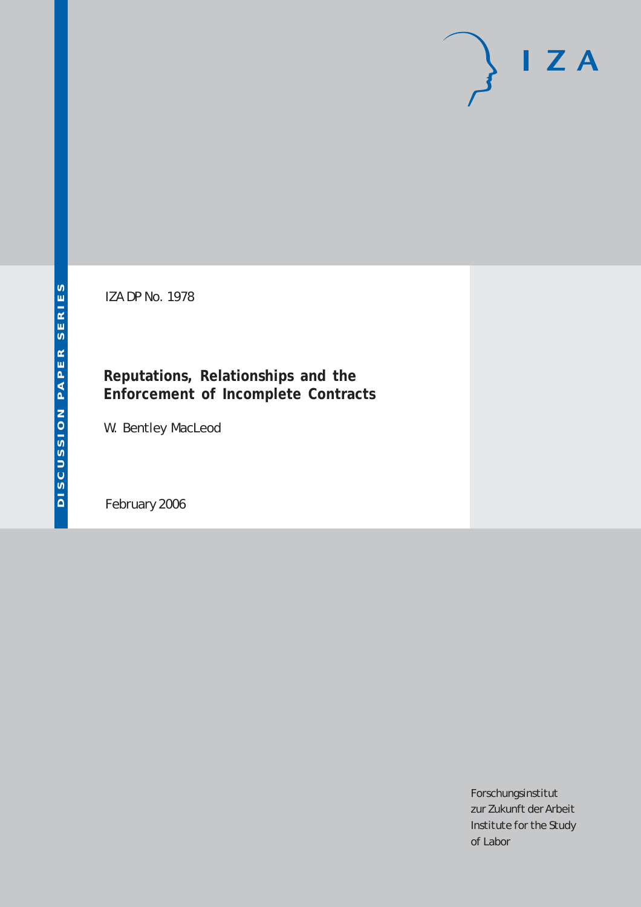# $I Z A$

IZA DP No. 1978

# **Reputations, Relationships and the Enforcement of Incomplete Contracts**

W. Bentley MacLeod

February 2006

Forschungsinstitut zur Zukunft der Arbeit Institute for the Study of Labor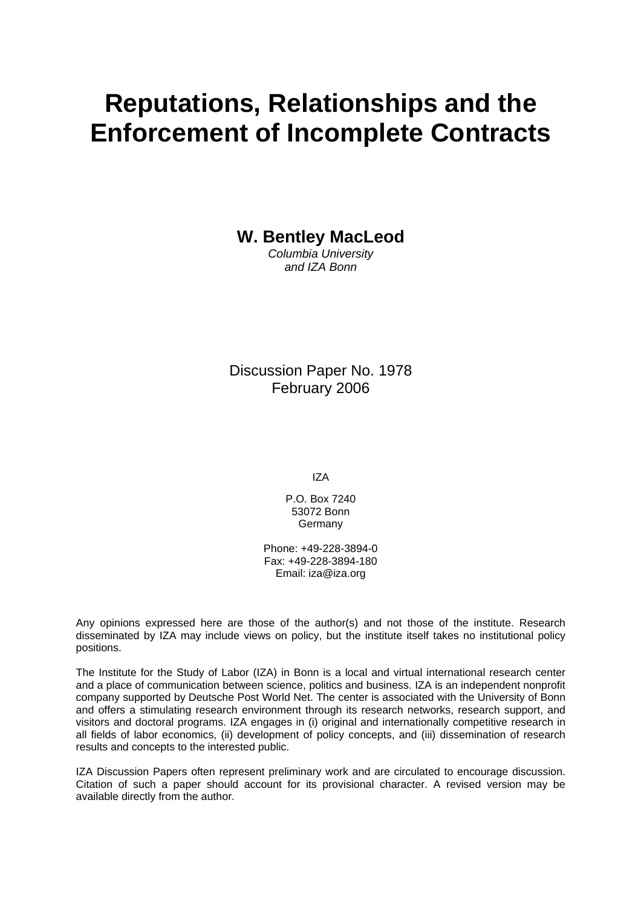# **Reputations, Relationships and the Enforcement of Incomplete Contracts**

**W. Bentley MacLeod** 

*Columbia University and IZA Bonn*

Discussion Paper No. 1978 February 2006

IZA

P.O. Box 7240 53072 Bonn **Germany** 

Phone: +49-228-3894-0 Fax: +49-228-3894-180 Email: [iza@iza.org](mailto:iza@iza.org)

Any opinions expressed here are those of the author(s) and not those of the institute. Research disseminated by IZA may include views on policy, but the institute itself takes no institutional policy positions.

The Institute for the Study of Labor (IZA) in Bonn is a local and virtual international research center and a place of communication between science, politics and business. IZA is an independent nonprofit company supported by Deutsche Post World Net. The center is associated with the University of Bonn and offers a stimulating research environment through its research networks, research support, and visitors and doctoral programs. IZA engages in (i) original and internationally competitive research in all fields of labor economics, (ii) development of policy concepts, and (iii) dissemination of research results and concepts to the interested public.

IZA Discussion Papers often represent preliminary work and are circulated to encourage discussion. Citation of such a paper should account for its provisional character. A revised version may be available directly from the author.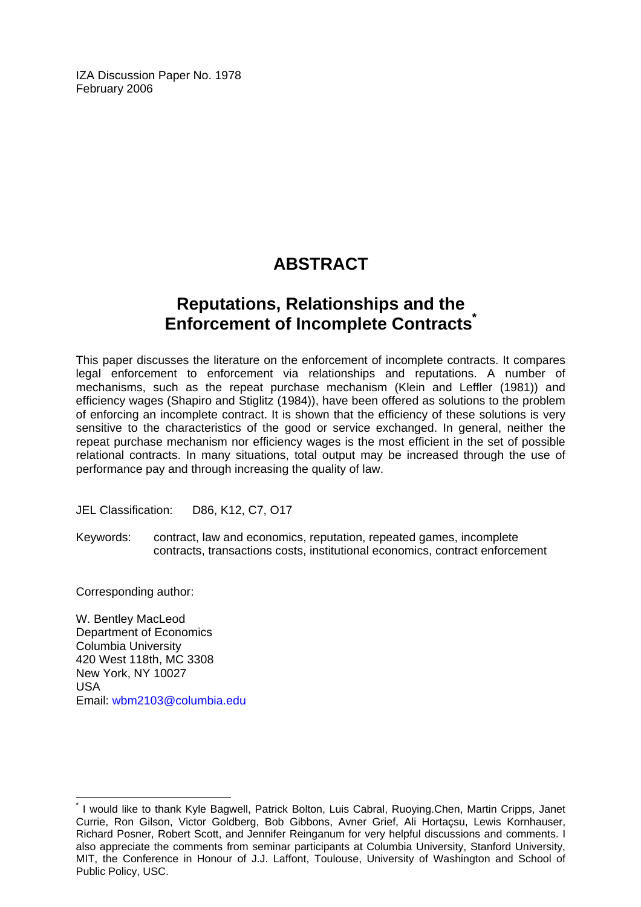IZA Discussion Paper No. 1978 February 2006

# **ABSTRACT**

## **Reputations, Relationships and the Enforcement of Incomplete Contracts[\\*](#page-2-0)**

This paper discusses the literature on the enforcement of incomplete contracts. It compares legal enforcement to enforcement via relationships and reputations. A number of mechanisms, such as the repeat purchase mechanism (Klein and Leffler (1981)) and efficiency wages (Shapiro and Stiglitz (1984)), have been offered as solutions to the problem of enforcing an incomplete contract. It is shown that the efficiency of these solutions is very sensitive to the characteristics of the good or service exchanged. In general, neither the repeat purchase mechanism nor efficiency wages is the most efficient in the set of possible relational contracts. In many situations, total output may be increased through the use of performance pay and through increasing the quality of law.

JEL Classification: D86, K12, C7, O17

Keywords: contract, law and economics, reputation, repeated games, incomplete contracts, transactions costs, institutional economics, contract enforcement

Corresponding author:

 $\overline{a}$ 

W. Bentley MacLeod Department of Economics Columbia University 420 West 118th, MC 3308 New York, NY 10027 USA Email: [wbm2103@columbia.edu](mailto:wbm2103@columbia.edu)

<span id="page-2-0"></span><sup>\*</sup> I would like to thank Kyle Bagwell, Patrick Bolton, Luis Cabral, Ruoying.Chen, Martin Cripps, Janet Currie, Ron Gilson, Victor Goldberg, Bob Gibbons, Avner Grief, Ali Hortaçsu, Lewis Kornhauser, Richard Posner, Robert Scott, and Jennifer Reinganum for very helpful discussions and comments. I also appreciate the comments from seminar participants at Columbia University, Stanford University, MIT, the Conference in Honour of J.J. Laffont, Toulouse, University of Washington and School of Public Policy, USC.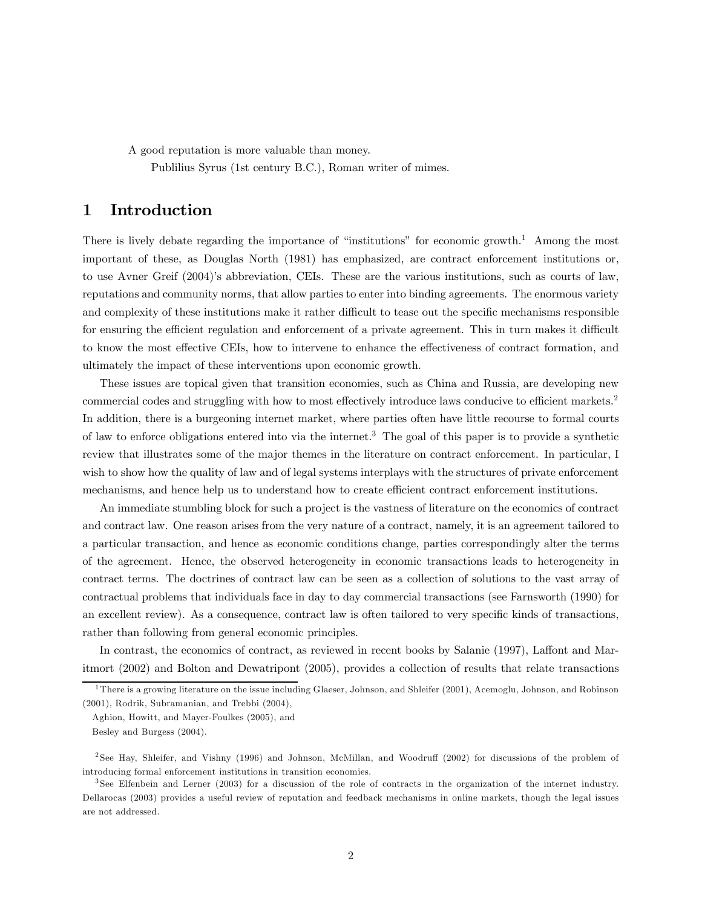A good reputation is more valuable than money.

Publilius Syrus (1st century B.C.), Roman writer of mimes.

## 1 Introduction

There is lively debate regarding the importance of "institutions" for economic growth.<sup>1</sup> Among the most important of these, as Douglas North (1981) has emphasized, are contract enforcement institutions or, to use Avner Greif (2004)'s abbreviation, CEIs. These are the various institutions, such as courts of law, reputations and community norms, that allow parties to enter into binding agreements. The enormous variety and complexity of these institutions make it rather difficult to tease out the specific mechanisms responsible for ensuring the efficient regulation and enforcement of a private agreement. This in turn makes it difficult to know the most effective CEIs, how to intervene to enhance the effectiveness of contract formation, and ultimately the impact of these interventions upon economic growth.

These issues are topical given that transition economies, such as China and Russia, are developing new commercial codes and struggling with how to most effectively introduce laws conducive to efficient markets.<sup>2</sup> In addition, there is a burgeoning internet market, where parties often have little recourse to formal courts of law to enforce obligations entered into via the internet.3 The goal of this paper is to provide a synthetic review that illustrates some of the major themes in the literature on contract enforcement. In particular, I wish to show how the quality of law and of legal systems interplays with the structures of private enforcement mechanisms, and hence help us to understand how to create efficient contract enforcement institutions.

An immediate stumbling block for such a project is the vastness of literature on the economics of contract and contract law. One reason arises from the very nature of a contract, namely, it is an agreement tailored to a particular transaction, and hence as economic conditions change, parties correspondingly alter the terms of the agreement. Hence, the observed heterogeneity in economic transactions leads to heterogeneity in contract terms. The doctrines of contract law can be seen as a collection of solutions to the vast array of contractual problems that individuals face in day to day commercial transactions (see Farnsworth (1990) for an excellent review). As a consequence, contract law is often tailored to very specific kinds of transactions, rather than following from general economic principles.

In contrast, the economics of contract, as reviewed in recent books by Salanie (1997), Laffont and Maritmort (2002) and Bolton and Dewatripont (2005), provides a collection of results that relate transactions

<sup>1</sup>There is a growing literature on the issue including Glaeser, Johnson, and Shleifer (2001), Acemoglu, Johnson, and Robinson (2001), Rodrik, Subramanian, and Trebbi (2004),

Aghion, Howitt, and Mayer-Foulkes (2005), and

Besley and Burgess (2004).

<sup>2</sup> See Hay, Shleifer, and Vishny (1996) and Johnson, McMillan, and Woodruff (2002) for discussions of the problem of introducing formal enforcement institutions in transition economies.

<sup>&</sup>lt;sup>3</sup> See Elfenbein and Lerner (2003) for a discussion of the role of contracts in the organization of the internet industry. Dellarocas (2003) provides a useful review of reputation and feedback mechanisms in online markets, though the legal issues are not addressed.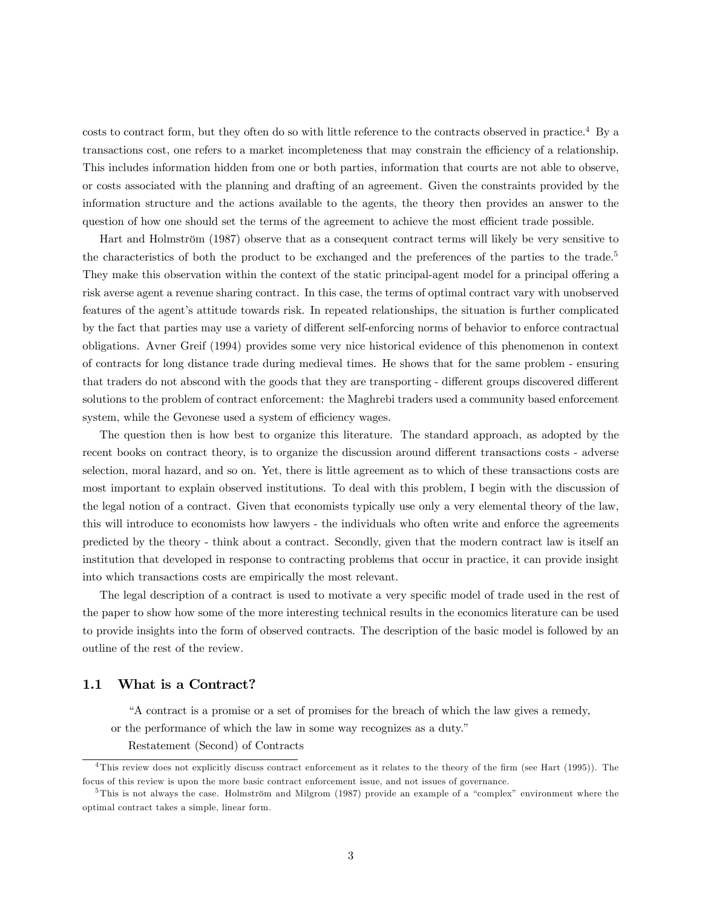costs to contract form, but they often do so with little reference to the contracts observed in practice.4 By a transactions cost, one refers to a market incompleteness that may constrain the efficiency of a relationship. This includes information hidden from one or both parties, information that courts are not able to observe, or costs associated with the planning and drafting of an agreement. Given the constraints provided by the information structure and the actions available to the agents, the theory then provides an answer to the question of how one should set the terms of the agreement to achieve the most efficient trade possible.

Hart and Holmström (1987) observe that as a consequent contract terms will likely be very sensitive to the characteristics of both the product to be exchanged and the preferences of the parties to the trade.<sup>5</sup> They make this observation within the context of the static principal-agent model for a principal offering a risk averse agent a revenue sharing contract. In this case, the terms of optimal contract vary with unobserved features of the agent's attitude towards risk. In repeated relationships, the situation is further complicated by the fact that parties may use a variety of different self-enforcing norms of behavior to enforce contractual obligations. Avner Greif (1994) provides some very nice historical evidence of this phenomenon in context of contracts for long distance trade during medieval times. He shows that for the same problem - ensuring that traders do not abscond with the goods that they are transporting - different groups discovered different solutions to the problem of contract enforcement: the Maghrebi traders used a community based enforcement system, while the Gevonese used a system of efficiency wages.

The question then is how best to organize this literature. The standard approach, as adopted by the recent books on contract theory, is to organize the discussion around different transactions costs - adverse selection, moral hazard, and so on. Yet, there is little agreement as to which of these transactions costs are most important to explain observed institutions. To deal with this problem, I begin with the discussion of the legal notion of a contract. Given that economists typically use only a very elemental theory of the law, this will introduce to economists how lawyers - the individuals who often write and enforce the agreements predicted by the theory - think about a contract. Secondly, given that the modern contract law is itself an institution that developed in response to contracting problems that occur in practice, it can provide insight into which transactions costs are empirically the most relevant.

The legal description of a contract is used to motivate a very specific model of trade used in the rest of the paper to show how some of the more interesting technical results in the economics literature can be used to provide insights into the form of observed contracts. The description of the basic model is followed by an outline of the rest of the review.

#### 1.1 What is a Contract?

"A contract is a promise or a set of promises for the breach of which the law gives a remedy,

or the performance of which the law in some way recognizes as a duty."

Restatement (Second) of Contracts

<sup>4</sup>This review does not explicitly discuss contract enforcement as it relates to the theory of the firm (see Hart (1995)). The focus of this review is upon the more basic contract enforcement issue, and not issues of governance.

<sup>&</sup>lt;sup>5</sup>This is not always the case. Holmström and Milgrom (1987) provide an example of a "complex" environment where the optimal contract takes a simple, linear form.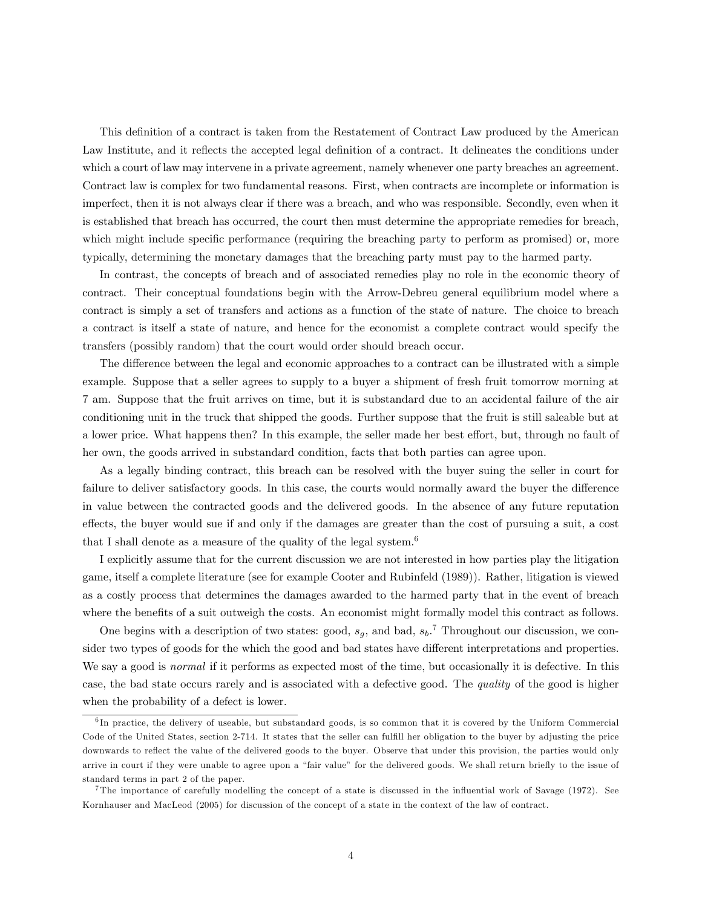This definition of a contract is taken from the Restatement of Contract Law produced by the American Law Institute, and it reflects the accepted legal definition of a contract. It delineates the conditions under which a court of law may intervene in a private agreement, namely whenever one party breaches an agreement. Contract law is complex for two fundamental reasons. First, when contracts are incomplete or information is imperfect, then it is not always clear if there was a breach, and who was responsible. Secondly, even when it is established that breach has occurred, the court then must determine the appropriate remedies for breach, which might include specific performance (requiring the breaching party to perform as promised) or, more typically, determining the monetary damages that the breaching party must pay to the harmed party.

In contrast, the concepts of breach and of associated remedies play no role in the economic theory of contract. Their conceptual foundations begin with the Arrow-Debreu general equilibrium model where a contract is simply a set of transfers and actions as a function of the state of nature. The choice to breach a contract is itself a state of nature, and hence for the economist a complete contract would specify the transfers (possibly random) that the court would order should breach occur.

The difference between the legal and economic approaches to a contract can be illustrated with a simple example. Suppose that a seller agrees to supply to a buyer a shipment of fresh fruit tomorrow morning at 7 am. Suppose that the fruit arrives on time, but it is substandard due to an accidental failure of the air conditioning unit in the truck that shipped the goods. Further suppose that the fruit is still saleable but at a lower price. What happens then? In this example, the seller made her best effort, but, through no fault of her own, the goods arrived in substandard condition, facts that both parties can agree upon.

As a legally binding contract, this breach can be resolved with the buyer suing the seller in court for failure to deliver satisfactory goods. In this case, the courts would normally award the buyer the difference in value between the contracted goods and the delivered goods. In the absence of any future reputation effects, the buyer would sue if and only if the damages are greater than the cost of pursuing a suit, a cost that I shall denote as a measure of the quality of the legal system.<sup>6</sup>

I explicitly assume that for the current discussion we are not interested in how parties play the litigation game, itself a complete literature (see for example Cooter and Rubinfeld (1989)). Rather, litigation is viewed as a costly process that determines the damages awarded to the harmed party that in the event of breach where the benefits of a suit outweigh the costs. An economist might formally model this contract as follows.

One begins with a description of two states: good,  $s_g$ , and bad,  $s_b$ .<sup>7</sup> Throughout our discussion, we consider two types of goods for the which the good and bad states have different interpretations and properties. We say a good is *normal* if it performs as expected most of the time, but occasionally it is defective. In this case, the bad state occurs rarely and is associated with a defective good. The quality of the good is higher when the probability of a defect is lower.

 $6$ In practice, the delivery of useable, but substandard goods, is so common that it is covered by the Uniform Commercial Code of the United States, section 2-714. It states that the seller can fulfill her obligation to the buyer by adjusting the price downwards to reflect the value of the delivered goods to the buyer. Observe that under this provision, the parties would only arrive in court if they were unable to agree upon a "fair value" for the delivered goods. We shall return briefly to the issue of standard terms in part 2 of the paper.

<sup>7</sup>The importance of carefully modelling the concept of a state is discussed in the influential work of Savage (1972). See Kornhauser and MacLeod (2005) for discussion of the concept of a state in the context of the law of contract.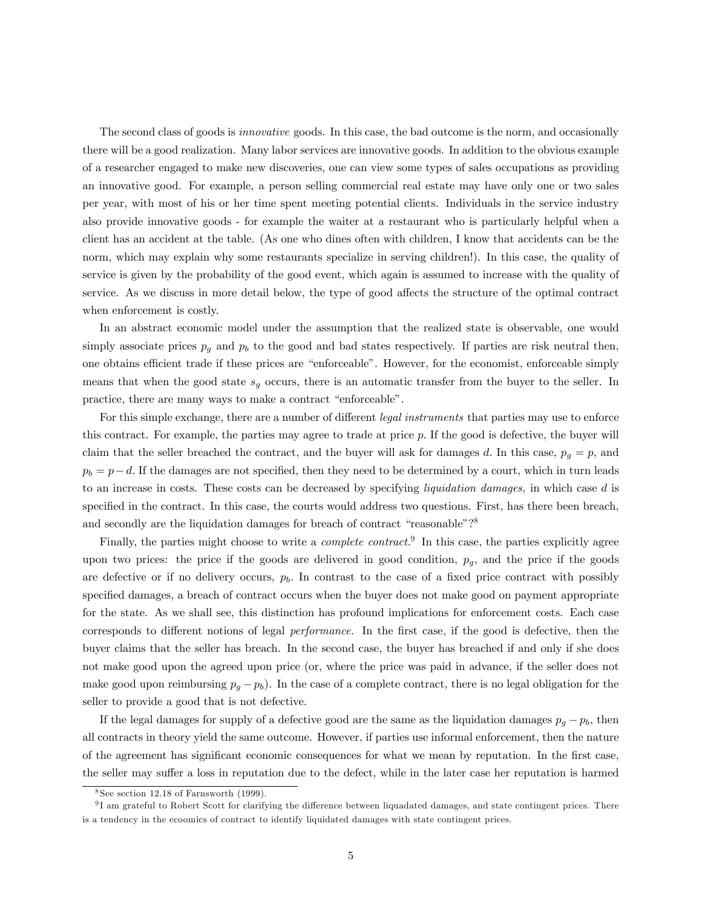The second class of goods is innovative goods. In this case, the bad outcome is the norm, and occasionally there will be a good realization. Many labor services are innovative goods. In addition to the obvious example of a researcher engaged to make new discoveries, one can view some types of sales occupations as providing an innovative good. For example, a person selling commercial real estate may have only one or two sales per year, with most of his or her time spent meeting potential clients. Individuals in the service industry also provide innovative goods - for example the waiter at a restaurant who is particularly helpful when a client has an accident at the table. (As one who dines often with children, I know that accidents can be the norm, which may explain why some restaurants specialize in serving children!). In this case, the quality of service is given by the probability of the good event, which again is assumed to increase with the quality of service. As we discuss in more detail below, the type of good affects the structure of the optimal contract when enforcement is costly.

In an abstract economic model under the assumption that the realized state is observable, one would simply associate prices  $p_g$  and  $p_b$  to the good and bad states respectively. If parties are risk neutral then, one obtains efficient trade if these prices are "enforceable". However, for the economist, enforceable simply means that when the good state  $s<sub>g</sub>$  occurs, there is an automatic transfer from the buyer to the seller. In practice, there are many ways to make a contract "enforceable".

For this simple exchange, there are a number of different *legal instruments* that parties may use to enforce this contract. For example, the parties may agree to trade at price  $p$ . If the good is defective, the buyer will claim that the seller breached the contract, and the buyer will ask for damages d. In this case,  $p_q = p$ , and  $p_b = p - d$ . If the damages are not specified, then they need to be determined by a court, which in turn leads to an increase in costs. These costs can be decreased by specifying liquidation damages, in which case d is specified in the contract. In this case, the courts would address two questions. First, has there been breach, and secondly are the liquidation damages for breach of contract "reasonable"?<sup>8</sup>

Finally, the parties might choose to write a *complete contract*.<sup>9</sup> In this case, the parties explicitly agree upon two prices: the price if the goods are delivered in good condition,  $p_g$ , and the price if the goods are defective or if no delivery occurs,  $p<sub>b</sub>$ . In contrast to the case of a fixed price contract with possibly specified damages, a breach of contract occurs when the buyer does not make good on payment appropriate for the state. As we shall see, this distinction has profound implications for enforcement costs. Each case corresponds to different notions of legal performance. In the first case, if the good is defective, then the buyer claims that the seller has breach. In the second case, the buyer has breached if and only if she does not make good upon the agreed upon price (or, where the price was paid in advance, if the seller does not make good upon reimbursing  $p_g - p_b$ ). In the case of a complete contract, there is no legal obligation for the seller to provide a good that is not defective.

If the legal damages for supply of a defective good are the same as the liquidation damages  $p_q - p_b$ , then all contracts in theory yield the same outcome. However, if parties use informal enforcement, then the nature of the agreement has significant economic consequences for what we mean by reputation. In the first case, the seller may suffer a loss in reputation due to the defect, while in the later case her reputation is harmed

<sup>8</sup> See section 12.18 of Farnsworth (1999).

<sup>9</sup> I am grateful to Robert Scott for clarifying the difference between liquadated damages, and state contingent prices. There is a tendency in the ecoomics of contract to identify liquidated damages with state contingent prices.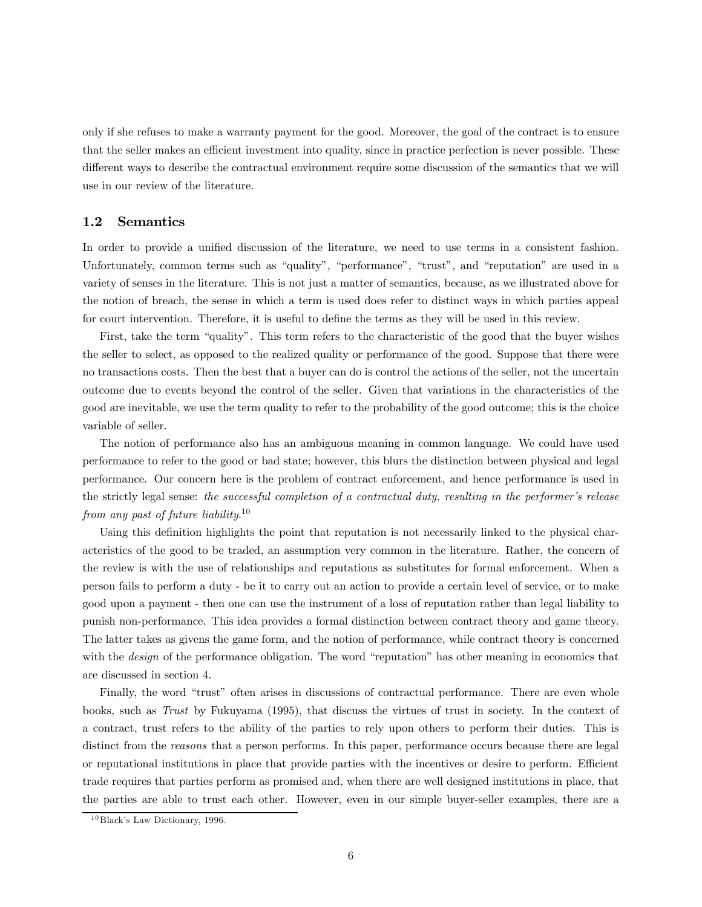only if she refuses to make a warranty payment for the good. Moreover, the goal of the contract is to ensure that the seller makes an efficient investment into quality, since in practice perfection is never possible. These different ways to describe the contractual environment require some discussion of the semantics that we will use in our review of the literature.

#### 1.2 Semantics

In order to provide a unified discussion of the literature, we need to use terms in a consistent fashion. Unfortunately, common terms such as "quality", "performance", "trust", and "reputation" are used in a variety of senses in the literature. This is not just a matter of semantics, because, as we illustrated above for the notion of breach, the sense in which a term is used does refer to distinct ways in which parties appeal for court intervention. Therefore, it is useful to define the terms as they will be used in this review.

First, take the term "quality". This term refers to the characteristic of the good that the buyer wishes the seller to select, as opposed to the realized quality or performance of the good. Suppose that there were no transactions costs. Then the best that a buyer can do is control the actions of the seller, not the uncertain outcome due to events beyond the control of the seller. Given that variations in the characteristics of the good are inevitable, we use the term quality to refer to the probability of the good outcome; this is the choice variable of seller.

The notion of performance also has an ambiguous meaning in common language. We could have used performance to refer to the good or bad state; however, this blurs the distinction between physical and legal performance. Our concern here is the problem of contract enforcement, and hence performance is used in the strictly legal sense: the successful completion of a contractual duty, resulting in the performer's release from any past of future liability.<sup>10</sup>

Using this definition highlights the point that reputation is not necessarily linked to the physical characteristics of the good to be traded, an assumption very common in the literature. Rather, the concern of the review is with the use of relationships and reputations as substitutes for formal enforcement. When a person fails to perform a duty - be it to carry out an action to provide a certain level of service, or to make good upon a payment - then one can use the instrument of a loss of reputation rather than legal liability to punish non-performance. This idea provides a formal distinction between contract theory and game theory. The latter takes as givens the game form, and the notion of performance, while contract theory is concerned with the *design* of the performance obligation. The word "reputation" has other meaning in economics that are discussed in section 4.

Finally, the word "trust" often arises in discussions of contractual performance. There are even whole books, such as Trust by Fukuyama (1995), that discuss the virtues of trust in society. In the context of a contract, trust refers to the ability of the parties to rely upon others to perform their duties. This is distinct from the *reasons* that a person performs. In this paper, performance occurs because there are legal or reputational institutions in place that provide parties with the incentives or desire to perform. Efficient trade requires that parties perform as promised and, when there are well designed institutions in place, that the parties are able to trust each other. However, even in our simple buyer-seller examples, there are a

 $10$  Black's Law Dictionary, 1996.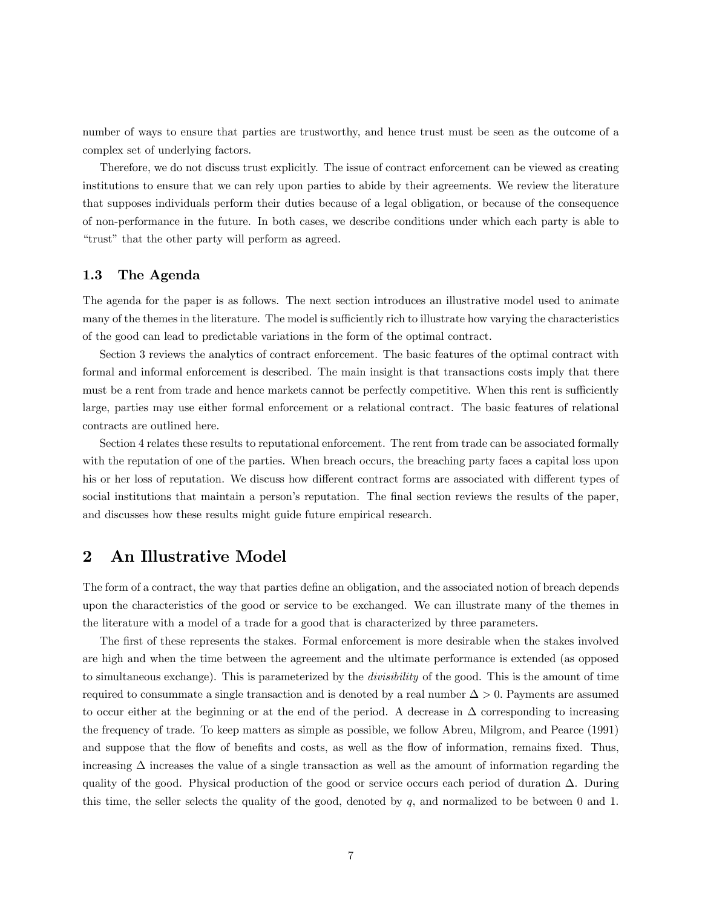number of ways to ensure that parties are trustworthy, and hence trust must be seen as the outcome of a complex set of underlying factors.

Therefore, we do not discuss trust explicitly. The issue of contract enforcement can be viewed as creating institutions to ensure that we can rely upon parties to abide by their agreements. We review the literature that supposes individuals perform their duties because of a legal obligation, or because of the consequence of non-performance in the future. In both cases, we describe conditions under which each party is able to "trust" that the other party will perform as agreed.

#### 1.3 The Agenda

The agenda for the paper is as follows. The next section introduces an illustrative model used to animate many of the themes in the literature. The model is sufficiently rich to illustrate how varying the characteristics of the good can lead to predictable variations in the form of the optimal contract.

Section 3 reviews the analytics of contract enforcement. The basic features of the optimal contract with formal and informal enforcement is described. The main insight is that transactions costs imply that there must be a rent from trade and hence markets cannot be perfectly competitive. When this rent is sufficiently large, parties may use either formal enforcement or a relational contract. The basic features of relational contracts are outlined here.

Section 4 relates these results to reputational enforcement. The rent from trade can be associated formally with the reputation of one of the parties. When breach occurs, the breaching party faces a capital loss upon his or her loss of reputation. We discuss how different contract forms are associated with different types of social institutions that maintain a person's reputation. The final section reviews the results of the paper, and discusses how these results might guide future empirical research.

## 2 An Illustrative Model

The form of a contract, the way that parties define an obligation, and the associated notion of breach depends upon the characteristics of the good or service to be exchanged. We can illustrate many of the themes in the literature with a model of a trade for a good that is characterized by three parameters.

The first of these represents the stakes. Formal enforcement is more desirable when the stakes involved are high and when the time between the agreement and the ultimate performance is extended (as opposed to simultaneous exchange). This is parameterized by the divisibility of the good. This is the amount of time required to consummate a single transaction and is denoted by a real number  $\Delta > 0$ . Payments are assumed to occur either at the beginning or at the end of the period. A decrease in  $\Delta$  corresponding to increasing the frequency of trade. To keep matters as simple as possible, we follow Abreu, Milgrom, and Pearce (1991) and suppose that the flow of benefits and costs, as well as the flow of information, remains fixed. Thus, increasing ∆ increases the value of a single transaction as well as the amount of information regarding the quality of the good. Physical production of the good or service occurs each period of duration  $\Delta$ . During this time, the seller selects the quality of the good, denoted by  $q$ , and normalized to be between 0 and 1.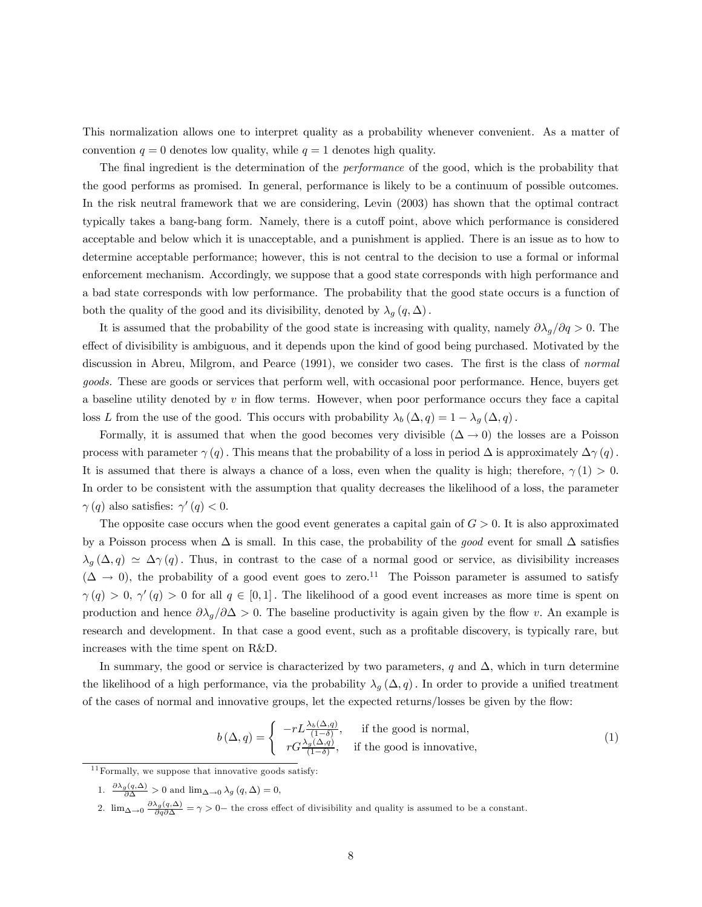This normalization allows one to interpret quality as a probability whenever convenient. As a matter of convention  $q = 0$  denotes low quality, while  $q = 1$  denotes high quality.

The final ingredient is the determination of the performance of the good, which is the probability that the good performs as promised. In general, performance is likely to be a continuum of possible outcomes. In the risk neutral framework that we are considering, Levin (2003) has shown that the optimal contract typically takes a bang-bang form. Namely, there is a cutoff point, above which performance is considered acceptable and below which it is unacceptable, and a punishment is applied. There is an issue as to how to determine acceptable performance; however, this is not central to the decision to use a formal or informal enforcement mechanism. Accordingly, we suppose that a good state corresponds with high performance and a bad state corresponds with low performance. The probability that the good state occurs is a function of both the quality of the good and its divisibility, denoted by  $\lambda_g(q,\Delta)$ .

It is assumed that the probability of the good state is increasing with quality, namely  $\partial \lambda_q/\partial q > 0$ . The effect of divisibility is ambiguous, and it depends upon the kind of good being purchased. Motivated by the discussion in Abreu, Milgrom, and Pearce (1991), we consider two cases. The first is the class of normal goods. These are goods or services that perform well, with occasional poor performance. Hence, buyers get a baseline utility denoted by  $v$  in flow terms. However, when poor performance occurs they face a capital loss L from the use of the good. This occurs with probability  $\lambda_b (\Delta, q) = 1 - \lambda_q (\Delta, q)$ .

Formally, it is assumed that when the good becomes very divisible  $(\Delta \to 0)$  the losses are a Poisson process with parameter  $\gamma(q)$ . This means that the probability of a loss in period  $\Delta$  is approximately  $\Delta\gamma(q)$ . It is assumed that there is always a chance of a loss, even when the quality is high; therefore,  $\gamma(1) > 0$ . In order to be consistent with the assumption that quality decreases the likelihood of a loss, the parameter  $\gamma(q)$  also satisfies:  $\gamma'(q) < 0$ .

The opposite case occurs when the good event generates a capital gain of  $G > 0$ . It is also approximated by a Poisson process when  $\Delta$  is small. In this case, the probability of the good event for small  $\Delta$  satisfies  $\lambda_g(\Delta, q) \simeq \Delta \gamma(q)$ . Thus, in contrast to the case of a normal good or service, as divisibility increases  $(\Delta \rightarrow 0)$ , the probability of a good event goes to zero.<sup>11</sup> The Poisson parameter is assumed to satisfy  $\gamma(q) > 0$ ,  $\gamma'(q) > 0$  for all  $q \in [0,1]$ . The likelihood of a good event increases as more time is spent on production and hence  $\partial \lambda_q/\partial \Delta > 0$ . The baseline productivity is again given by the flow v. An example is research and development. In that case a good event, such as a profitable discovery, is typically rare, but increases with the time spent on R&D.

In summary, the good or service is characterized by two parameters, q and  $\Delta$ , which in turn determine the likelihood of a high performance, via the probability  $\lambda_q(\Delta, q)$ . In order to provide a unified treatment of the cases of normal and innovative groups, let the expected returns/losses be given by the flow:

$$
b\left(\Delta, q\right) = \begin{cases} -rL\frac{\lambda_b\left(\Delta, q\right)}{(1-\delta)}, & \text{if the good is normal,} \\ rG\frac{\lambda_g\left(\Delta, q\right)}{(1-\delta)}, & \text{if the good is innovative,} \end{cases}
$$
 (1)

 $^{11}$  Formally, we suppose that innovative goods satisfy:

<sup>1.</sup>  $\frac{\partial \lambda_g(q,\Delta)}{\partial \Delta} > 0$  and  $\lim_{\Delta \to 0} \lambda_g(q,\Delta) = 0$ ,

<sup>2.</sup>  $\lim_{\Delta \to 0} \frac{\partial \lambda_g(q,\Delta)}{\partial q \partial \Delta} = \gamma > 0$  the cross effect of divisibility and quality is assumed to be a constant.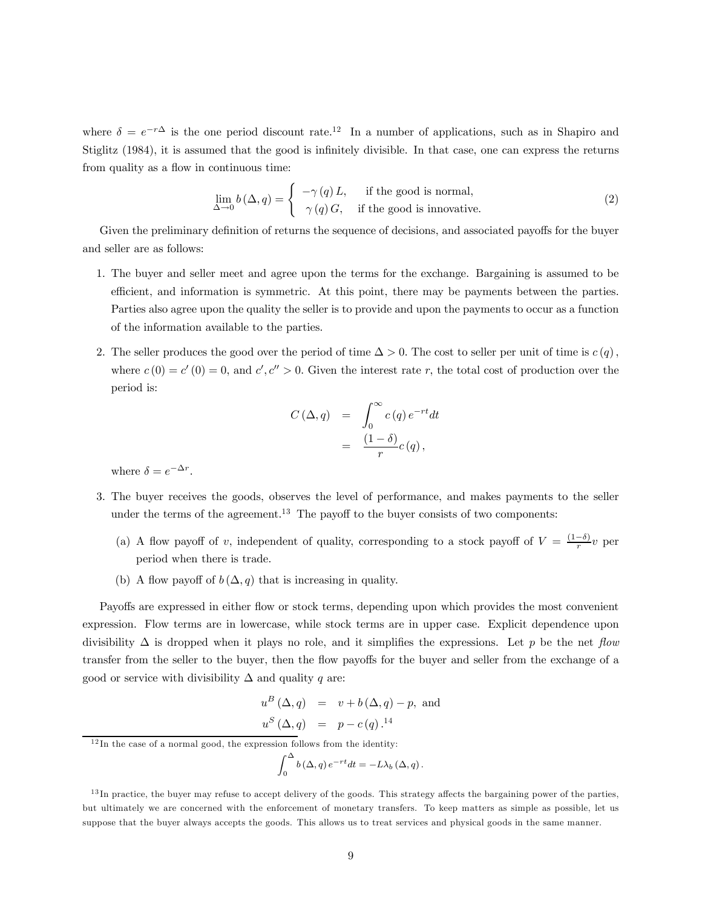where  $\delta = e^{-r\Delta}$  is the one period discount rate.<sup>12</sup> In a number of applications, such as in Shapiro and Stiglitz (1984), it is assumed that the good is infinitely divisible. In that case, one can express the returns from quality as a flow in continuous time:

$$
\lim_{\Delta \to 0} b(\Delta, q) = \begin{cases}\n-\gamma(q) L, & \text{if the good is normal,} \\
\gamma(q) G, & \text{if the good is innovative.} \n\end{cases}
$$
\n(2)

Given the preliminary definition of returns the sequence of decisions, and associated payoffs for the buyer and seller are as follows:

- 1. The buyer and seller meet and agree upon the terms for the exchange. Bargaining is assumed to be efficient, and information is symmetric. At this point, there may be payments between the parties. Parties also agree upon the quality the seller is to provide and upon the payments to occur as a function of the information available to the parties.
- 2. The seller produces the good over the period of time  $\Delta > 0$ . The cost to seller per unit of time is  $c(q)$ , where  $c(0) = c'(0) = 0$ , and  $c', c'' > 0$ . Given the interest rate r, the total cost of production over the period is:

$$
C(\Delta, q) = \int_0^\infty c(q) e^{-rt} dt
$$
  
= 
$$
\frac{(1-\delta)}{r} c(q),
$$

where  $\delta = e^{-\Delta r}$ .

- 3. The buyer receives the goods, observes the level of performance, and makes payments to the seller under the terms of the agreement.<sup>13</sup> The payoff to the buyer consists of two components:
	- (a) A flow payoff of v, independent of quality, corresponding to a stock payoff of  $V = \frac{(1-\delta)}{r}v$  per period when there is trade.
	- (b) A flow payoff of  $b(\Delta, q)$  that is increasing in quality.

Payoffs are expressed in either flow or stock terms, depending upon which provides the most convenient expression. Flow terms are in lowercase, while stock terms are in upper case. Explicit dependence upon divisibility  $\Delta$  is dropped when it plays no role, and it simplifies the expressions. Let p be the net flow transfer from the seller to the buyer, then the flow payoffs for the buyer and seller from the exchange of a good or service with divisibility  $\Delta$  and quality q are:

$$
u^{B} (\Delta, q) = v + b (\Delta, q) - p, \text{ and}
$$
  

$$
u^{S} (\Delta, q) = p - c(q).^{14}
$$

$$
\int_0^{\Delta} b(\Delta, q) e^{-rt} dt = -L\lambda_b(\Delta, q).
$$

 $12$ In the case of a normal good, the expression follows from the identity:

 $13$ In practice, the buyer may refuse to accept delivery of the goods. This strategy affects the bargaining power of the parties, but ultimately we are concerned with the enforcement of monetary transfers. To keep matters as simple as possible, let us suppose that the buyer always accepts the goods. This allows us to treat services and physical goods in the same manner.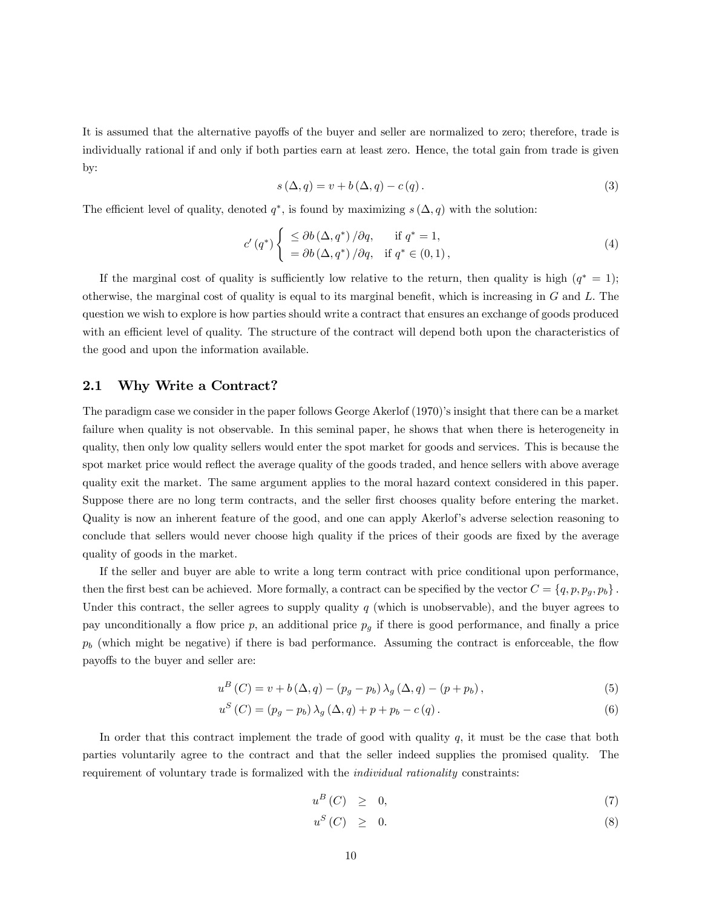It is assumed that the alternative payoffs of the buyer and seller are normalized to zero; therefore, trade is individually rational if and only if both parties earn at least zero. Hence, the total gain from trade is given by:

$$
s(\Delta, q) = v + b(\Delta, q) - c(q). \tag{3}
$$

The efficient level of quality, denoted  $q^*$ , is found by maximizing  $s(\Delta, q)$  with the solution:

$$
c'(q^*) \begin{cases} \leq \partial b(\Delta, q^*) / \partial q, & \text{if } q^* = 1, \\ = \partial b(\Delta, q^*) / \partial q, & \text{if } q^* \in (0, 1), \end{cases}
$$
 (4)

If the marginal cost of quality is sufficiently low relative to the return, then quality is high  $(q^* = 1)$ ; otherwise, the marginal cost of quality is equal to its marginal benefit, which is increasing in  $G$  and  $L$ . The question we wish to explore is how parties should write a contract that ensures an exchange of goods produced with an efficient level of quality. The structure of the contract will depend both upon the characteristics of the good and upon the information available.

#### 2.1 Why Write a Contract?

The paradigm case we consider in the paper follows George Akerlof (1970)'s insight that there can be a market failure when quality is not observable. In this seminal paper, he shows that when there is heterogeneity in quality, then only low quality sellers would enter the spot market for goods and services. This is because the spot market price would reflect the average quality of the goods traded, and hence sellers with above average quality exit the market. The same argument applies to the moral hazard context considered in this paper. Suppose there are no long term contracts, and the seller first chooses quality before entering the market. Quality is now an inherent feature of the good, and one can apply Akerlof's adverse selection reasoning to conclude that sellers would never choose high quality if the prices of their goods are fixed by the average quality of goods in the market.

If the seller and buyer are able to write a long term contract with price conditional upon performance, then the first best can be achieved. More formally, a contract can be specified by the vector  $C = \{q, p, p_g, p_b\}$ . Under this contract, the seller agrees to supply quality  $q$  (which is unobservable), and the buyer agrees to pay unconditionally a flow price p, an additional price  $p<sub>g</sub>$  if there is good performance, and finally a price  $p_b$  (which might be negative) if there is bad performance. Assuming the contract is enforceable, the flow payoffs to the buyer and seller are:

$$
u^{B}(C) = v + b(\Delta, q) - (p_g - p_b) \lambda_g(\Delta, q) - (p + p_b),
$$
\n(5)

$$
u^{S}(C) = (p_g - p_b) \lambda_g (\Delta, q) + p + p_b - c(q).
$$
 (6)

In order that this contract implement the trade of good with quality  $q$ , it must be the case that both parties voluntarily agree to the contract and that the seller indeed supplies the promised quality. The requirement of voluntary trade is formalized with the individual rationality constraints:

$$
u^B(C) \geq 0,\t\t(7)
$$

$$
u^S(C) \geq 0. \tag{8}
$$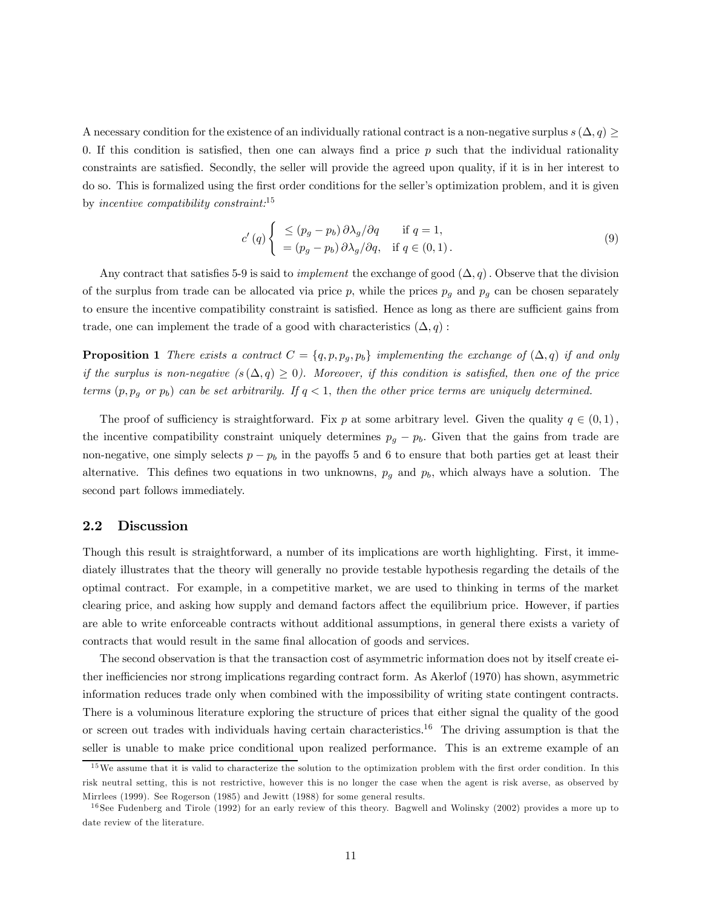A necessary condition for the existence of an individually rational contract is a non-negative surplus  $s(\Delta, q) \geq$ 0. If this condition is satisfied, then one can always find a price  $p$  such that the individual rationality constraints are satisfied. Secondly, the seller will provide the agreed upon quality, if it is in her interest to do so. This is formalized using the first order conditions for the seller's optimization problem, and it is given by incentive compatibility constraint:<sup>15</sup>

$$
c'(q) \begin{cases} \leq (p_g - p_b) \, \partial \lambda_g / \partial q & \text{if } q = 1, \\ = (p_g - p_b) \, \partial \lambda_g / \partial q, & \text{if } q \in (0, 1). \end{cases} \tag{9}
$$

Any contract that satisfies 5-9 is said to *implement* the exchange of good  $(\Delta, q)$ . Observe that the division of the surplus from trade can be allocated via price p, while the prices  $p_g$  and  $p_g$  can be chosen separately to ensure the incentive compatibility constraint is satisfied. Hence as long as there are sufficient gains from trade, one can implement the trade of a good with characteristics  $(\Delta, q)$ :

**Proposition 1** There exists a contract  $C = \{q, p, p_q, p_b\}$  implementing the exchange of  $(\Delta, q)$  if and only if the surplus is non-negative  $(s(\Delta, q) \geq 0)$ . Moreover, if this condition is satisfied, then one of the price terms  $(p, p_q \text{ or } p_b)$  can be set arbitrarily. If  $q < 1$ , then the other price terms are uniquely determined.

The proof of sufficiency is straightforward. Fix p at some arbitrary level. Given the quality  $q \in (0,1)$ , the incentive compatibility constraint uniquely determines  $p_g - p_b$ . Given that the gains from trade are non-negative, one simply selects  $p - p_b$  in the payoffs 5 and 6 to ensure that both parties get at least their alternative. This defines two equations in two unknowns,  $p<sub>g</sub>$  and  $p<sub>b</sub>$ , which always have a solution. The second part follows immediately.

#### 2.2 Discussion

Though this result is straightforward, a number of its implications are worth highlighting. First, it immediately illustrates that the theory will generally no provide testable hypothesis regarding the details of the optimal contract. For example, in a competitive market, we are used to thinking in terms of the market clearing price, and asking how supply and demand factors affect the equilibrium price. However, if parties are able to write enforceable contracts without additional assumptions, in general there exists a variety of contracts that would result in the same final allocation of goods and services.

The second observation is that the transaction cost of asymmetric information does not by itself create either inefficiencies nor strong implications regarding contract form. As Akerlof (1970) has shown, asymmetric information reduces trade only when combined with the impossibility of writing state contingent contracts. There is a voluminous literature exploring the structure of prices that either signal the quality of the good or screen out trades with individuals having certain characteristics.16 The driving assumption is that the seller is unable to make price conditional upon realized performance. This is an extreme example of an

<sup>&</sup>lt;sup>15</sup>We assume that it is valid to characterize the solution to the optimization problem with the first order condition. In this risk neutral setting, this is not restrictive, however this is no longer the case when the agent is risk averse, as observed by Mirrlees (1999). See Rogerson (1985) and Jewitt (1988) for some general results.

<sup>&</sup>lt;sup>16</sup> See Fudenberg and Tirole (1992) for an early review of this theory. Bagwell and Wolinsky (2002) provides a more up to date review of the literature.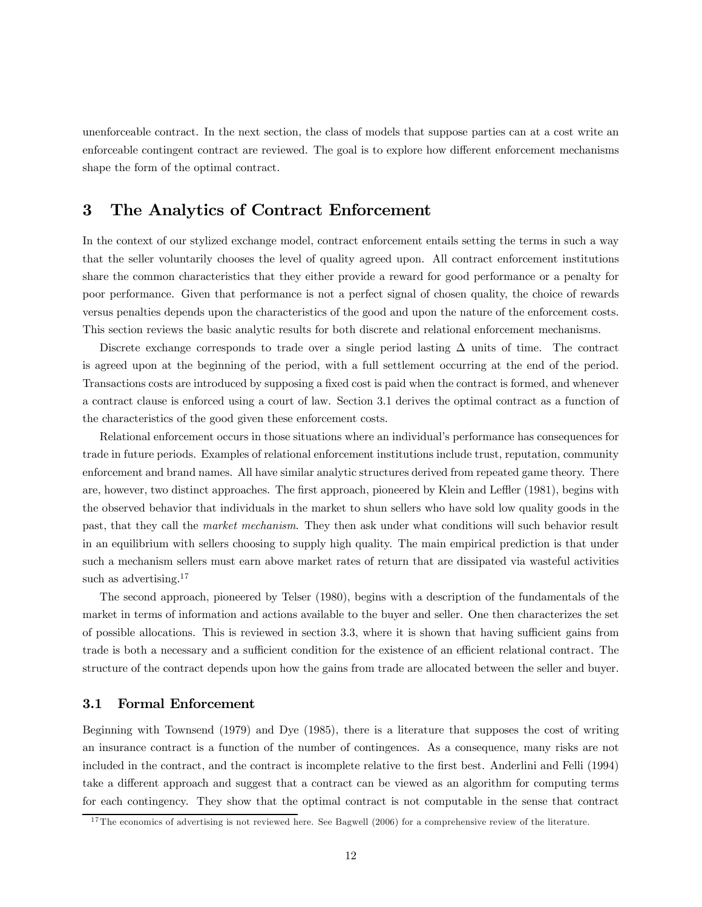unenforceable contract. In the next section, the class of models that suppose parties can at a cost write an enforceable contingent contract are reviewed. The goal is to explore how different enforcement mechanisms shape the form of the optimal contract.

## 3 The Analytics of Contract Enforcement

In the context of our stylized exchange model, contract enforcement entails setting the terms in such a way that the seller voluntarily chooses the level of quality agreed upon. All contract enforcement institutions share the common characteristics that they either provide a reward for good performance or a penalty for poor performance. Given that performance is not a perfect signal of chosen quality, the choice of rewards versus penalties depends upon the characteristics of the good and upon the nature of the enforcement costs. This section reviews the basic analytic results for both discrete and relational enforcement mechanisms.

Discrete exchange corresponds to trade over a single period lasting  $\Delta$  units of time. The contract is agreed upon at the beginning of the period, with a full settlement occurring at the end of the period. Transactions costs are introduced by supposing a fixed cost is paid when the contract is formed, and whenever a contract clause is enforced using a court of law. Section 3.1 derives the optimal contract as a function of the characteristics of the good given these enforcement costs.

Relational enforcement occurs in those situations where an individual's performance has consequences for trade in future periods. Examples of relational enforcement institutions include trust, reputation, community enforcement and brand names. All have similar analytic structures derived from repeated game theory. There are, however, two distinct approaches. The first approach, pioneered by Klein and Leffler (1981), begins with the observed behavior that individuals in the market to shun sellers who have sold low quality goods in the past, that they call the market mechanism. They then ask under what conditions will such behavior result in an equilibrium with sellers choosing to supply high quality. The main empirical prediction is that under such a mechanism sellers must earn above market rates of return that are dissipated via wasteful activities such as advertising.<sup>17</sup>

The second approach, pioneered by Telser (1980), begins with a description of the fundamentals of the market in terms of information and actions available to the buyer and seller. One then characterizes the set of possible allocations. This is reviewed in section 3.3, where it is shown that having sufficient gains from trade is both a necessary and a sufficient condition for the existence of an efficient relational contract. The structure of the contract depends upon how the gains from trade are allocated between the seller and buyer.

#### 3.1 Formal Enforcement

Beginning with Townsend (1979) and Dye (1985), there is a literature that supposes the cost of writing an insurance contract is a function of the number of contingences. As a consequence, many risks are not included in the contract, and the contract is incomplete relative to the first best. Anderlini and Felli (1994) take a different approach and suggest that a contract can be viewed as an algorithm for computing terms for each contingency. They show that the optimal contract is not computable in the sense that contract

 $17$ The economics of advertising is not reviewed here. See Bagwell (2006) for a comprehensive review of the literature.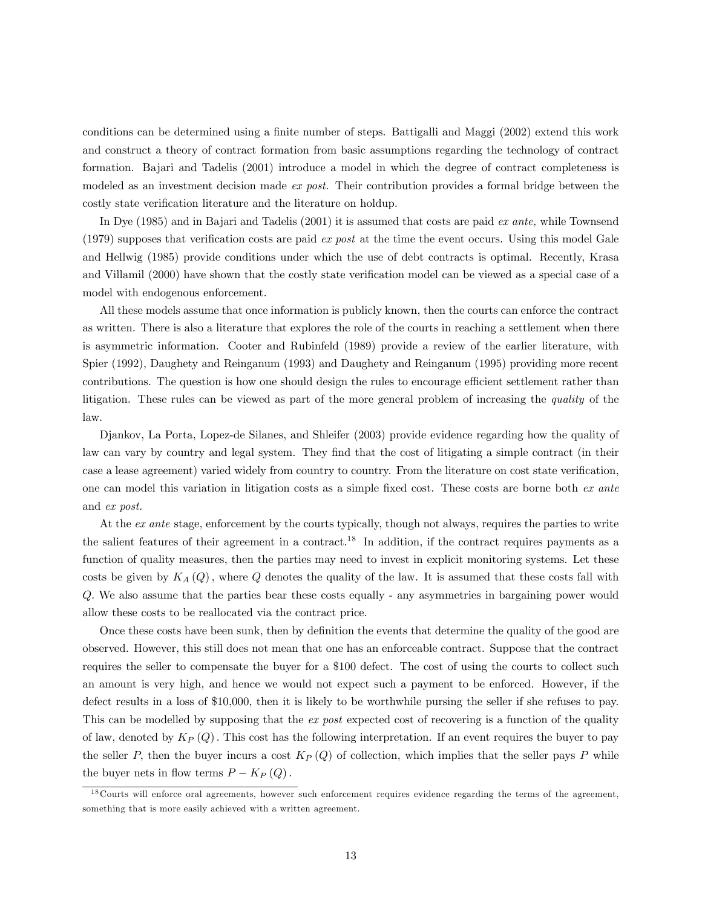conditions can be determined using a finite number of steps. Battigalli and Maggi (2002) extend this work and construct a theory of contract formation from basic assumptions regarding the technology of contract formation. Bajari and Tadelis (2001) introduce a model in which the degree of contract completeness is modeled as an investment decision made *ex post*. Their contribution provides a formal bridge between the costly state verification literature and the literature on holdup.

In Dye (1985) and in Bajari and Tadelis (2001) it is assumed that costs are paid ex ante, while Townsend (1979) supposes that verification costs are paid  $ex$  post at the time the event occurs. Using this model Gale and Hellwig (1985) provide conditions under which the use of debt contracts is optimal. Recently, Krasa and Villamil (2000) have shown that the costly state verification model can be viewed as a special case of a model with endogenous enforcement.

All these models assume that once information is publicly known, then the courts can enforce the contract as written. There is also a literature that explores the role of the courts in reaching a settlement when there is asymmetric information. Cooter and Rubinfeld (1989) provide a review of the earlier literature, with Spier (1992), Daughety and Reinganum (1993) and Daughety and Reinganum (1995) providing more recent contributions. The question is how one should design the rules to encourage efficient settlement rather than litigation. These rules can be viewed as part of the more general problem of increasing the quality of the law.

Djankov, La Porta, Lopez-de Silanes, and Shleifer (2003) provide evidence regarding how the quality of law can vary by country and legal system. They find that the cost of litigating a simple contract (in their case a lease agreement) varied widely from country to country. From the literature on cost state verification, one can model this variation in litigation costs as a simple fixed cost. These costs are borne both ex ante and ex post.

At the ex ante stage, enforcement by the courts typically, though not always, requires the parties to write the salient features of their agreement in a contract.<sup>18</sup> In addition, if the contract requires payments as a function of quality measures, then the parties may need to invest in explicit monitoring systems. Let these costs be given by  $K_A(Q)$ , where Q denotes the quality of the law. It is assumed that these costs fall with Q. We also assume that the parties bear these costs equally - any asymmetries in bargaining power would allow these costs to be reallocated via the contract price.

Once these costs have been sunk, then by definition the events that determine the quality of the good are observed. However, this still does not mean that one has an enforceable contract. Suppose that the contract requires the seller to compensate the buyer for a \$100 defect. The cost of using the courts to collect such an amount is very high, and hence we would not expect such a payment to be enforced. However, if the defect results in a loss of \$10,000, then it is likely to be worthwhile pursing the seller if she refuses to pay. This can be modelled by supposing that the ex post expected cost of recovering is a function of the quality of law, denoted by  $K_P(Q)$ . This cost has the following interpretation. If an event requires the buyer to pay the seller P, then the buyer incurs a cost  $K_P(Q)$  of collection, which implies that the seller pays P while the buyer nets in flow terms  $P - K_P(Q)$ .

<sup>&</sup>lt;sup>18</sup> Courts will enforce oral agreements, however such enforcement requires evidence regarding the terms of the agreement, something that is more easily achieved with a written agreement.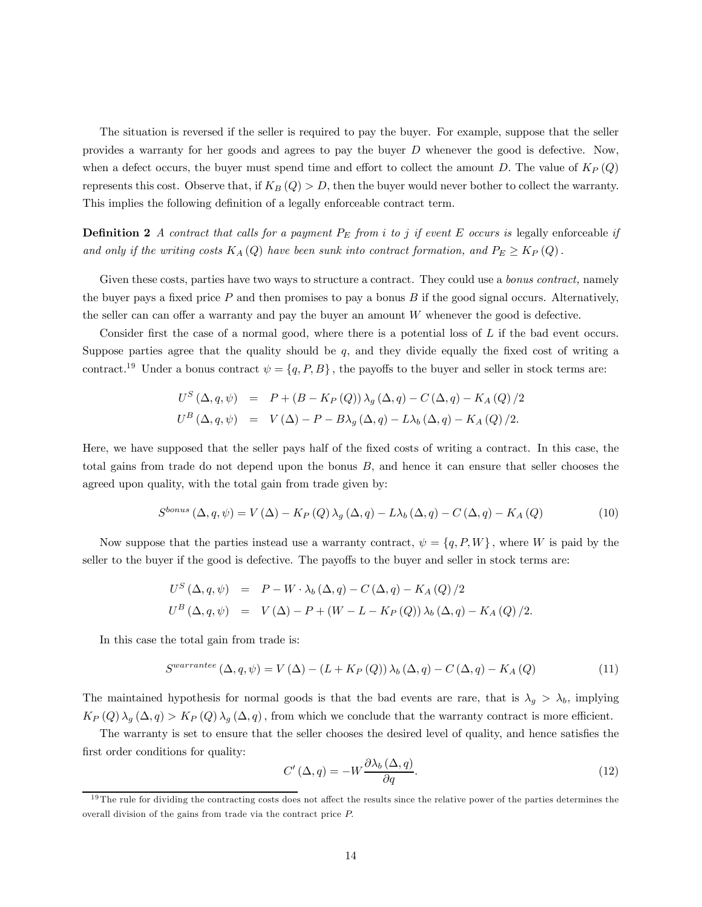The situation is reversed if the seller is required to pay the buyer. For example, suppose that the seller provides a warranty for her goods and agrees to pay the buyer  $D$  whenever the good is defective. Now, when a defect occurs, the buyer must spend time and effort to collect the amount D. The value of  $K_P(Q)$ represents this cost. Observe that, if  $K_B(Q) > D$ , then the buyer would never bother to collect the warranty. This implies the following definition of a legally enforceable contract term.

**Definition 2** A contract that calls for a payment  $P_E$  from i to j if event E occurs is legally enforceable if and only if the writing costs  $K_A(Q)$  have been sunk into contract formation, and  $P_E \geq K_P(Q)$ .

Given these costs, parties have two ways to structure a contract. They could use a *bonus contract*, namely the buyer pays a fixed price  $P$  and then promises to pay a bonus  $B$  if the good signal occurs. Alternatively, the seller can can offer a warranty and pay the buyer an amount W whenever the good is defective.

Consider first the case of a normal good, where there is a potential loss of L if the bad event occurs. Suppose parties agree that the quality should be q, and they divide equally the fixed cost of writing a contract.<sup>19</sup> Under a bonus contract  $\psi = \{q, P, B\}$ , the payoffs to the buyer and seller in stock terms are:

$$
U^{S} (\Delta, q, \psi) = P + (B - K_{P}(Q)) \lambda_{g} (\Delta, q) - C (\Delta, q) - K_{A}(Q)/2
$$
  

$$
U^{B} (\Delta, q, \psi) = V (\Delta) - P - B \lambda_{g} (\Delta, q) - L \lambda_{b} (\Delta, q) - K_{A}(Q)/2.
$$

Here, we have supposed that the seller pays half of the fixed costs of writing a contract. In this case, the total gains from trade do not depend upon the bonus B, and hence it can ensure that seller chooses the agreed upon quality, with the total gain from trade given by:

$$
S^{bonus} (\Delta, q, \psi) = V (\Delta) - K_P (Q) \lambda_g (\Delta, q) - L \lambda_b (\Delta, q) - C (\Delta, q) - K_A (Q)
$$
\n(10)

Now suppose that the parties instead use a warranty contract,  $\psi = \{q, P, W\}$ , where W is paid by the seller to the buyer if the good is defective. The payoffs to the buyer and seller in stock terms are:

$$
U^{S} (\Delta, q, \psi) = P - W \cdot \lambda_{b} (\Delta, q) - C (\Delta, q) - K_{A} (Q) / 2
$$
  

$$
U^{B} (\Delta, q, \psi) = V (\Delta) - P + (W - L - K_{P} (Q)) \lambda_{b} (\Delta, q) - K_{A} (Q) / 2.
$$

In this case the total gain from trade is:

$$
Swarrantee (\Delta, q, \psi) = V (\Delta) - (L + K_P (Q)) \lambda_b (\Delta, q) - C (\Delta, q) - K_A (Q)
$$
\n(11)

The maintained hypothesis for normal goods is that the bad events are rare, that is  $\lambda_g > \lambda_b$ , implying  $K_P(Q) \lambda_g(\Delta, q) > K_P(Q) \lambda_g(\Delta, q)$ , from which we conclude that the warranty contract is more efficient.

The warranty is set to ensure that the seller chooses the desired level of quality, and hence satisfies the first order conditions for quality:

$$
C'(\Delta, q) = -W \frac{\partial \lambda_b(\Delta, q)}{\partial q}.
$$
\n(12)

 $19$ The rule for dividing the contracting costs does not affect the results since the relative power of the parties determines the overall division of the gains from trade via the contract price P.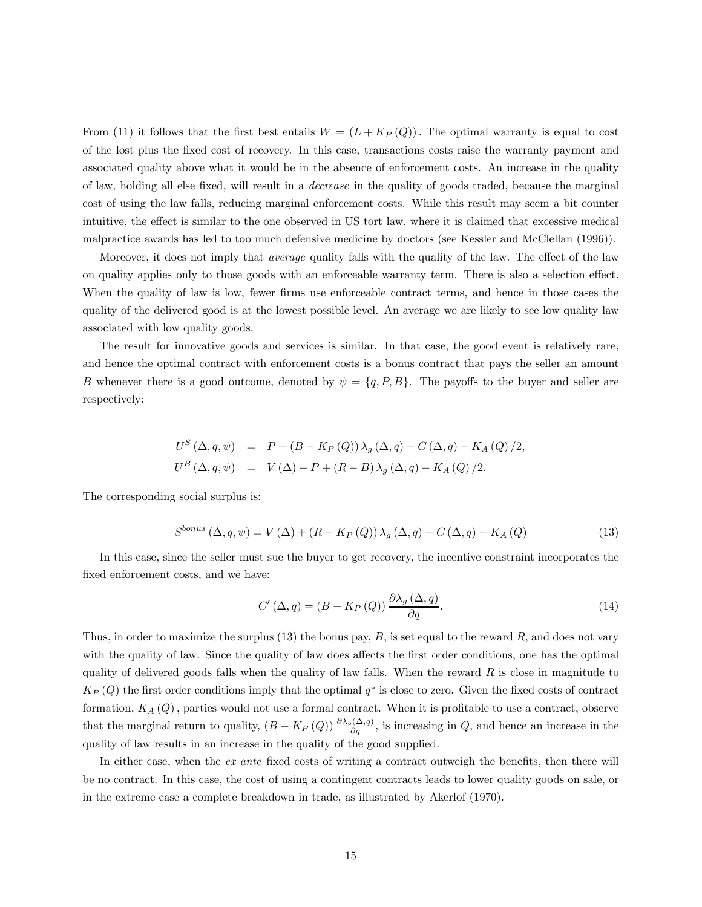From (11) it follows that the first best entails  $W = (L + K_P(Q))$ . The optimal warranty is equal to cost of the lost plus the fixed cost of recovery. In this case, transactions costs raise the warranty payment and associated quality above what it would be in the absence of enforcement costs. An increase in the quality of law, holding all else fixed, will result in a decrease in the quality of goods traded, because the marginal cost of using the law falls, reducing marginal enforcement costs. While this result may seem a bit counter intuitive, the effect is similar to the one observed in US tort law, where it is claimed that excessive medical malpractice awards has led to too much defensive medicine by doctors (see Kessler and McClellan (1996)).

Moreover, it does not imply that *average* quality falls with the quality of the law. The effect of the law on quality applies only to those goods with an enforceable warranty term. There is also a selection effect. When the quality of law is low, fewer firms use enforceable contract terms, and hence in those cases the quality of the delivered good is at the lowest possible level. An average we are likely to see low quality law associated with low quality goods.

The result for innovative goods and services is similar. In that case, the good event is relatively rare, and hence the optimal contract with enforcement costs is a bonus contract that pays the seller an amount B whenever there is a good outcome, denoted by  $\psi = \{q, P, B\}$ . The payoffs to the buyer and seller are respectively:

$$
U^{S} (\Delta, q, \psi) = P + (B - K_{P}(Q)) \lambda_{g} (\Delta, q) - C (\Delta, q) - K_{A}(Q) / 2,
$$
  

$$
U^{B} (\Delta, q, \psi) = V (\Delta) - P + (R - B) \lambda_{g} (\Delta, q) - K_{A}(Q) / 2.
$$

The corresponding social surplus is:

$$
S^{bonus} (\Delta, q, \psi) = V (\Delta) + (R - K_P (Q)) \lambda_g (\Delta, q) - C (\Delta, q) - K_A (Q)
$$
\n(13)

In this case, since the seller must sue the buyer to get recovery, the incentive constraint incorporates the fixed enforcement costs, and we have:

$$
C'(\Delta, q) = (B - K_P(Q)) \frac{\partial \lambda_g(\Delta, q)}{\partial q}.
$$
\n(14)

Thus, in order to maximize the surplus  $(13)$  the bonus pay, B, is set equal to the reward R, and does not vary with the quality of law. Since the quality of law does affects the first order conditions, one has the optimal quality of delivered goods falls when the quality of law falls. When the reward  $R$  is close in magnitude to  $K_P(Q)$  the first order conditions imply that the optimal  $q^*$  is close to zero. Given the fixed costs of contract formation,  $K_A(Q)$ , parties would not use a formal contract. When it is profitable to use a contract, observe that the marginal return to quality,  $(B - K_P(Q)) \frac{\partial \lambda_g(\Delta, q)}{\partial q}$ , is increasing in Q, and hence an increase in the quality of law results in an increase in the quality of the good supplied.

In either case, when the ex ante fixed costs of writing a contract outweigh the benefits, then there will be no contract. In this case, the cost of using a contingent contracts leads to lower quality goods on sale, or in the extreme case a complete breakdown in trade, as illustrated by Akerlof (1970).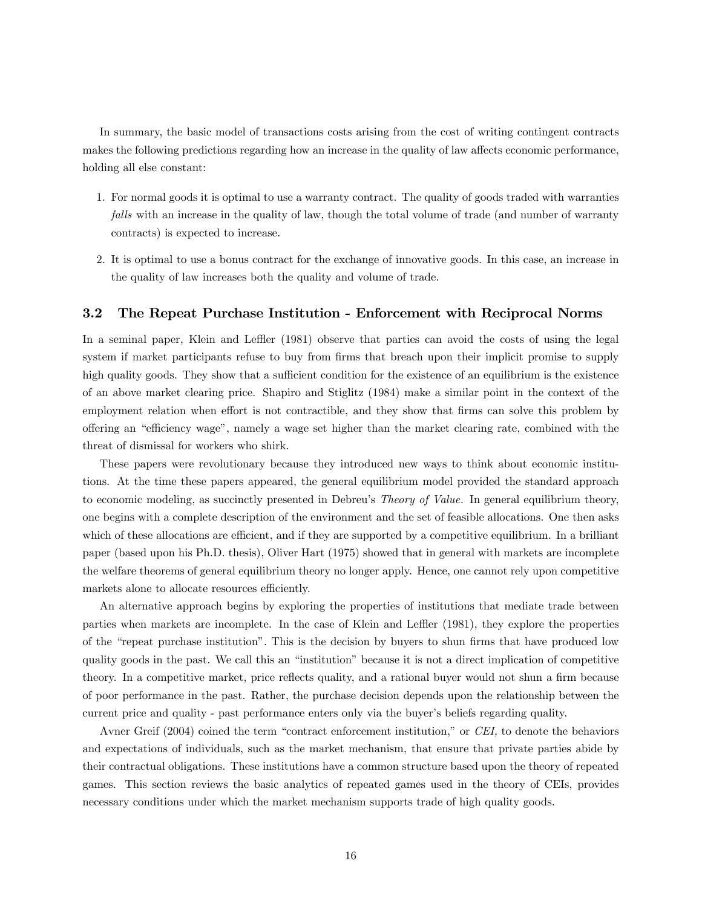In summary, the basic model of transactions costs arising from the cost of writing contingent contracts makes the following predictions regarding how an increase in the quality of law affects economic performance, holding all else constant:

- 1. For normal goods it is optimal to use a warranty contract. The quality of goods traded with warranties falls with an increase in the quality of law, though the total volume of trade (and number of warranty contracts) is expected to increase.
- 2. It is optimal to use a bonus contract for the exchange of innovative goods. In this case, an increase in the quality of law increases both the quality and volume of trade.

#### 3.2 The Repeat Purchase Institution - Enforcement with Reciprocal Norms

In a seminal paper, Klein and Leffler (1981) observe that parties can avoid the costs of using the legal system if market participants refuse to buy from firms that breach upon their implicit promise to supply high quality goods. They show that a sufficient condition for the existence of an equilibrium is the existence of an above market clearing price. Shapiro and Stiglitz (1984) make a similar point in the context of the employment relation when effort is not contractible, and they show that firms can solve this problem by offering an "efficiency wage", namely a wage set higher than the market clearing rate, combined with the threat of dismissal for workers who shirk.

These papers were revolutionary because they introduced new ways to think about economic institutions. At the time these papers appeared, the general equilibrium model provided the standard approach to economic modeling, as succinctly presented in Debreu's Theory of Value. In general equilibrium theory, one begins with a complete description of the environment and the set of feasible allocations. One then asks which of these allocations are efficient, and if they are supported by a competitive equilibrium. In a brilliant paper (based upon his Ph.D. thesis), Oliver Hart (1975) showed that in general with markets are incomplete the welfare theorems of general equilibrium theory no longer apply. Hence, one cannot rely upon competitive markets alone to allocate resources efficiently.

An alternative approach begins by exploring the properties of institutions that mediate trade between parties when markets are incomplete. In the case of Klein and Leffler (1981), they explore the properties of the "repeat purchase institution". This is the decision by buyers to shun firms that have produced low quality goods in the past. We call this an "institution" because it is not a direct implication of competitive theory. In a competitive market, price reflects quality, and a rational buyer would not shun a firm because of poor performance in the past. Rather, the purchase decision depends upon the relationship between the current price and quality - past performance enters only via the buyer's beliefs regarding quality.

Avner Greif (2004) coined the term "contract enforcement institution," or CEI, to denote the behaviors and expectations of individuals, such as the market mechanism, that ensure that private parties abide by their contractual obligations. These institutions have a common structure based upon the theory of repeated games. This section reviews the basic analytics of repeated games used in the theory of CEIs, provides necessary conditions under which the market mechanism supports trade of high quality goods.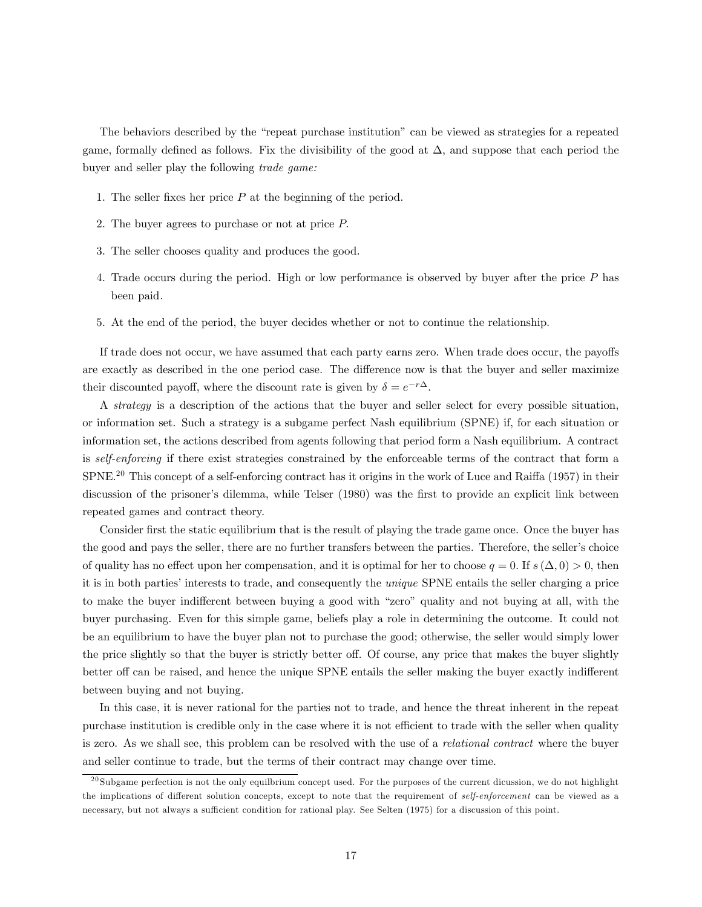The behaviors described by the "repeat purchase institution" can be viewed as strategies for a repeated game, formally defined as follows. Fix the divisibility of the good at  $\Delta$ , and suppose that each period the buyer and seller play the following trade game:

- 1. The seller fixes her price  $P$  at the beginning of the period.
- 2. The buyer agrees to purchase or not at price P.
- 3. The seller chooses quality and produces the good.
- 4. Trade occurs during the period. High or low performance is observed by buyer after the price P has been paid.
- 5. At the end of the period, the buyer decides whether or not to continue the relationship.

If trade does not occur, we have assumed that each party earns zero. When trade does occur, the payoffs are exactly as described in the one period case. The difference now is that the buyer and seller maximize their discounted payoff, where the discount rate is given by  $\delta = e^{-r\Delta}$ .

A strategy is a description of the actions that the buyer and seller select for every possible situation, or information set. Such a strategy is a subgame perfect Nash equilibrium (SPNE) if, for each situation or information set, the actions described from agents following that period form a Nash equilibrium. A contract is self-enforcing if there exist strategies constrained by the enforceable terms of the contract that form a SPNE.<sup>20</sup> This concept of a self-enforcing contract has it origins in the work of Luce and Raiffa (1957) in their discussion of the prisoner's dilemma, while Telser (1980) was the first to provide an explicit link between repeated games and contract theory.

Consider first the static equilibrium that is the result of playing the trade game once. Once the buyer has the good and pays the seller, there are no further transfers between the parties. Therefore, the seller's choice of quality has no effect upon her compensation, and it is optimal for her to choose  $q = 0$ . If  $s(\Delta, 0) > 0$ , then it is in both parties' interests to trade, and consequently the unique SPNE entails the seller charging a price to make the buyer indifferent between buying a good with "zero" quality and not buying at all, with the buyer purchasing. Even for this simple game, beliefs play a role in determining the outcome. It could not be an equilibrium to have the buyer plan not to purchase the good; otherwise, the seller would simply lower the price slightly so that the buyer is strictly better off. Of course, any price that makes the buyer slightly better off can be raised, and hence the unique SPNE entails the seller making the buyer exactly indifferent between buying and not buying.

In this case, it is never rational for the parties not to trade, and hence the threat inherent in the repeat purchase institution is credible only in the case where it is not efficient to trade with the seller when quality is zero. As we shall see, this problem can be resolved with the use of a relational contract where the buyer and seller continue to trade, but the terms of their contract may change over time.

 $^{20}$ Subgame perfection is not the only equilbrium concept used. For the purposes of the current dicussion, we do not highlight the implications of different solution concepts, except to note that the requirement of *self-enforcement* can be viewed as a necessary, but not always a sufficient condition for rational play. See Selten (1975) for a discussion of this point.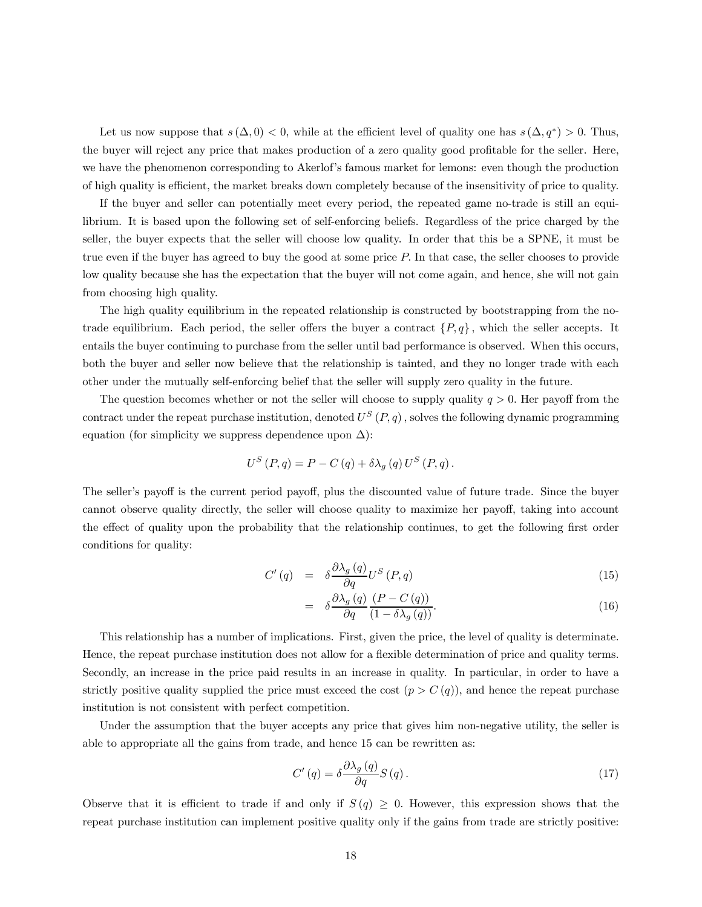Let us now suppose that  $s(\Delta, 0) < 0$ , while at the efficient level of quality one has  $s(\Delta, q^*) > 0$ . Thus, the buyer will reject any price that makes production of a zero quality good profitable for the seller. Here, we have the phenomenon corresponding to Akerlof's famous market for lemons: even though the production of high quality is efficient, the market breaks down completely because of the insensitivity of price to quality.

If the buyer and seller can potentially meet every period, the repeated game no-trade is still an equilibrium. It is based upon the following set of self-enforcing beliefs. Regardless of the price charged by the seller, the buyer expects that the seller will choose low quality. In order that this be a SPNE, it must be true even if the buyer has agreed to buy the good at some price P. In that case, the seller chooses to provide low quality because she has the expectation that the buyer will not come again, and hence, she will not gain from choosing high quality.

The high quality equilibrium in the repeated relationship is constructed by bootstrapping from the notrade equilibrium. Each period, the seller offers the buyer a contract  $\{P, q\}$ , which the seller accepts. It entails the buyer continuing to purchase from the seller until bad performance is observed. When this occurs, both the buyer and seller now believe that the relationship is tainted, and they no longer trade with each other under the mutually self-enforcing belief that the seller will supply zero quality in the future.

The question becomes whether or not the seller will choose to supply quality  $q > 0$ . Her payoff from the contract under the repeat purchase institution, denoted  $U^S(P,q)$ , solves the following dynamic programming equation (for simplicity we suppress dependence upon  $\Delta$ ):

$$
U^{S}(P,q) = P - C(q) + \delta \lambda_{g}(q) U^{S}(P,q).
$$

The seller's payoff is the current period payoff, plus the discounted value of future trade. Since the buyer cannot observe quality directly, the seller will choose quality to maximize her payoff, taking into account the effect of quality upon the probability that the relationship continues, to get the following first order conditions for quality:

$$
C'(q) = \delta \frac{\partial \lambda_g(q)}{\partial q} U^S(P, q)
$$
\n(15)

$$
= \delta \frac{\partial \lambda_g(q)}{\partial q} \frac{(P - C(q))}{(1 - \delta \lambda_g(q))}.
$$
\n(16)

This relationship has a number of implications. First, given the price, the level of quality is determinate. Hence, the repeat purchase institution does not allow for a flexible determination of price and quality terms. Secondly, an increase in the price paid results in an increase in quality. In particular, in order to have a strictly positive quality supplied the price must exceed the cost  $(p>C (q))$ , and hence the repeat purchase institution is not consistent with perfect competition.

Under the assumption that the buyer accepts any price that gives him non-negative utility, the seller is able to appropriate all the gains from trade, and hence 15 can be rewritten as:

$$
C'(q) = \delta \frac{\partial \lambda_g(q)}{\partial q} S(q). \tag{17}
$$

Observe that it is efficient to trade if and only if  $S(q) \geq 0$ . However, this expression shows that the repeat purchase institution can implement positive quality only if the gains from trade are strictly positive: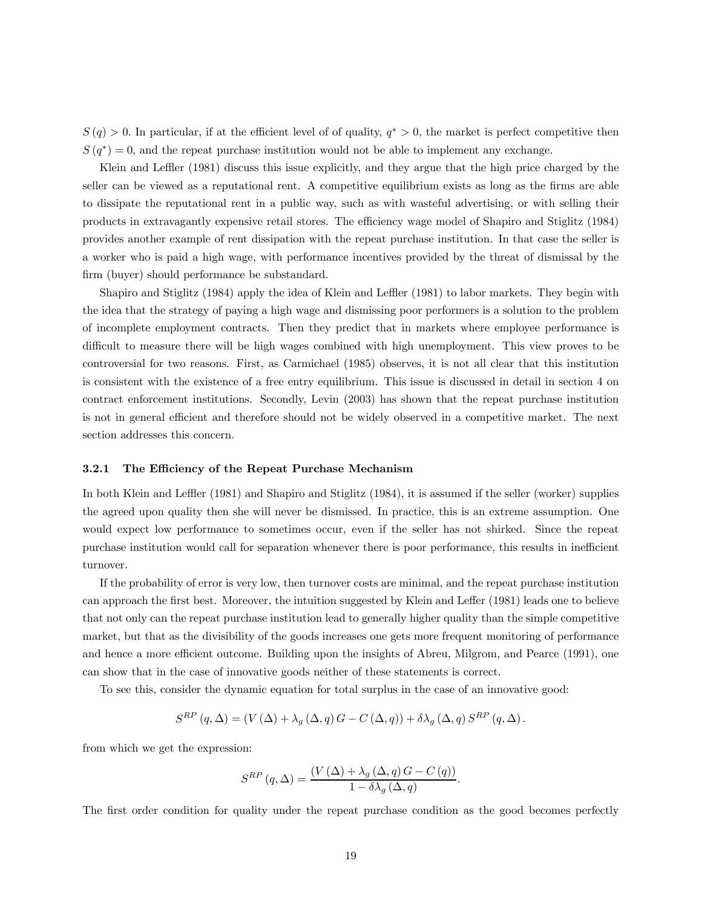$S(q) > 0$ . In particular, if at the efficient level of of quality,  $q^* > 0$ , the market is perfect competitive then  $S(q^*)=0$ , and the repeat purchase institution would not be able to implement any exchange.

Klein and Leffler (1981) discuss this issue explicitly, and they argue that the high price charged by the seller can be viewed as a reputational rent. A competitive equilibrium exists as long as the firms are able to dissipate the reputational rent in a public way, such as with wasteful advertising, or with selling their products in extravagantly expensive retail stores. The efficiency wage model of Shapiro and Stiglitz (1984) provides another example of rent dissipation with the repeat purchase institution. In that case the seller is a worker who is paid a high wage, with performance incentives provided by the threat of dismissal by the firm (buyer) should performance be substandard.

Shapiro and Stiglitz (1984) apply the idea of Klein and Leffler (1981) to labor markets. They begin with the idea that the strategy of paying a high wage and dismissing poor performers is a solution to the problem of incomplete employment contracts. Then they predict that in markets where employee performance is difficult to measure there will be high wages combined with high unemployment. This view proves to be controversial for two reasons. First, as Carmichael (1985) observes, it is not all clear that this institution is consistent with the existence of a free entry equilibrium. This issue is discussed in detail in section 4 on contract enforcement institutions. Secondly, Levin (2003) has shown that the repeat purchase institution is not in general efficient and therefore should not be widely observed in a competitive market. The next section addresses this concern.

#### 3.2.1 The Efficiency of the Repeat Purchase Mechanism

In both Klein and Leffler (1981) and Shapiro and Stiglitz (1984), it is assumed if the seller (worker) supplies the agreed upon quality then she will never be dismissed. In practice, this is an extreme assumption. One would expect low performance to sometimes occur, even if the seller has not shirked. Since the repeat purchase institution would call for separation whenever there is poor performance, this results in inefficient turnover.

If the probability of error is very low, then turnover costs are minimal, and the repeat purchase institution can approach the first best. Moreover, the intuition suggested by Klein and Leffer (1981) leads one to believe that not only can the repeat purchase institution lead to generally higher quality than the simple competitive market, but that as the divisibility of the goods increases one gets more frequent monitoring of performance and hence a more efficient outcome. Building upon the insights of Abreu, Milgrom, and Pearce (1991), one can show that in the case of innovative goods neither of these statements is correct.

To see this, consider the dynamic equation for total surplus in the case of an innovative good:

$$
S^{RP}(q,\Delta) = (V(\Delta) + \lambda_g(\Delta,q)G - C(\Delta,q)) + \delta\lambda_g(\Delta,q)S^{RP}(q,\Delta).
$$

from which we get the expression:

$$
S^{RP}\left(q,\Delta\right) = \frac{\left(V\left(\Delta\right) + \lambda_g\left(\Delta,q\right)G - C\left(q\right)\right)}{1 - \delta\lambda_g\left(\Delta,q\right)}.
$$

The first order condition for quality under the repeat purchase condition as the good becomes perfectly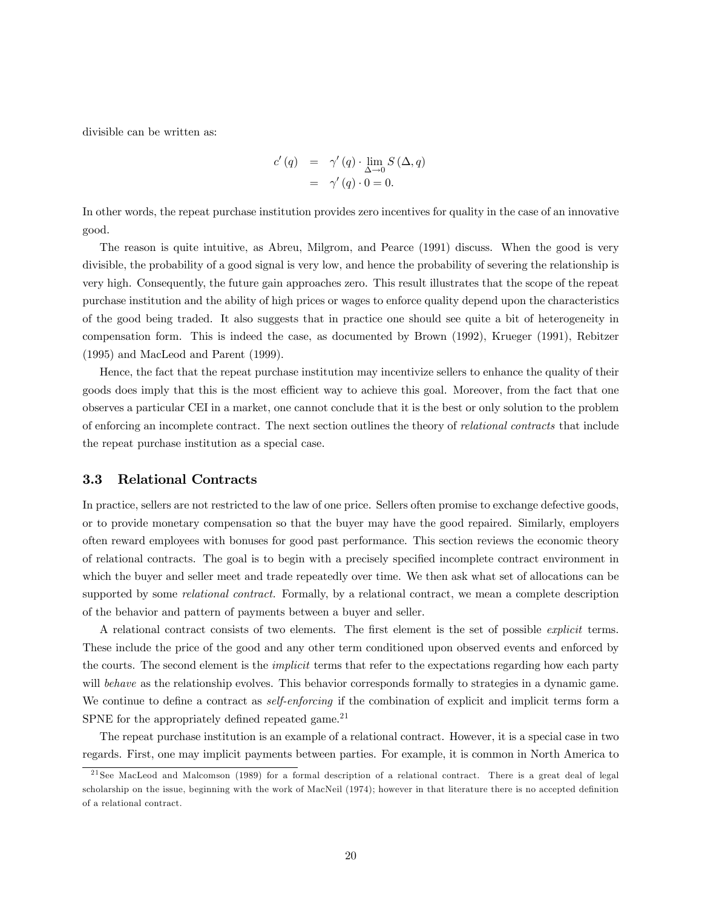divisible can be written as:

$$
c'(q) = \gamma'(q) \cdot \lim_{\Delta \to 0} S(\Delta, q)
$$
  
=  $\gamma'(q) \cdot 0 = 0.$ 

In other words, the repeat purchase institution provides zero incentives for quality in the case of an innovative good.

The reason is quite intuitive, as Abreu, Milgrom, and Pearce (1991) discuss. When the good is very divisible, the probability of a good signal is very low, and hence the probability of severing the relationship is very high. Consequently, the future gain approaches zero. This result illustrates that the scope of the repeat purchase institution and the ability of high prices or wages to enforce quality depend upon the characteristics of the good being traded. It also suggests that in practice one should see quite a bit of heterogeneity in compensation form. This is indeed the case, as documented by Brown (1992), Krueger (1991), Rebitzer (1995) and MacLeod and Parent (1999).

Hence, the fact that the repeat purchase institution may incentivize sellers to enhance the quality of their goods does imply that this is the most efficient way to achieve this goal. Moreover, from the fact that one observes a particular CEI in a market, one cannot conclude that it is the best or only solution to the problem of enforcing an incomplete contract. The next section outlines the theory of relational contracts that include the repeat purchase institution as a special case.

#### 3.3 Relational Contracts

In practice, sellers are not restricted to the law of one price. Sellers often promise to exchange defective goods, or to provide monetary compensation so that the buyer may have the good repaired. Similarly, employers often reward employees with bonuses for good past performance. This section reviews the economic theory of relational contracts. The goal is to begin with a precisely specified incomplete contract environment in which the buyer and seller meet and trade repeatedly over time. We then ask what set of allocations can be supported by some *relational contract*. Formally, by a relational contract, we mean a complete description of the behavior and pattern of payments between a buyer and seller.

A relational contract consists of two elements. The first element is the set of possible explicit terms. These include the price of the good and any other term conditioned upon observed events and enforced by the courts. The second element is the implicit terms that refer to the expectations regarding how each party will behave as the relationship evolves. This behavior corresponds formally to strategies in a dynamic game. We continue to define a contract as *self-enforcing* if the combination of explicit and implicit terms form a SPNE for the appropriately defined repeated game. $21$ 

The repeat purchase institution is an example of a relational contract. However, it is a special case in two regards. First, one may implicit payments between parties. For example, it is common in North America to

<sup>&</sup>lt;sup>21</sup> See MacLeod and Malcomson (1989) for a formal description of a relational contract. There is a great deal of legal scholarship on the issue, beginning with the work of MacNeil (1974); however in that literature there is no accepted definition of a relational contract.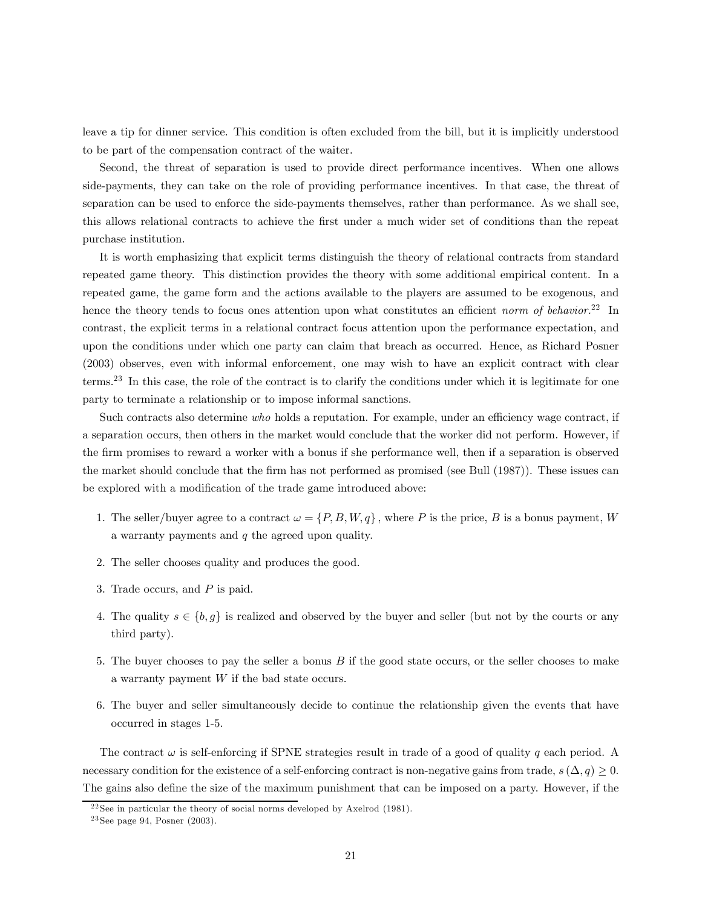leave a tip for dinner service. This condition is often excluded from the bill, but it is implicitly understood to be part of the compensation contract of the waiter.

Second, the threat of separation is used to provide direct performance incentives. When one allows side-payments, they can take on the role of providing performance incentives. In that case, the threat of separation can be used to enforce the side-payments themselves, rather than performance. As we shall see, this allows relational contracts to achieve the first under a much wider set of conditions than the repeat purchase institution.

It is worth emphasizing that explicit terms distinguish the theory of relational contracts from standard repeated game theory. This distinction provides the theory with some additional empirical content. In a repeated game, the game form and the actions available to the players are assumed to be exogenous, and hence the theory tends to focus ones attention upon what constitutes an efficient norm of behavior.<sup>22</sup> In contrast, the explicit terms in a relational contract focus attention upon the performance expectation, and upon the conditions under which one party can claim that breach as occurred. Hence, as Richard Posner (2003) observes, even with informal enforcement, one may wish to have an explicit contract with clear terms.23 In this case, the role of the contract is to clarify the conditions under which it is legitimate for one party to terminate a relationship or to impose informal sanctions.

Such contracts also determine who holds a reputation. For example, under an efficiency wage contract, if a separation occurs, then others in the market would conclude that the worker did not perform. However, if the firm promises to reward a worker with a bonus if she performance well, then if a separation is observed the market should conclude that the firm has not performed as promised (see Bull (1987)). These issues can be explored with a modification of the trade game introduced above:

- 1. The seller/buyer agree to a contract  $\omega = \{P, B, W, q\}$ , where P is the price, B is a bonus payment, W a warranty payments and  $q$  the agreed upon quality.
- 2. The seller chooses quality and produces the good.
- 3. Trade occurs, and P is paid.
- 4. The quality  $s \in \{b, g\}$  is realized and observed by the buyer and seller (but not by the courts or any third party).
- 5. The buyer chooses to pay the seller a bonus  $B$  if the good state occurs, or the seller chooses to make a warranty payment  $W$  if the bad state occurs.
- 6. The buyer and seller simultaneously decide to continue the relationship given the events that have occurred in stages 1-5.

The contract  $\omega$  is self-enforcing if SPNE strategies result in trade of a good of quality q each period. A necessary condition for the existence of a self-enforcing contract is non-negative gains from trade,  $s(\Delta, q) \geq 0$ . The gains also define the size of the maximum punishment that can be imposed on a party. However, if the

 $^{22}$ See in particular the theory of social norms developed by Axelrod (1981).

 $23$  See page 94, Posner (2003).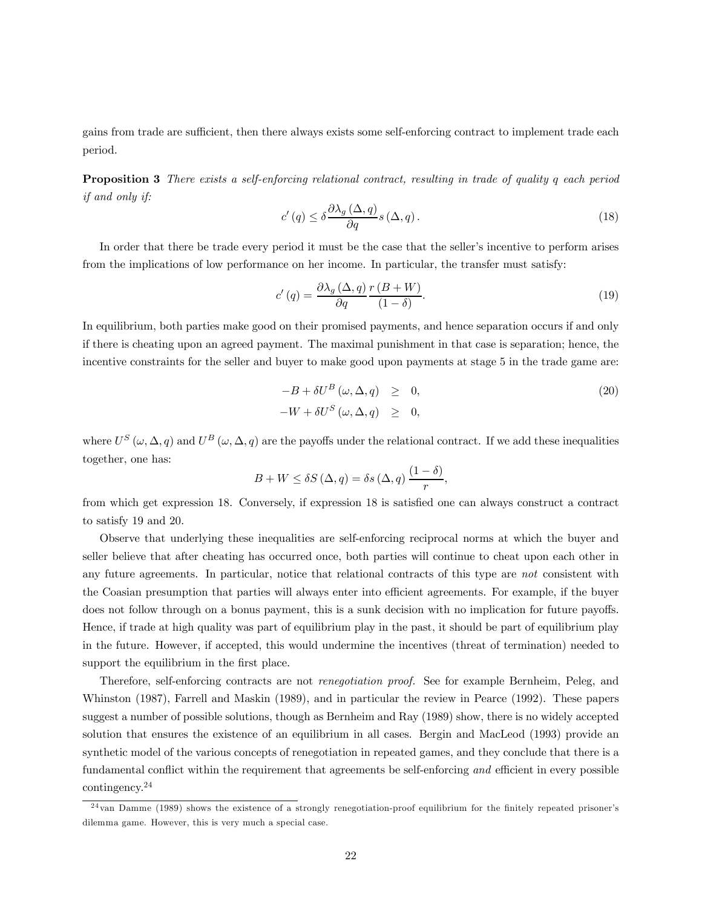gains from trade are sufficient, then there always exists some self-enforcing contract to implement trade each period.

Proposition 3 There exists a self-enforcing relational contract, resulting in trade of quality q each period if and only if:

$$
c'(q) \le \delta \frac{\partial \lambda_g(\Delta, q)}{\partial q} s(\Delta, q). \tag{18}
$$

In order that there be trade every period it must be the case that the seller's incentive to perform arises from the implications of low performance on her income. In particular, the transfer must satisfy:

$$
c'(q) = \frac{\partial \lambda_g(\Delta, q)}{\partial q} \frac{r(B+W)}{(1-\delta)}.
$$
\n(19)

In equilibrium, both parties make good on their promised payments, and hence separation occurs if and only if there is cheating upon an agreed payment. The maximal punishment in that case is separation; hence, the incentive constraints for the seller and buyer to make good upon payments at stage 5 in the trade game are:

$$
-B + \delta U^{B} (\omega, \Delta, q) \geq 0,
$$
  

$$
-W + \delta U^{S} (\omega, \Delta, q) \geq 0,
$$
 (20)

where  $U^S(\omega, \Delta, q)$  and  $U^B(\omega, \Delta, q)$  are the payoffs under the relational contract. If we add these inequalities together, one has:

$$
B + W \le \delta S\left(\Delta, q\right) = \delta s\left(\Delta, q\right) \frac{\left(1 - \delta\right)}{r},
$$

from which get expression 18. Conversely, if expression 18 is satisfied one can always construct a contract to satisfy 19 and 20.

Observe that underlying these inequalities are self-enforcing reciprocal norms at which the buyer and seller believe that after cheating has occurred once, both parties will continue to cheat upon each other in any future agreements. In particular, notice that relational contracts of this type are not consistent with the Coasian presumption that parties will always enter into efficient agreements. For example, if the buyer does not follow through on a bonus payment, this is a sunk decision with no implication for future payoffs. Hence, if trade at high quality was part of equilibrium play in the past, it should be part of equilibrium play in the future. However, if accepted, this would undermine the incentives (threat of termination) needed to support the equilibrium in the first place.

Therefore, self-enforcing contracts are not renegotiation proof. See for example Bernheim, Peleg, and Whinston (1987), Farrell and Maskin (1989), and in particular the review in Pearce (1992). These papers suggest a number of possible solutions, though as Bernheim and Ray (1989) show, there is no widely accepted solution that ensures the existence of an equilibrium in all cases. Bergin and MacLeod (1993) provide an synthetic model of the various concepts of renegotiation in repeated games, and they conclude that there is a fundamental conflict within the requirement that agreements be self-enforcing and efficient in every possible contingency.24

 $^{24}$ van Damme (1989) shows the existence of a strongly renegotiation-proof equilibrium for the finitely repeated prisoner's dilemma game. However, this is very much a special case.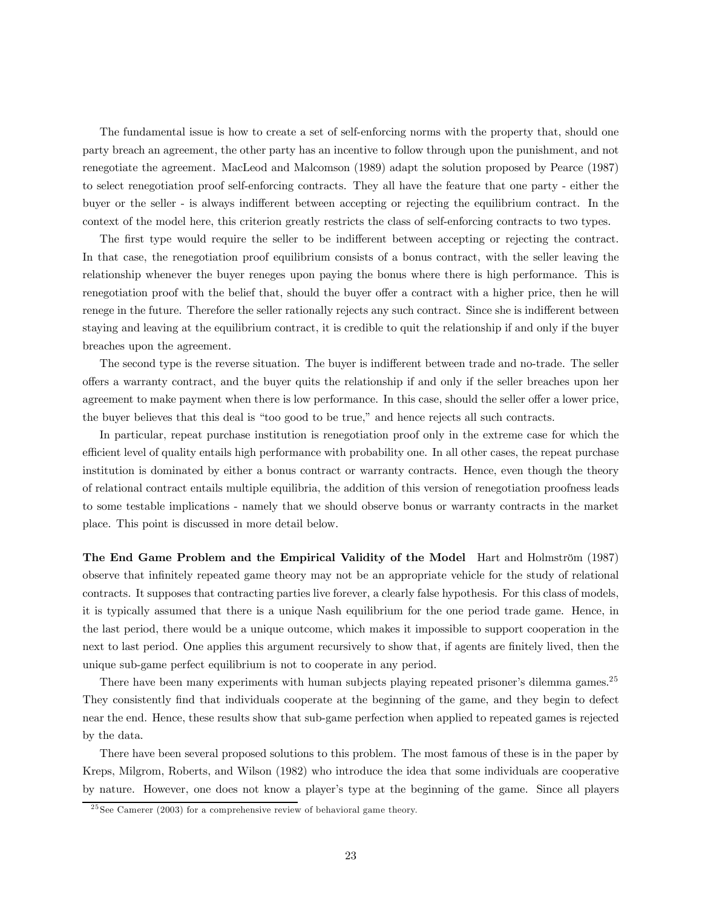The fundamental issue is how to create a set of self-enforcing norms with the property that, should one party breach an agreement, the other party has an incentive to follow through upon the punishment, and not renegotiate the agreement. MacLeod and Malcomson (1989) adapt the solution proposed by Pearce (1987) to select renegotiation proof self-enforcing contracts. They all have the feature that one party - either the buyer or the seller - is always indifferent between accepting or rejecting the equilibrium contract. In the context of the model here, this criterion greatly restricts the class of self-enforcing contracts to two types.

The first type would require the seller to be indifferent between accepting or rejecting the contract. In that case, the renegotiation proof equilibrium consists of a bonus contract, with the seller leaving the relationship whenever the buyer reneges upon paying the bonus where there is high performance. This is renegotiation proof with the belief that, should the buyer offer a contract with a higher price, then he will renege in the future. Therefore the seller rationally rejects any such contract. Since she is indifferent between staying and leaving at the equilibrium contract, it is credible to quit the relationship if and only if the buyer breaches upon the agreement.

The second type is the reverse situation. The buyer is indifferent between trade and no-trade. The seller offers a warranty contract, and the buyer quits the relationship if and only if the seller breaches upon her agreement to make payment when there is low performance. In this case, should the seller offer a lower price, the buyer believes that this deal is "too good to be true," and hence rejects all such contracts.

In particular, repeat purchase institution is renegotiation proof only in the extreme case for which the efficient level of quality entails high performance with probability one. In all other cases, the repeat purchase institution is dominated by either a bonus contract or warranty contracts. Hence, even though the theory of relational contract entails multiple equilibria, the addition of this version of renegotiation proofness leads to some testable implications - namely that we should observe bonus or warranty contracts in the market place. This point is discussed in more detail below.

The End Game Problem and the Empirical Validity of the Model Hart and Holmström (1987) observe that infinitely repeated game theory may not be an appropriate vehicle for the study of relational contracts. It supposes that contracting parties live forever, a clearly false hypothesis. For this class of models, it is typically assumed that there is a unique Nash equilibrium for the one period trade game. Hence, in the last period, there would be a unique outcome, which makes it impossible to support cooperation in the next to last period. One applies this argument recursively to show that, if agents are finitely lived, then the unique sub-game perfect equilibrium is not to cooperate in any period.

There have been many experiments with human subjects playing repeated prisoner's dilemma games.<sup>25</sup> They consistently find that individuals cooperate at the beginning of the game, and they begin to defect near the end. Hence, these results show that sub-game perfection when applied to repeated games is rejected by the data.

There have been several proposed solutions to this problem. The most famous of these is in the paper by Kreps, Milgrom, Roberts, and Wilson (1982) who introduce the idea that some individuals are cooperative by nature. However, one does not know a player's type at the beginning of the game. Since all players

 $\frac{25}{25}$ See Camerer (2003) for a comprehensive review of behavioral game theory.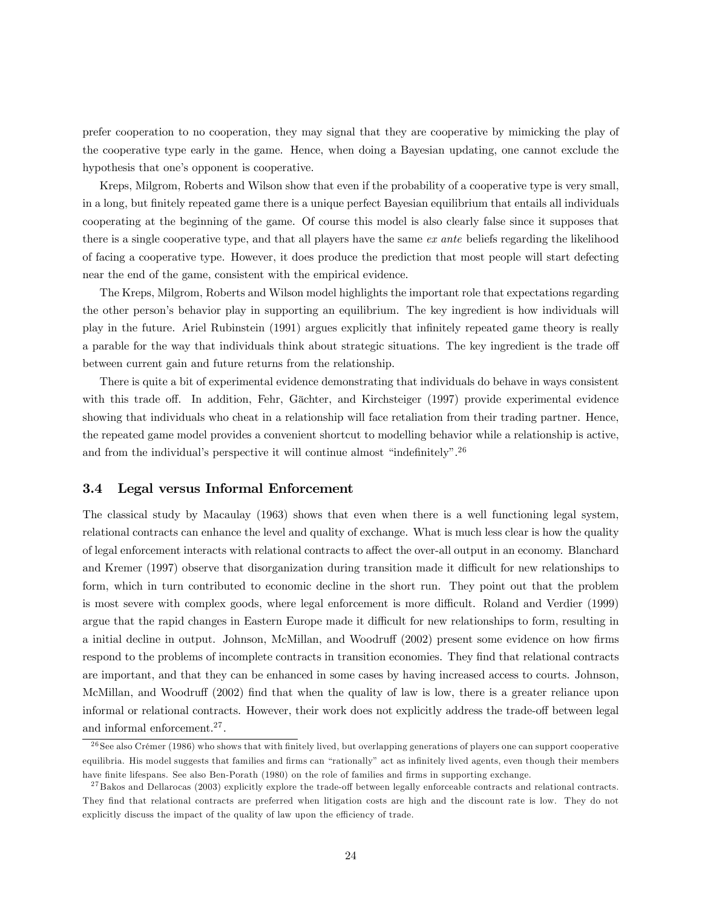prefer cooperation to no cooperation, they may signal that they are cooperative by mimicking the play of the cooperative type early in the game. Hence, when doing a Bayesian updating, one cannot exclude the hypothesis that one's opponent is cooperative.

Kreps, Milgrom, Roberts and Wilson show that even if the probability of a cooperative type is very small, in a long, but finitely repeated game there is a unique perfect Bayesian equilibrium that entails all individuals cooperating at the beginning of the game. Of course this model is also clearly false since it supposes that there is a single cooperative type, and that all players have the same ex ante beliefs regarding the likelihood of facing a cooperative type. However, it does produce the prediction that most people will start defecting near the end of the game, consistent with the empirical evidence.

The Kreps, Milgrom, Roberts and Wilson model highlights the important role that expectations regarding the other person's behavior play in supporting an equilibrium. The key ingredient is how individuals will play in the future. Ariel Rubinstein (1991) argues explicitly that infinitely repeated game theory is really a parable for the way that individuals think about strategic situations. The key ingredient is the trade off between current gain and future returns from the relationship.

There is quite a bit of experimental evidence demonstrating that individuals do behave in ways consistent with this trade off. In addition, Fehr, Gächter, and Kirchsteiger (1997) provide experimental evidence showing that individuals who cheat in a relationship will face retaliation from their trading partner. Hence, the repeated game model provides a convenient shortcut to modelling behavior while a relationship is active, and from the individual's perspective it will continue almost "indefinitely".<sup>26</sup>

#### 3.4 Legal versus Informal Enforcement

The classical study by Macaulay (1963) shows that even when there is a well functioning legal system, relational contracts can enhance the level and quality of exchange. What is much less clear is how the quality of legal enforcement interacts with relational contracts to affect the over-all output in an economy. Blanchard and Kremer (1997) observe that disorganization during transition made it difficult for new relationships to form, which in turn contributed to economic decline in the short run. They point out that the problem is most severe with complex goods, where legal enforcement is more difficult. Roland and Verdier (1999) argue that the rapid changes in Eastern Europe made it difficult for new relationships to form, resulting in a initial decline in output. Johnson, McMillan, and Woodruff (2002) present some evidence on how firms respond to the problems of incomplete contracts in transition economies. They find that relational contracts are important, and that they can be enhanced in some cases by having increased access to courts. Johnson, McMillan, and Woodruff (2002) find that when the quality of law is low, there is a greater reliance upon informal or relational contracts. However, their work does not explicitly address the trade-off between legal and informal enforcement.27 .

 $26$  See also Crémer (1986) who shows that with finitely lived, but overlapping generations of players one can support cooperative equilibria. His model suggests that families and firms can "rationally" act as infinitely lived agents, even though their members have finite lifespans. See also Ben-Porath (1980) on the role of families and firms in supporting exchange.

<sup>&</sup>lt;sup>27</sup> Bakos and Dellarocas (2003) explicitly explore the trade-off between legally enforceable contracts and relational contracts. They find that relational contracts are preferred when litigation costs are high and the discount rate is low. They do not explicitly discuss the impact of the quality of law upon the efficiency of trade.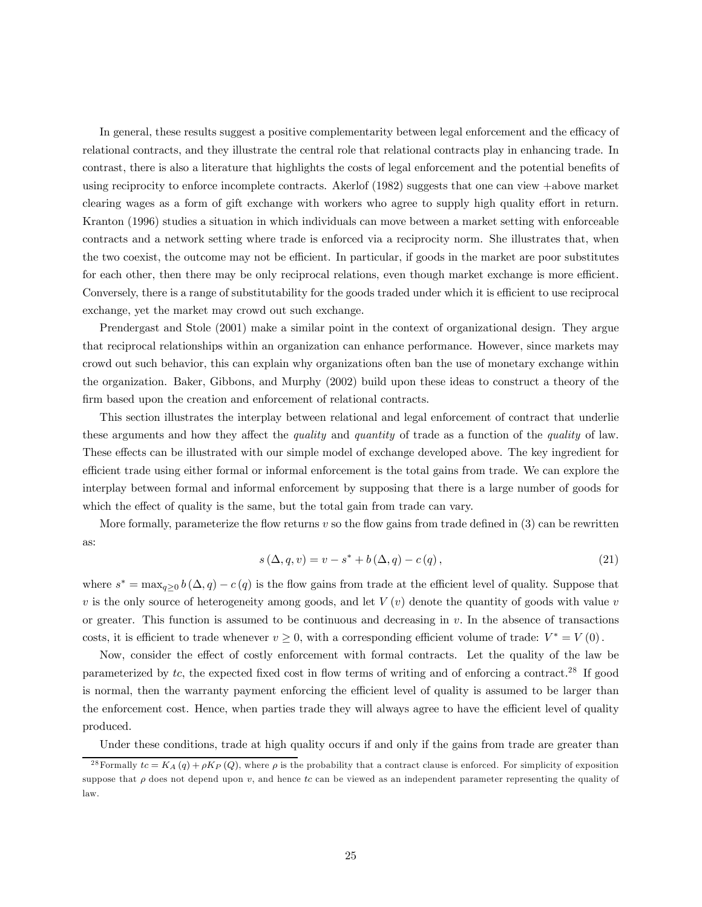In general, these results suggest a positive complementarity between legal enforcement and the efficacy of relational contracts, and they illustrate the central role that relational contracts play in enhancing trade. In contrast, there is also a literature that highlights the costs of legal enforcement and the potential benefits of using reciprocity to enforce incomplete contracts. Akerlof (1982) suggests that one can view +above market clearing wages as a form of gift exchange with workers who agree to supply high quality effort in return. Kranton (1996) studies a situation in which individuals can move between a market setting with enforceable contracts and a network setting where trade is enforced via a reciprocity norm. She illustrates that, when the two coexist, the outcome may not be efficient. In particular, if goods in the market are poor substitutes for each other, then there may be only reciprocal relations, even though market exchange is more efficient. Conversely, there is a range of substitutability for the goods traded under which it is efficient to use reciprocal exchange, yet the market may crowd out such exchange.

Prendergast and Stole (2001) make a similar point in the context of organizational design. They argue that reciprocal relationships within an organization can enhance performance. However, since markets may crowd out such behavior, this can explain why organizations often ban the use of monetary exchange within the organization. Baker, Gibbons, and Murphy (2002) build upon these ideas to construct a theory of the firm based upon the creation and enforcement of relational contracts.

This section illustrates the interplay between relational and legal enforcement of contract that underlie these arguments and how they affect the *quality* and *quantity* of trade as a function of the *quality* of law. These effects can be illustrated with our simple model of exchange developed above. The key ingredient for efficient trade using either formal or informal enforcement is the total gains from trade. We can explore the interplay between formal and informal enforcement by supposing that there is a large number of goods for which the effect of quality is the same, but the total gain from trade can vary.

More formally, parameterize the flow returns  $v$  so the flow gains from trade defined in  $(3)$  can be rewritten as:

$$
s(\Delta, q, v) = v - s^* + b(\Delta, q) - c(q),
$$
\n(21)

where  $s^* = \max_{q>0} b(\Delta, q) - c(q)$  is the flow gains from trade at the efficient level of quality. Suppose that v is the only source of heterogeneity among goods, and let  $V(v)$  denote the quantity of goods with value v or greater. This function is assumed to be continuous and decreasing in  $v$ . In the absence of transactions costs, it is efficient to trade whenever  $v \ge 0$ , with a corresponding efficient volume of trade:  $V^* = V(0)$ .

Now, consider the effect of costly enforcement with formal contracts. Let the quality of the law be parameterized by  $tc$ , the expected fixed cost in flow terms of writing and of enforcing a contract.<sup>28</sup> If good is normal, then the warranty payment enforcing the efficient level of quality is assumed to be larger than the enforcement cost. Hence, when parties trade they will always agree to have the efficient level of quality produced.

Under these conditions, trade at high quality occurs if and only if the gains from trade are greater than

<sup>&</sup>lt;sup>28</sup>Formally  $tc = K_A(q) + \rho K_P(Q)$ , where  $\rho$  is the probability that a contract clause is enforced. For simplicity of exposition suppose that  $\rho$  does not depend upon v, and hence tc can be viewed as an independent parameter representing the quality of law.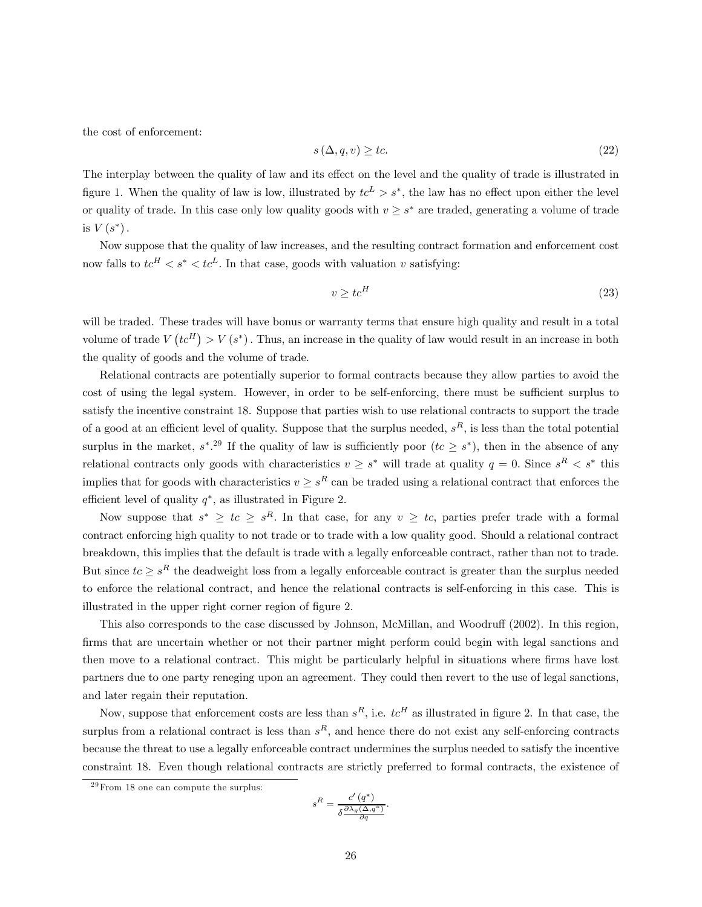the cost of enforcement:

$$
s\left(\Delta, q, v\right) \ge tc. \tag{22}
$$

The interplay between the quality of law and its effect on the level and the quality of trade is illustrated in figure 1. When the quality of law is low, illustrated by  $tc<sup>L</sup> > s<sup>*</sup>$ , the law has no effect upon either the level or quality of trade. In this case only low quality goods with  $v \geq s^*$  are traded, generating a volume of trade is  $V(s^*)$ .

Now suppose that the quality of law increases, and the resulting contract formation and enforcement cost now falls to  $tc^H < s^* < tc^L$ . In that case, goods with valuation v satisfying:

$$
v \ge t c^H \tag{23}
$$

will be traded. These trades will have bonus or warranty terms that ensure high quality and result in a total volume of trade  $V(tc^{H}) > V(s^{*})$ . Thus, an increase in the quality of law would result in an increase in both the quality of goods and the volume of trade.

Relational contracts are potentially superior to formal contracts because they allow parties to avoid the cost of using the legal system. However, in order to be self-enforcing, there must be sufficient surplus to satisfy the incentive constraint 18. Suppose that parties wish to use relational contracts to support the trade of a good at an efficient level of quality. Suppose that the surplus needed,  $s<sup>R</sup>$ , is less than the total potential surplus in the market,  $s^*$ .<sup>29</sup> If the quality of law is sufficiently poor  $(te \geq s^*$ , then in the absence of any relational contracts only goods with characteristics  $v \geq s^*$  will trade at quality  $q = 0$ . Since  $s^R < s^*$  this implies that for goods with characteristics  $v \geq s^R$  can be traded using a relational contract that enforces the efficient level of quality  $q^*$ , as illustrated in Figure 2.

Now suppose that  $s^* \geq tc \geq s^R$ . In that case, for any  $v \geq tc$ , parties prefer trade with a formal contract enforcing high quality to not trade or to trade with a low quality good. Should a relational contract breakdown, this implies that the default is trade with a legally enforceable contract, rather than not to trade. But since  $tc \geq s^R$  the deadweight loss from a legally enforceable contract is greater than the surplus needed to enforce the relational contract, and hence the relational contracts is self-enforcing in this case. This is illustrated in the upper right corner region of figure 2.

This also corresponds to the case discussed by Johnson, McMillan, and Woodruff (2002). In this region, firms that are uncertain whether or not their partner might perform could begin with legal sanctions and then move to a relational contract. This might be particularly helpful in situations where firms have lost partners due to one party reneging upon an agreement. They could then revert to the use of legal sanctions, and later regain their reputation.

Now, suppose that enforcement costs are less than  $s^R$ , i.e.  $tc^H$  as illustrated in figure 2. In that case, the surplus from a relational contract is less than  $s^R$ , and hence there do not exist any self-enforcing contracts because the threat to use a legally enforceable contract undermines the surplus needed to satisfy the incentive constraint 18. Even though relational contracts are strictly preferred to formal contracts, the existence of

$$
s^R = \frac{c'\left(q^*\right)}{\delta \frac{\partial \lambda_g(\Delta, q^*)}{\partial q}}.
$$

 $29$  From 18 one can compute the surplus: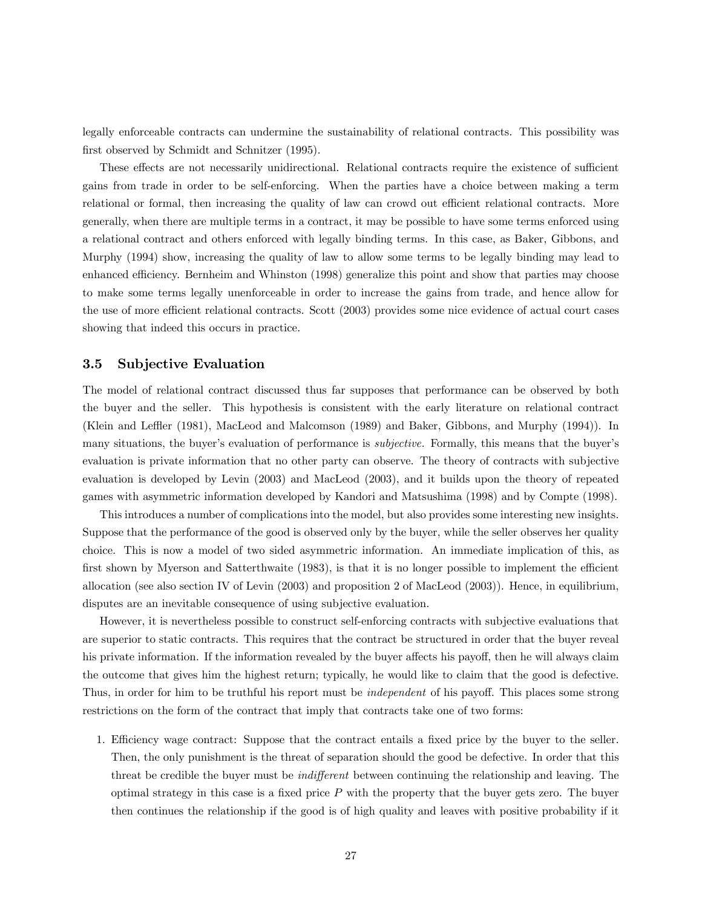legally enforceable contracts can undermine the sustainability of relational contracts. This possibility was first observed by Schmidt and Schnitzer (1995).

These effects are not necessarily unidirectional. Relational contracts require the existence of sufficient gains from trade in order to be self-enforcing. When the parties have a choice between making a term relational or formal, then increasing the quality of law can crowd out efficient relational contracts. More generally, when there are multiple terms in a contract, it may be possible to have some terms enforced using a relational contract and others enforced with legally binding terms. In this case, as Baker, Gibbons, and Murphy (1994) show, increasing the quality of law to allow some terms to be legally binding may lead to enhanced efficiency. Bernheim and Whinston (1998) generalize this point and show that parties may choose to make some terms legally unenforceable in order to increase the gains from trade, and hence allow for the use of more efficient relational contracts. Scott (2003) provides some nice evidence of actual court cases showing that indeed this occurs in practice.

#### 3.5 Subjective Evaluation

The model of relational contract discussed thus far supposes that performance can be observed by both the buyer and the seller. This hypothesis is consistent with the early literature on relational contract (Klein and Leffler (1981), MacLeod and Malcomson (1989) and Baker, Gibbons, and Murphy (1994)). In many situations, the buyer's evaluation of performance is *subjective*. Formally, this means that the buyer's evaluation is private information that no other party can observe. The theory of contracts with subjective evaluation is developed by Levin (2003) and MacLeod (2003), and it builds upon the theory of repeated games with asymmetric information developed by Kandori and Matsushima (1998) and by Compte (1998).

This introduces a number of complications into the model, but also provides some interesting new insights. Suppose that the performance of the good is observed only by the buyer, while the seller observes her quality choice. This is now a model of two sided asymmetric information. An immediate implication of this, as first shown by Myerson and Satterthwaite (1983), is that it is no longer possible to implement the efficient allocation (see also section IV of Levin (2003) and proposition 2 of MacLeod (2003)). Hence, in equilibrium, disputes are an inevitable consequence of using subjective evaluation.

However, it is nevertheless possible to construct self-enforcing contracts with subjective evaluations that are superior to static contracts. This requires that the contract be structured in order that the buyer reveal his private information. If the information revealed by the buyer affects his payoff, then he will always claim the outcome that gives him the highest return; typically, he would like to claim that the good is defective. Thus, in order for him to be truthful his report must be independent of his payoff. This places some strong restrictions on the form of the contract that imply that contracts take one of two forms:

1. Efficiency wage contract: Suppose that the contract entails a fixed price by the buyer to the seller. Then, the only punishment is the threat of separation should the good be defective. In order that this threat be credible the buyer must be indifferent between continuing the relationship and leaving. The optimal strategy in this case is a fixed price  $P$  with the property that the buyer gets zero. The buyer then continues the relationship if the good is of high quality and leaves with positive probability if it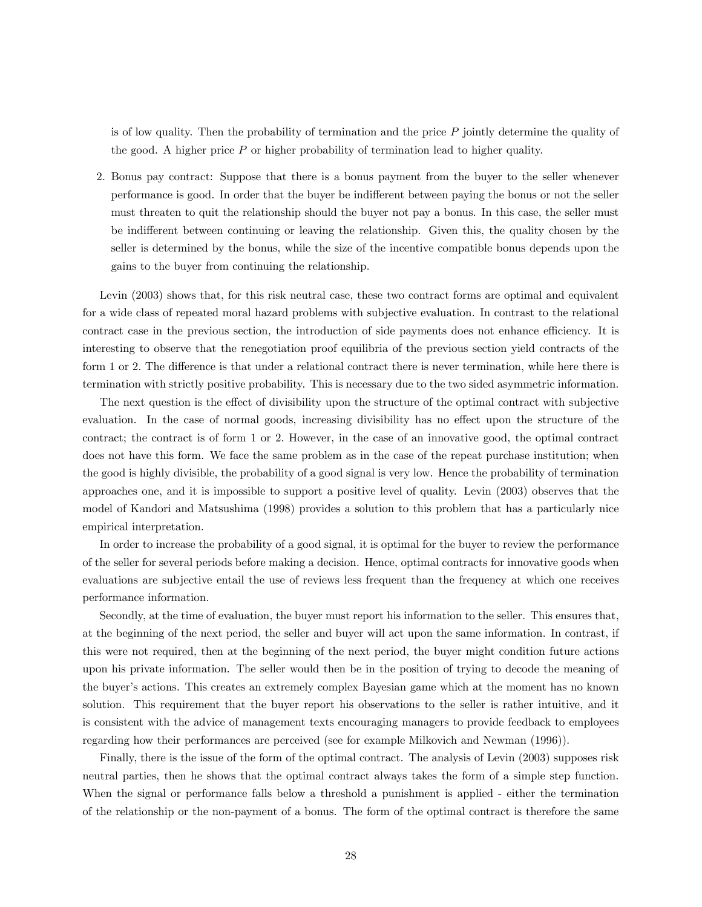is of low quality. Then the probability of termination and the price  $P$  jointly determine the quality of the good. A higher price  $P$  or higher probability of termination lead to higher quality.

2. Bonus pay contract: Suppose that there is a bonus payment from the buyer to the seller whenever performance is good. In order that the buyer be indifferent between paying the bonus or not the seller must threaten to quit the relationship should the buyer not pay a bonus. In this case, the seller must be indifferent between continuing or leaving the relationship. Given this, the quality chosen by the seller is determined by the bonus, while the size of the incentive compatible bonus depends upon the gains to the buyer from continuing the relationship.

Levin (2003) shows that, for this risk neutral case, these two contract forms are optimal and equivalent for a wide class of repeated moral hazard problems with subjective evaluation. In contrast to the relational contract case in the previous section, the introduction of side payments does not enhance efficiency. It is interesting to observe that the renegotiation proof equilibria of the previous section yield contracts of the form 1 or 2. The difference is that under a relational contract there is never termination, while here there is termination with strictly positive probability. This is necessary due to the two sided asymmetric information.

The next question is the effect of divisibility upon the structure of the optimal contract with subjective evaluation. In the case of normal goods, increasing divisibility has no effect upon the structure of the contract; the contract is of form 1 or 2. However, in the case of an innovative good, the optimal contract does not have this form. We face the same problem as in the case of the repeat purchase institution; when the good is highly divisible, the probability of a good signal is very low. Hence the probability of termination approaches one, and it is impossible to support a positive level of quality. Levin (2003) observes that the model of Kandori and Matsushima (1998) provides a solution to this problem that has a particularly nice empirical interpretation.

In order to increase the probability of a good signal, it is optimal for the buyer to review the performance of the seller for several periods before making a decision. Hence, optimal contracts for innovative goods when evaluations are subjective entail the use of reviews less frequent than the frequency at which one receives performance information.

Secondly, at the time of evaluation, the buyer must report his information to the seller. This ensures that, at the beginning of the next period, the seller and buyer will act upon the same information. In contrast, if this were not required, then at the beginning of the next period, the buyer might condition future actions upon his private information. The seller would then be in the position of trying to decode the meaning of the buyer's actions. This creates an extremely complex Bayesian game which at the moment has no known solution. This requirement that the buyer report his observations to the seller is rather intuitive, and it is consistent with the advice of management texts encouraging managers to provide feedback to employees regarding how their performances are perceived (see for example Milkovich and Newman (1996)).

Finally, there is the issue of the form of the optimal contract. The analysis of Levin (2003) supposes risk neutral parties, then he shows that the optimal contract always takes the form of a simple step function. When the signal or performance falls below a threshold a punishment is applied - either the termination of the relationship or the non-payment of a bonus. The form of the optimal contract is therefore the same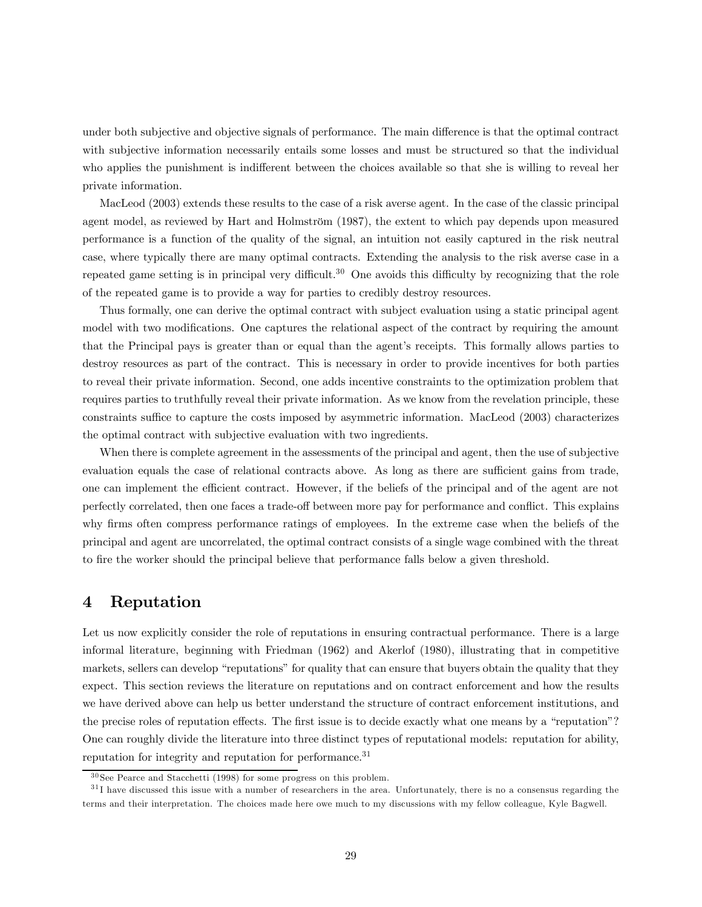under both subjective and objective signals of performance. The main difference is that the optimal contract with subjective information necessarily entails some losses and must be structured so that the individual who applies the punishment is indifferent between the choices available so that she is willing to reveal her private information.

MacLeod (2003) extends these results to the case of a risk averse agent. In the case of the classic principal agent model, as reviewed by Hart and Holmström (1987), the extent to which pay depends upon measured performance is a function of the quality of the signal, an intuition not easily captured in the risk neutral case, where typically there are many optimal contracts. Extending the analysis to the risk averse case in a repeated game setting is in principal very difficult.30 One avoids this difficulty by recognizing that the role of the repeated game is to provide a way for parties to credibly destroy resources.

Thus formally, one can derive the optimal contract with subject evaluation using a static principal agent model with two modifications. One captures the relational aspect of the contract by requiring the amount that the Principal pays is greater than or equal than the agent's receipts. This formally allows parties to destroy resources as part of the contract. This is necessary in order to provide incentives for both parties to reveal their private information. Second, one adds incentive constraints to the optimization problem that requires parties to truthfully reveal their private information. As we know from the revelation principle, these constraints suffice to capture the costs imposed by asymmetric information. MacLeod (2003) characterizes the optimal contract with subjective evaluation with two ingredients.

When there is complete agreement in the assessments of the principal and agent, then the use of subjective evaluation equals the case of relational contracts above. As long as there are sufficient gains from trade, one can implement the efficient contract. However, if the beliefs of the principal and of the agent are not perfectly correlated, then one faces a trade-off between more pay for performance and conflict. This explains why firms often compress performance ratings of employees. In the extreme case when the beliefs of the principal and agent are uncorrelated, the optimal contract consists of a single wage combined with the threat to fire the worker should the principal believe that performance falls below a given threshold.

## 4 Reputation

Let us now explicitly consider the role of reputations in ensuring contractual performance. There is a large informal literature, beginning with Friedman (1962) and Akerlof (1980), illustrating that in competitive markets, sellers can develop "reputations" for quality that can ensure that buyers obtain the quality that they expect. This section reviews the literature on reputations and on contract enforcement and how the results we have derived above can help us better understand the structure of contract enforcement institutions, and the precise roles of reputation effects. The first issue is to decide exactly what one means by a "reputation"? One can roughly divide the literature into three distinct types of reputational models: reputation for ability, reputation for integrity and reputation for performance.<sup>31</sup>

<sup>3 0</sup> See Pearce and Stacchetti (1998) for some progress on this problem.

 $31$  I have discussed this issue with a number of researchers in the area. Unfortunately, there is no a consensus regarding the terms and their interpretation. The choices made here owe much to my discussions with my fellow colleague, Kyle Bagwell.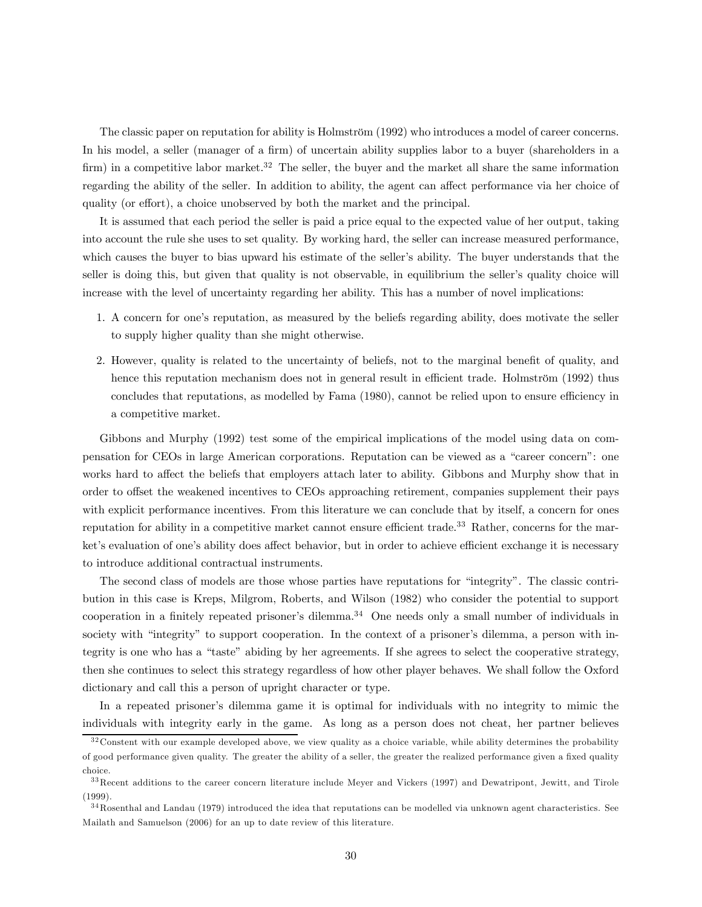The classic paper on reputation for ability is Holmström (1992) who introduces a model of career concerns. In his model, a seller (manager of a firm) of uncertain ability supplies labor to a buyer (shareholders in a firm) in a competitive labor market.<sup>32</sup> The seller, the buyer and the market all share the same information regarding the ability of the seller. In addition to ability, the agent can affect performance via her choice of quality (or effort), a choice unobserved by both the market and the principal.

It is assumed that each period the seller is paid a price equal to the expected value of her output, taking into account the rule she uses to set quality. By working hard, the seller can increase measured performance, which causes the buyer to bias upward his estimate of the seller's ability. The buyer understands that the seller is doing this, but given that quality is not observable, in equilibrium the seller's quality choice will increase with the level of uncertainty regarding her ability. This has a number of novel implications:

- 1. A concern for one's reputation, as measured by the beliefs regarding ability, does motivate the seller to supply higher quality than she might otherwise.
- 2. However, quality is related to the uncertainty of beliefs, not to the marginal benefit of quality, and hence this reputation mechanism does not in general result in efficient trade. Holmström (1992) thus concludes that reputations, as modelled by Fama (1980), cannot be relied upon to ensure efficiency in a competitive market.

Gibbons and Murphy (1992) test some of the empirical implications of the model using data on compensation for CEOs in large American corporations. Reputation can be viewed as a "career concern": one works hard to affect the beliefs that employers attach later to ability. Gibbons and Murphy show that in order to offset the weakened incentives to CEOs approaching retirement, companies supplement their pays with explicit performance incentives. From this literature we can conclude that by itself, a concern for ones reputation for ability in a competitive market cannot ensure efficient trade.<sup>33</sup> Rather, concerns for the market's evaluation of one's ability does affect behavior, but in order to achieve efficient exchange it is necessary to introduce additional contractual instruments.

The second class of models are those whose parties have reputations for "integrity". The classic contribution in this case is Kreps, Milgrom, Roberts, and Wilson (1982) who consider the potential to support cooperation in a finitely repeated prisoner's dilemma.<sup>34</sup> One needs only a small number of individuals in society with "integrity" to support cooperation. In the context of a prisoner's dilemma, a person with integrity is one who has a "taste" abiding by her agreements. If she agrees to select the cooperative strategy, then she continues to select this strategy regardless of how other player behaves. We shall follow the Oxford dictionary and call this a person of upright character or type.

In a repeated prisoner's dilemma game it is optimal for individuals with no integrity to mimic the individuals with integrity early in the game. As long as a person does not cheat, her partner believes

 $32$  Constent with our example developed above, we view quality as a choice variable, while ability determines the probability of good performance given quality. The greater the ability of a seller, the greater the realized performance given a fixed quality choice.

<sup>&</sup>lt;sup>33</sup> Recent additions to the career concern literature include Meyer and Vickers (1997) and Dewatripont, Jewitt, and Tirole (1999).

<sup>&</sup>lt;sup>34</sup>Rosenthal and Landau (1979) introduced the idea that reputations can be modelled via unknown agent characteristics. See Mailath and Samuelson (2006) for an up to date review of this literature.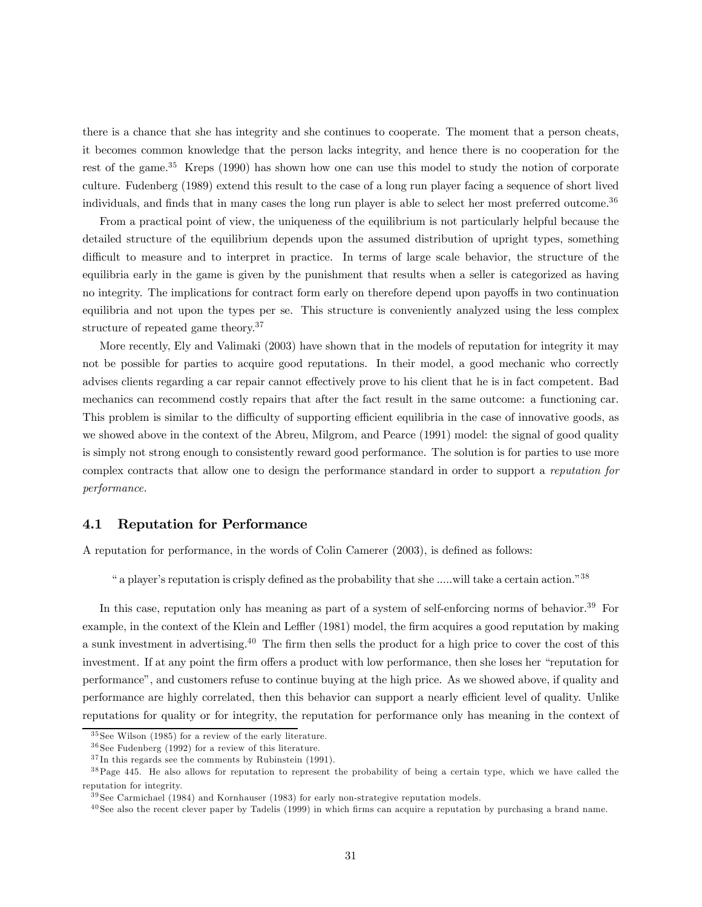there is a chance that she has integrity and she continues to cooperate. The moment that a person cheats, it becomes common knowledge that the person lacks integrity, and hence there is no cooperation for the rest of the game.<sup>35</sup> Kreps (1990) has shown how one can use this model to study the notion of corporate culture. Fudenberg (1989) extend this result to the case of a long run player facing a sequence of short lived individuals, and finds that in many cases the long run player is able to select her most preferred outcome.<sup>36</sup>

From a practical point of view, the uniqueness of the equilibrium is not particularly helpful because the detailed structure of the equilibrium depends upon the assumed distribution of upright types, something difficult to measure and to interpret in practice. In terms of large scale behavior, the structure of the equilibria early in the game is given by the punishment that results when a seller is categorized as having no integrity. The implications for contract form early on therefore depend upon payoffs in two continuation equilibria and not upon the types per se. This structure is conveniently analyzed using the less complex structure of repeated game theory.<sup>37</sup>

More recently, Ely and Valimaki (2003) have shown that in the models of reputation for integrity it may not be possible for parties to acquire good reputations. In their model, a good mechanic who correctly advises clients regarding a car repair cannot effectively prove to his client that he is in fact competent. Bad mechanics can recommend costly repairs that after the fact result in the same outcome: a functioning car. This problem is similar to the difficulty of supporting efficient equilibria in the case of innovative goods, as we showed above in the context of the Abreu, Milgrom, and Pearce (1991) model: the signal of good quality is simply not strong enough to consistently reward good performance. The solution is for parties to use more complex contracts that allow one to design the performance standard in order to support a reputation for performance.

#### 4.1 Reputation for Performance

A reputation for performance, in the words of Colin Camerer (2003), is defined as follows:

" a player's reputation is crisply defined as the probability that she .....will take a certain action."38

In this case, reputation only has meaning as part of a system of self-enforcing norms of behavior.<sup>39</sup> For example, in the context of the Klein and Leffler (1981) model, the firm acquires a good reputation by making a sunk investment in advertising.40 The firm then sells the product for a high price to cover the cost of this investment. If at any point the firm offers a product with low performance, then she loses her "reputation for performance", and customers refuse to continue buying at the high price. As we showed above, if quality and performance are highly correlated, then this behavior can support a nearly efficient level of quality. Unlike reputations for quality or for integrity, the reputation for performance only has meaning in the context of

<sup>3 5</sup> See Wilson (1985) for a review of the early literature.

 $36$  See Fudenberg (1992) for a review of this literature.

 $37 \text{In this regards see the comments by Rubinstein (1991).}$ 

<sup>&</sup>lt;sup>38</sup> Page 445. He also allows for reputation to represent the probability of being a certain type, which we have called the reputation for integrity.

<sup>3 9</sup> See Carmichael (1984) and Kornhauser (1983) for early non-strategive reputation models.

 $^{40}$  See also the recent clever paper by Tadelis (1999) in which firms can acquire a reputation by purchasing a brand name.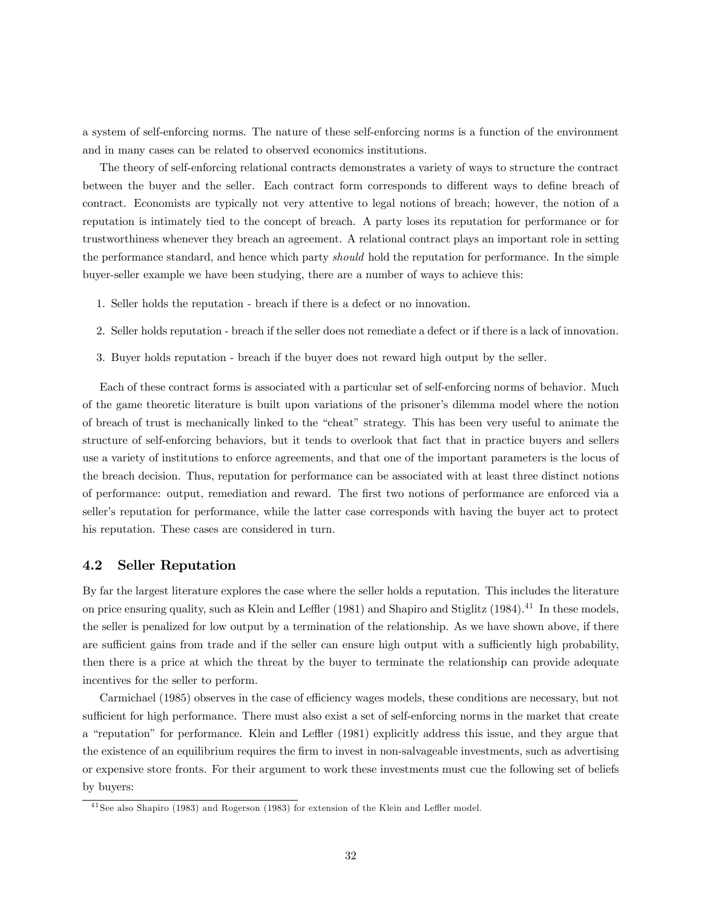a system of self-enforcing norms. The nature of these self-enforcing norms is a function of the environment and in many cases can be related to observed economics institutions.

The theory of self-enforcing relational contracts demonstrates a variety of ways to structure the contract between the buyer and the seller. Each contract form corresponds to different ways to define breach of contract. Economists are typically not very attentive to legal notions of breach; however, the notion of a reputation is intimately tied to the concept of breach. A party loses its reputation for performance or for trustworthiness whenever they breach an agreement. A relational contract plays an important role in setting the performance standard, and hence which party *should* hold the reputation for performance. In the simple buyer-seller example we have been studying, there are a number of ways to achieve this:

- 1. Seller holds the reputation breach if there is a defect or no innovation.
- 2. Seller holds reputation breach if the seller does not remediate a defect or if there is a lack of innovation.
- 3. Buyer holds reputation breach if the buyer does not reward high output by the seller.

Each of these contract forms is associated with a particular set of self-enforcing norms of behavior. Much of the game theoretic literature is built upon variations of the prisoner's dilemma model where the notion of breach of trust is mechanically linked to the "cheat" strategy. This has been very useful to animate the structure of self-enforcing behaviors, but it tends to overlook that fact that in practice buyers and sellers use a variety of institutions to enforce agreements, and that one of the important parameters is the locus of the breach decision. Thus, reputation for performance can be associated with at least three distinct notions of performance: output, remediation and reward. The first two notions of performance are enforced via a seller's reputation for performance, while the latter case corresponds with having the buyer act to protect his reputation. These cases are considered in turn.

#### 4.2 Seller Reputation

By far the largest literature explores the case where the seller holds a reputation. This includes the literature on price ensuring quality, such as Klein and Leffler (1981) and Shapiro and Stiglitz (1984).<sup>41</sup> In these models, the seller is penalized for low output by a termination of the relationship. As we have shown above, if there are sufficient gains from trade and if the seller can ensure high output with a sufficiently high probability, then there is a price at which the threat by the buyer to terminate the relationship can provide adequate incentives for the seller to perform.

Carmichael (1985) observes in the case of efficiency wages models, these conditions are necessary, but not sufficient for high performance. There must also exist a set of self-enforcing norms in the market that create a "reputation" for performance. Klein and Leffler (1981) explicitly address this issue, and they argue that the existence of an equilibrium requires the firm to invest in non-salvageable investments, such as advertising or expensive store fronts. For their argument to work these investments must cue the following set of beliefs by buyers:

<sup>&</sup>lt;sup>41</sup> See also Shapiro (1983) and Rogerson (1983) for extension of the Klein and Leffler model.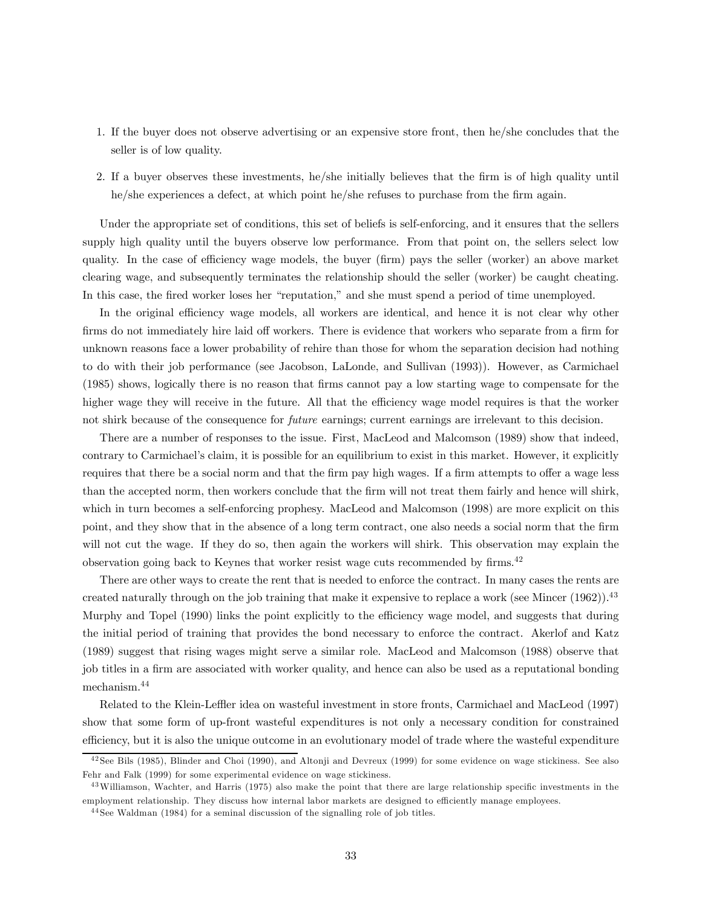- 1. If the buyer does not observe advertising or an expensive store front, then he/she concludes that the seller is of low quality.
- 2. If a buyer observes these investments, he/she initially believes that the firm is of high quality until he/she experiences a defect, at which point he/she refuses to purchase from the firm again.

Under the appropriate set of conditions, this set of beliefs is self-enforcing, and it ensures that the sellers supply high quality until the buyers observe low performance. From that point on, the sellers select low quality. In the case of efficiency wage models, the buyer (firm) pays the seller (worker) an above market clearing wage, and subsequently terminates the relationship should the seller (worker) be caught cheating. In this case, the fired worker loses her "reputation," and she must spend a period of time unemployed.

In the original efficiency wage models, all workers are identical, and hence it is not clear why other firms do not immediately hire laid off workers. There is evidence that workers who separate from a firm for unknown reasons face a lower probability of rehire than those for whom the separation decision had nothing to do with their job performance (see Jacobson, LaLonde, and Sullivan (1993)). However, as Carmichael (1985) shows, logically there is no reason that firms cannot pay a low starting wage to compensate for the higher wage they will receive in the future. All that the efficiency wage model requires is that the worker not shirk because of the consequence for *future* earnings; current earnings are irrelevant to this decision.

There are a number of responses to the issue. First, MacLeod and Malcomson (1989) show that indeed, contrary to Carmichael's claim, it is possible for an equilibrium to exist in this market. However, it explicitly requires that there be a social norm and that the firm pay high wages. If a firm attempts to offer a wage less than the accepted norm, then workers conclude that the firm will not treat them fairly and hence will shirk, which in turn becomes a self-enforcing prophesy. MacLeod and Malcomson (1998) are more explicit on this point, and they show that in the absence of a long term contract, one also needs a social norm that the firm will not cut the wage. If they do so, then again the workers will shirk. This observation may explain the observation going back to Keynes that worker resist wage cuts recommended by firms.<sup>42</sup>

There are other ways to create the rent that is needed to enforce the contract. In many cases the rents are created naturally through on the job training that make it expensive to replace a work (see Mincer  $(1962)$ ).<sup>43</sup> Murphy and Topel (1990) links the point explicitly to the efficiency wage model, and suggests that during the initial period of training that provides the bond necessary to enforce the contract. Akerlof and Katz (1989) suggest that rising wages might serve a similar role. MacLeod and Malcomson (1988) observe that job titles in a firm are associated with worker quality, and hence can also be used as a reputational bonding mechanism.44

Related to the Klein-Leffler idea on wasteful investment in store fronts, Carmichael and MacLeod (1997) show that some form of up-front wasteful expenditures is not only a necessary condition for constrained efficiency, but it is also the unique outcome in an evolutionary model of trade where the wasteful expenditure

<sup>&</sup>lt;sup>42</sup> See Bils (1985), Blinder and Choi (1990), and Altonji and Devreux (1999) for some evidence on wage stickiness. See also Fehr and Falk (1999) for some experimental evidence on wage stickiness.

<sup>&</sup>lt;sup>43</sup> Williamson, Wachter, and Harris (1975) also make the point that there are large relationship specific investments in the employment relationship. They discuss how internal labor markets are designed to efficiently manage employees.

<sup>&</sup>lt;sup>44</sup> See Waldman (1984) for a seminal discussion of the signalling role of job titles.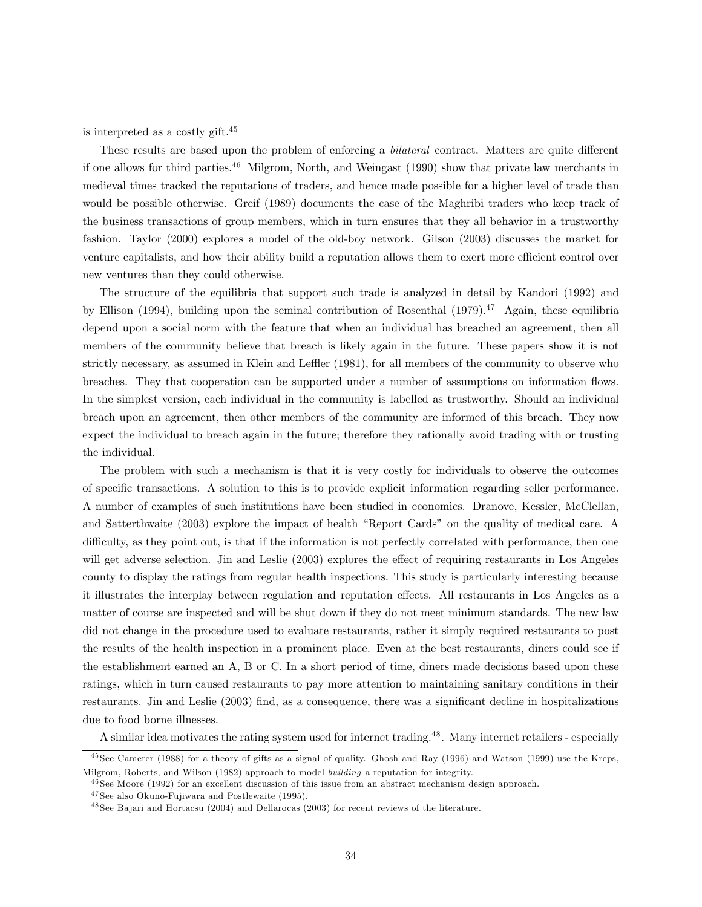is interpreted as a costly gift.45

These results are based upon the problem of enforcing a bilateral contract. Matters are quite different if one allows for third parties.<sup>46</sup> Milgrom, North, and Weingast (1990) show that private law merchants in medieval times tracked the reputations of traders, and hence made possible for a higher level of trade than would be possible otherwise. Greif (1989) documents the case of the Maghribi traders who keep track of the business transactions of group members, which in turn ensures that they all behavior in a trustworthy fashion. Taylor (2000) explores a model of the old-boy network. Gilson (2003) discusses the market for venture capitalists, and how their ability build a reputation allows them to exert more efficient control over new ventures than they could otherwise.

The structure of the equilibria that support such trade is analyzed in detail by Kandori (1992) and by Ellison (1994), building upon the seminal contribution of Rosenthal (1979).<sup>47</sup> Again, these equilibria depend upon a social norm with the feature that when an individual has breached an agreement, then all members of the community believe that breach is likely again in the future. These papers show it is not strictly necessary, as assumed in Klein and Leffler (1981), for all members of the community to observe who breaches. They that cooperation can be supported under a number of assumptions on information flows. In the simplest version, each individual in the community is labelled as trustworthy. Should an individual breach upon an agreement, then other members of the community are informed of this breach. They now expect the individual to breach again in the future; therefore they rationally avoid trading with or trusting the individual.

The problem with such a mechanism is that it is very costly for individuals to observe the outcomes of specific transactions. A solution to this is to provide explicit information regarding seller performance. A number of examples of such institutions have been studied in economics. Dranove, Kessler, McClellan, and Satterthwaite (2003) explore the impact of health "Report Cards" on the quality of medical care. A difficulty, as they point out, is that if the information is not perfectly correlated with performance, then one will get adverse selection. Jin and Leslie (2003) explores the effect of requiring restaurants in Los Angeles county to display the ratings from regular health inspections. This study is particularly interesting because it illustrates the interplay between regulation and reputation effects. All restaurants in Los Angeles as a matter of course are inspected and will be shut down if they do not meet minimum standards. The new law did not change in the procedure used to evaluate restaurants, rather it simply required restaurants to post the results of the health inspection in a prominent place. Even at the best restaurants, diners could see if the establishment earned an A, B or C. In a short period of time, diners made decisions based upon these ratings, which in turn caused restaurants to pay more attention to maintaining sanitary conditions in their restaurants. Jin and Leslie (2003) find, as a consequence, there was a significant decline in hospitalizations due to food borne illnesses.

A similar idea motivates the rating system used for internet trading.<sup>48</sup>. Many internet retailers - especially

<sup>&</sup>lt;sup>45</sup> See Camerer (1988) for a theory of gifts as a signal of quality. Ghosh and Ray (1996) and Watson (1999) use the Kreps, Milgrom, Roberts, and Wilson (1982) approach to model building a reputation for integrity.

<sup>&</sup>lt;sup>46</sup> See Moore (1992) for an excellent discussion of this issue from an abstract mechanism design approach.

<sup>&</sup>lt;sup>47</sup> See also Okuno-Fujiwara and Postlewaite (1995).

<sup>4 8</sup> See Ba jari and Hortacsu (2004) and Dellarocas (2003) for recent reviews of the literature.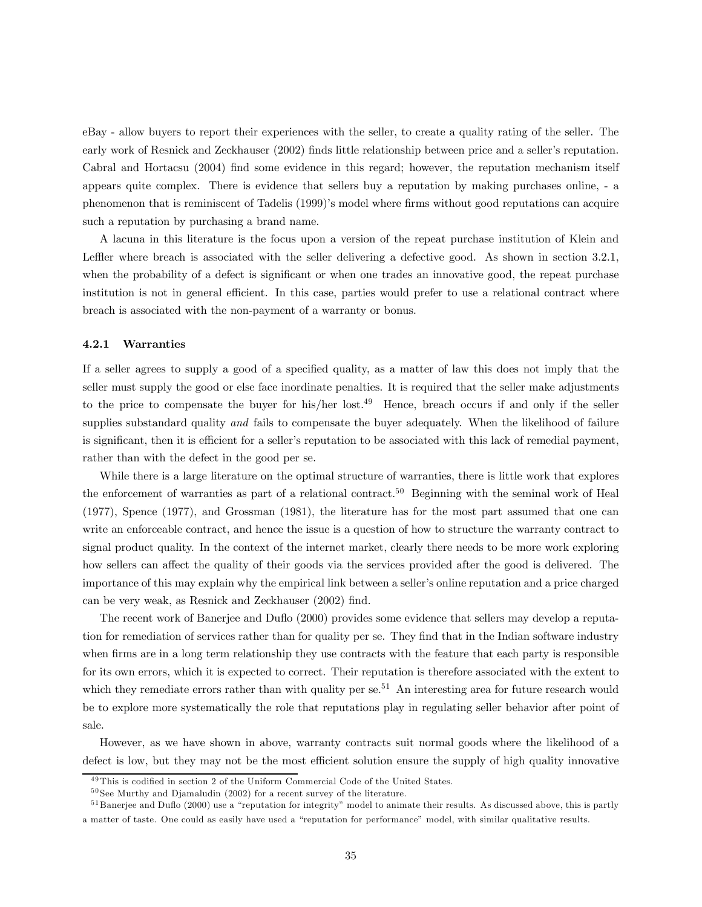eBay - allow buyers to report their experiences with the seller, to create a quality rating of the seller. The early work of Resnick and Zeckhauser (2002) finds little relationship between price and a seller's reputation. Cabral and Hortacsu (2004) find some evidence in this regard; however, the reputation mechanism itself appears quite complex. There is evidence that sellers buy a reputation by making purchases online, - a phenomenon that is reminiscent of Tadelis (1999)'s model where firms without good reputations can acquire such a reputation by purchasing a brand name.

A lacuna in this literature is the focus upon a version of the repeat purchase institution of Klein and Leffler where breach is associated with the seller delivering a defective good. As shown in section 3.2.1, when the probability of a defect is significant or when one trades an innovative good, the repeat purchase institution is not in general efficient. In this case, parties would prefer to use a relational contract where breach is associated with the non-payment of a warranty or bonus.

#### 4.2.1 Warranties

If a seller agrees to supply a good of a specified quality, as a matter of law this does not imply that the seller must supply the good or else face inordinate penalties. It is required that the seller make adjustments to the price to compensate the buyer for his/her lost.49 Hence, breach occurs if and only if the seller supplies substandard quality and fails to compensate the buyer adequately. When the likelihood of failure is significant, then it is efficient for a seller's reputation to be associated with this lack of remedial payment, rather than with the defect in the good per se.

While there is a large literature on the optimal structure of warranties, there is little work that explores the enforcement of warranties as part of a relational contract.<sup>50</sup> Beginning with the seminal work of Heal (1977), Spence (1977), and Grossman (1981), the literature has for the most part assumed that one can write an enforceable contract, and hence the issue is a question of how to structure the warranty contract to signal product quality. In the context of the internet market, clearly there needs to be more work exploring how sellers can affect the quality of their goods via the services provided after the good is delivered. The importance of this may explain why the empirical link between a seller's online reputation and a price charged can be very weak, as Resnick and Zeckhauser (2002) find.

The recent work of Banerjee and Duflo (2000) provides some evidence that sellers may develop a reputation for remediation of services rather than for quality per se. They find that in the Indian software industry when firms are in a long term relationship they use contracts with the feature that each party is responsible for its own errors, which it is expected to correct. Their reputation is therefore associated with the extent to which they remediate errors rather than with quality per se.<sup>51</sup> An interesting area for future research would be to explore more systematically the role that reputations play in regulating seller behavior after point of sale.

However, as we have shown in above, warranty contracts suit normal goods where the likelihood of a defect is low, but they may not be the most efficient solution ensure the supply of high quality innovative

 $^{49}\mathrm{This}$  is codified in section 2 of the Uniform Commercial Code of the United States.

 $50$  See Murthy and Djamaludin (2002) for a recent survey of the literature.

<sup>&</sup>lt;sup>51</sup> Banerjee and Duflo (2000) use a "reputation for integrity" model to animate their results. As discussed above, this is partly a matter of taste. One could as easily have used a "reputation for performance" model, with similar qualitative results.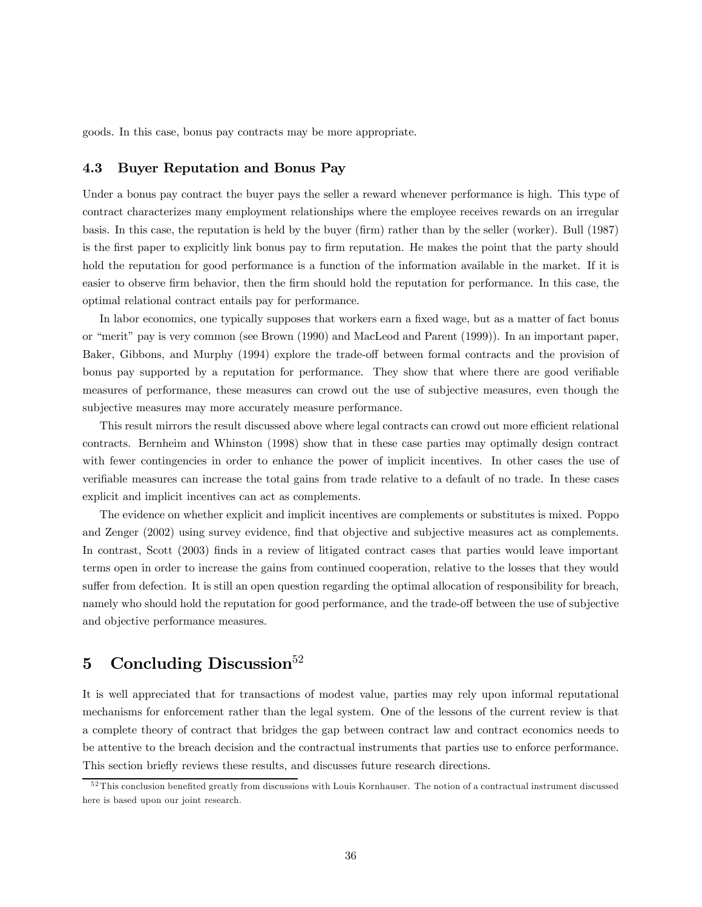goods. In this case, bonus pay contracts may be more appropriate.

#### 4.3 Buyer Reputation and Bonus Pay

Under a bonus pay contract the buyer pays the seller a reward whenever performance is high. This type of contract characterizes many employment relationships where the employee receives rewards on an irregular basis. In this case, the reputation is held by the buyer (firm) rather than by the seller (worker). Bull (1987) is the first paper to explicitly link bonus pay to firm reputation. He makes the point that the party should hold the reputation for good performance is a function of the information available in the market. If it is easier to observe firm behavior, then the firm should hold the reputation for performance. In this case, the optimal relational contract entails pay for performance.

In labor economics, one typically supposes that workers earn a fixed wage, but as a matter of fact bonus or "merit" pay is very common (see Brown (1990) and MacLeod and Parent (1999)). In an important paper, Baker, Gibbons, and Murphy (1994) explore the trade-off between formal contracts and the provision of bonus pay supported by a reputation for performance. They show that where there are good verifiable measures of performance, these measures can crowd out the use of subjective measures, even though the subjective measures may more accurately measure performance.

This result mirrors the result discussed above where legal contracts can crowd out more efficient relational contracts. Bernheim and Whinston (1998) show that in these case parties may optimally design contract with fewer contingencies in order to enhance the power of implicit incentives. In other cases the use of verifiable measures can increase the total gains from trade relative to a default of no trade. In these cases explicit and implicit incentives can act as complements.

The evidence on whether explicit and implicit incentives are complements or substitutes is mixed. Poppo and Zenger (2002) using survey evidence, find that objective and subjective measures act as complements. In contrast, Scott (2003) finds in a review of litigated contract cases that parties would leave important terms open in order to increase the gains from continued cooperation, relative to the losses that they would suffer from defection. It is still an open question regarding the optimal allocation of responsibility for breach, namely who should hold the reputation for good performance, and the trade-off between the use of subjective and objective performance measures.

## 5 Concluding Discussion<sup>52</sup>

It is well appreciated that for transactions of modest value, parties may rely upon informal reputational mechanisms for enforcement rather than the legal system. One of the lessons of the current review is that a complete theory of contract that bridges the gap between contract law and contract economics needs to be attentive to the breach decision and the contractual instruments that parties use to enforce performance. This section briefly reviews these results, and discusses future research directions.

<sup>&</sup>lt;sup>52</sup>This conclusion benefited greatly from discussions with Louis Kornhauser. The notion of a contractual instrument discussed here is based upon our joint research.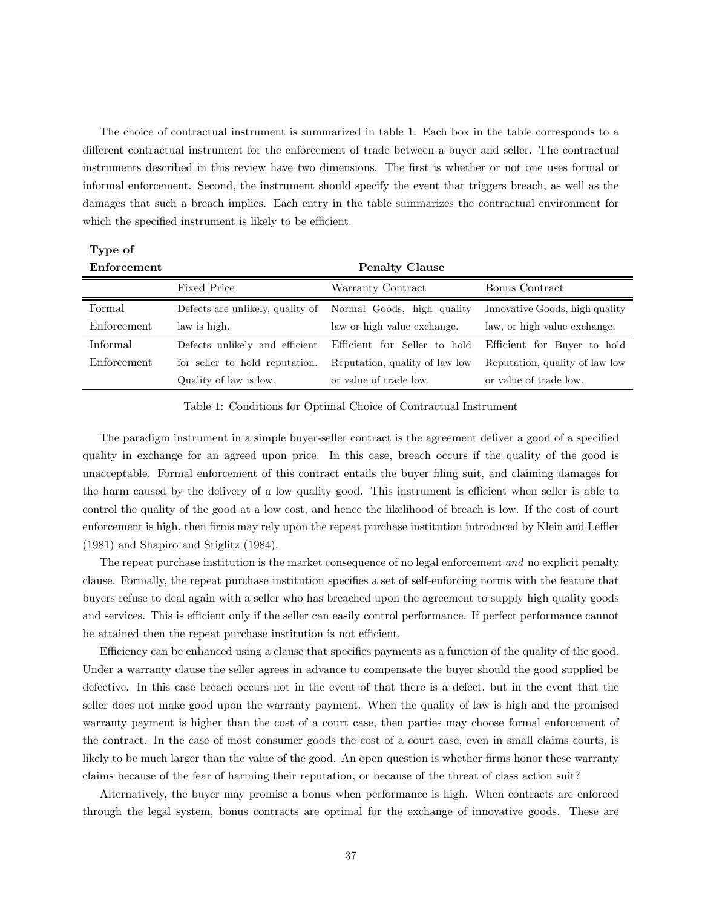The choice of contractual instrument is summarized in table 1. Each box in the table corresponds to a different contractual instrument for the enforcement of trade between a buyer and seller. The contractual instruments described in this review have two dimensions. The first is whether or not one uses formal or informal enforcement. Second, the instrument should specify the event that triggers breach, as well as the damages that such a breach implies. Each entry in the table summarizes the contractual environment for which the specified instrument is likely to be efficient.

#### Type of Enforcement Penalty Clause

| L'INDI COMPILE | τ σπαιν σταυσε                   |                                |                                |
|----------------|----------------------------------|--------------------------------|--------------------------------|
|                | Fixed Price                      | Warranty Contract              | Bonus Contract                 |
| Formal         | Defects are unlikely, quality of | Normal Goods, high quality     | Innovative Goods, high quality |
| Enforcement    | law is high.                     | law or high value exchange.    | law, or high value exchange.   |
| Informal       | Defects unlikely and efficient   | Efficient for Seller to hold   | Efficient for Buyer to hold    |
| Enforcement    | for seller to hold reputation.   | Reputation, quality of law low | Reputation, quality of law low |
|                | Quality of law is low.           | or value of trade low.         | or value of trade low.         |

Table 1: Conditions for Optimal Choice of Contractual Instrument

The paradigm instrument in a simple buyer-seller contract is the agreement deliver a good of a specified quality in exchange for an agreed upon price. In this case, breach occurs if the quality of the good is unacceptable. Formal enforcement of this contract entails the buyer filing suit, and claiming damages for the harm caused by the delivery of a low quality good. This instrument is efficient when seller is able to control the quality of the good at a low cost, and hence the likelihood of breach is low. If the cost of court enforcement is high, then firms may rely upon the repeat purchase institution introduced by Klein and Leffler (1981) and Shapiro and Stiglitz (1984).

The repeat purchase institution is the market consequence of no legal enforcement and no explicit penalty clause. Formally, the repeat purchase institution specifies a set of self-enforcing norms with the feature that buyers refuse to deal again with a seller who has breached upon the agreement to supply high quality goods and services. This is efficient only if the seller can easily control performance. If perfect performance cannot be attained then the repeat purchase institution is not efficient.

Efficiency can be enhanced using a clause that specifies payments as a function of the quality of the good. Under a warranty clause the seller agrees in advance to compensate the buyer should the good supplied be defective. In this case breach occurs not in the event of that there is a defect, but in the event that the seller does not make good upon the warranty payment. When the quality of law is high and the promised warranty payment is higher than the cost of a court case, then parties may choose formal enforcement of the contract. In the case of most consumer goods the cost of a court case, even in small claims courts, is likely to be much larger than the value of the good. An open question is whether firms honor these warranty claims because of the fear of harming their reputation, or because of the threat of class action suit?

Alternatively, the buyer may promise a bonus when performance is high. When contracts are enforced through the legal system, bonus contracts are optimal for the exchange of innovative goods. These are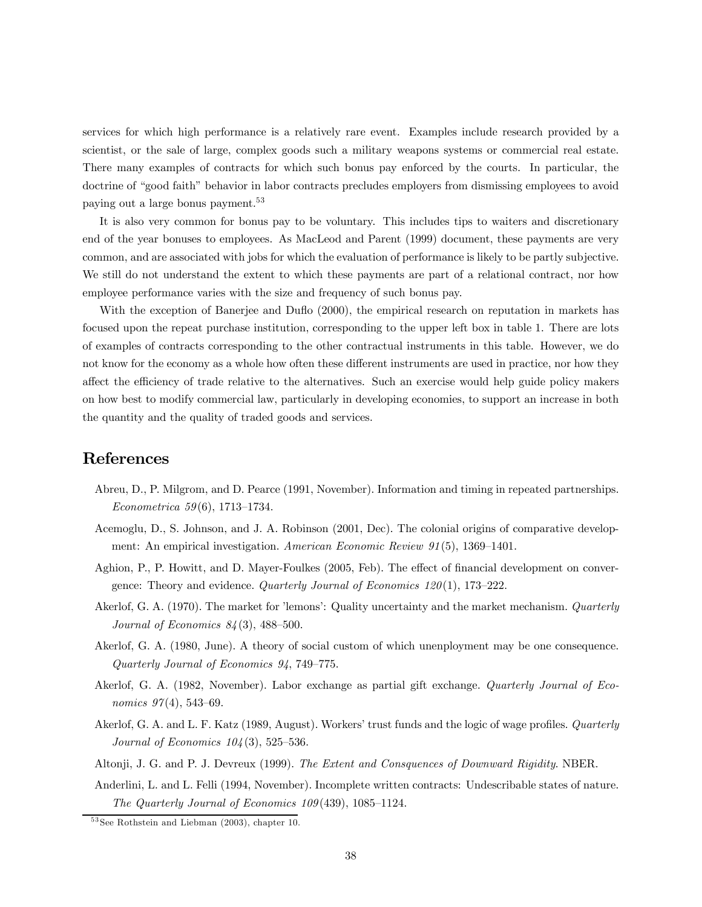services for which high performance is a relatively rare event. Examples include research provided by a scientist, or the sale of large, complex goods such a military weapons systems or commercial real estate. There many examples of contracts for which such bonus pay enforced by the courts. In particular, the doctrine of "good faith" behavior in labor contracts precludes employers from dismissing employees to avoid paying out a large bonus payment.<sup>53</sup>

It is also very common for bonus pay to be voluntary. This includes tips to waiters and discretionary end of the year bonuses to employees. As MacLeod and Parent (1999) document, these payments are very common, and are associated with jobs for which the evaluation of performance is likely to be partly subjective. We still do not understand the extent to which these payments are part of a relational contract, nor how employee performance varies with the size and frequency of such bonus pay.

With the exception of Banerjee and Duflo (2000), the empirical research on reputation in markets has focused upon the repeat purchase institution, corresponding to the upper left box in table 1. There are lots of examples of contracts corresponding to the other contractual instruments in this table. However, we do not know for the economy as a whole how often these different instruments are used in practice, nor how they affect the efficiency of trade relative to the alternatives. Such an exercise would help guide policy makers on how best to modify commercial law, particularly in developing economies, to support an increase in both the quantity and the quality of traded goods and services.

## References

- Abreu, D., P. Milgrom, and D. Pearce (1991, November). Information and timing in repeated partnerships. Econometrica 59 (6), 1713—1734.
- Acemoglu, D., S. Johnson, and J. A. Robinson (2001, Dec). The colonial origins of comparative development: An empirical investigation. American Economic Review 91(5), 1369—1401.
- Aghion, P., P. Howitt, and D. Mayer-Foulkes (2005, Feb). The effect of financial development on convergence: Theory and evidence. Quarterly Journal of Economics  $120(1)$ , 173-222.
- Akerlof, G. A. (1970). The market for 'lemons': Quality uncertainty and the market mechanism. Quarterly Journal of Economics  $84(3)$ , 488-500.
- Akerlof, G. A. (1980, June). A theory of social custom of which unenployment may be one consequence. Quarterly Journal of Economics 94, 749—775.
- Akerlof, G. A. (1982, November). Labor exchange as partial gift exchange. Quarterly Journal of Economics  $97(4)$ , 543-69.
- Akerlof, G. A. and L. F. Katz (1989, August). Workers' trust funds and the logic of wage profiles. Quarterly *Journal of Economics*  $104(3)$ , 525–536.
- Altonji, J. G. and P. J. Devreux (1999). The Extent and Consquences of Downward Rigidity. NBER.
- Anderlini, L. and L. Felli (1994, November). Incomplete written contracts: Undescribable states of nature. The Quarterly Journal of Economics 109 (439), 1085—1124.

 $53$  See Rothstein and Liebman (2003), chapter 10.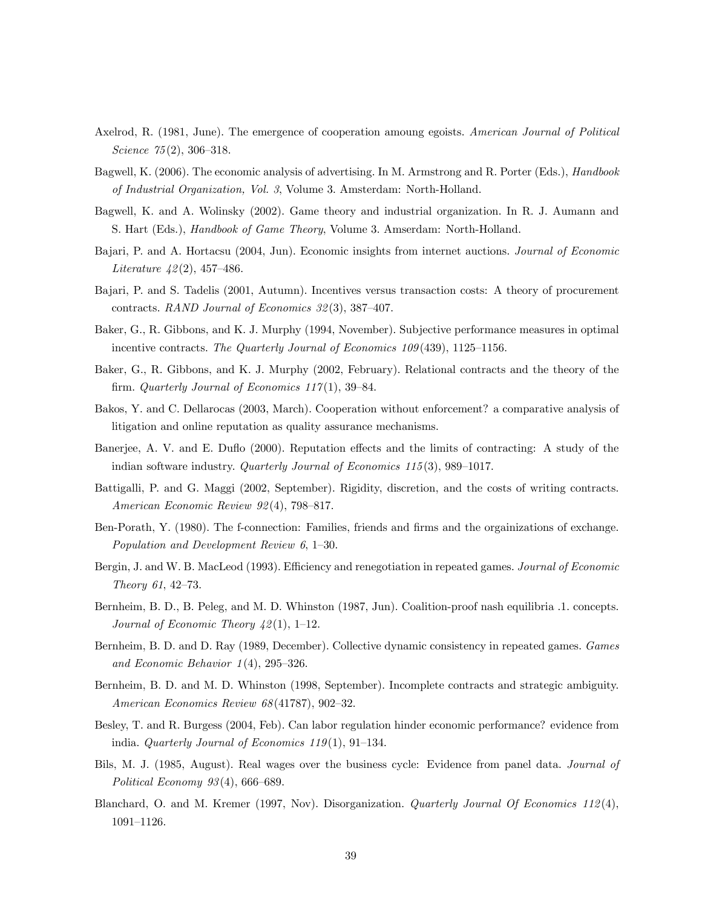- Axelrod, R. (1981, June). The emergence of cooperation amoung egoists. American Journal of Political Science 75(2), 306–318.
- Bagwell, K. (2006). The economic analysis of advertising. In M. Armstrong and R. Porter (Eds.), *Handbook* of Industrial Organization, Vol. 3, Volume 3. Amsterdam: North-Holland.
- Bagwell, K. and A. Wolinsky (2002). Game theory and industrial organization. In R. J. Aumann and S. Hart (Eds.), Handbook of Game Theory, Volume 3. Amserdam: North-Holland.
- Bajari, P. and A. Hortacsu (2004, Jun). Economic insights from internet auctions. Journal of Economic *Literature*  $42(2)$ , 457–486.
- Bajari, P. and S. Tadelis (2001, Autumn). Incentives versus transaction costs: A theory of procurement contracts. RAND Journal of Economics 32 (3), 387—407.
- Baker, G., R. Gibbons, and K. J. Murphy (1994, November). Subjective performance measures in optimal incentive contracts. The Quarterly Journal of Economics 109(439), 1125-1156.
- Baker, G., R. Gibbons, and K. J. Murphy (2002, February). Relational contracts and the theory of the firm. Quarterly Journal of Economics  $117(1)$ , 39-84.
- Bakos, Y. and C. Dellarocas (2003, March). Cooperation without enforcement? a comparative analysis of litigation and online reputation as quality assurance mechanisms.
- Banerjee, A. V. and E. Duflo (2000). Reputation effects and the limits of contracting: A study of the indian software industry. *Quarterly Journal of Economics 115*(3), 989-1017.
- Battigalli, P. and G. Maggi (2002, September). Rigidity, discretion, and the costs of writing contracts. American Economic Review 92 (4), 798—817.
- Ben-Porath, Y. (1980). The f-connection: Families, friends and firms and the orgainizations of exchange. Population and Development Review 6, 1—30.
- Bergin, J. and W. B. MacLeod (1993). Efficiency and renegotiation in repeated games. Journal of Economic Theory 61, 42—73.
- Bernheim, B. D., B. Peleg, and M. D. Whinston (1987, Jun). Coalition-proof nash equilibria .1. concepts. Journal of Economic Theory  $\frac{1}{2}(1)$ , 1–12.
- Bernheim, B. D. and D. Ray (1989, December). Collective dynamic consistency in repeated games. Games and Economic Behavior  $1(4)$ , 295-326.
- Bernheim, B. D. and M. D. Whinston (1998, September). Incomplete contracts and strategic ambiguity. American Economics Review 68 (41787), 902—32.
- Besley, T. and R. Burgess (2004, Feb). Can labor regulation hinder economic performance? evidence from india. Quarterly Journal of Economics  $119(1)$ , 91-134.
- Bils, M. J. (1985, August). Real wages over the business cycle: Evidence from panel data. Journal of Political Economy  $93(4)$ , 666–689.
- Blanchard, O. and M. Kremer (1997, Nov). Disorganization. *Quarterly Journal Of Economics* 112(4), 1091—1126.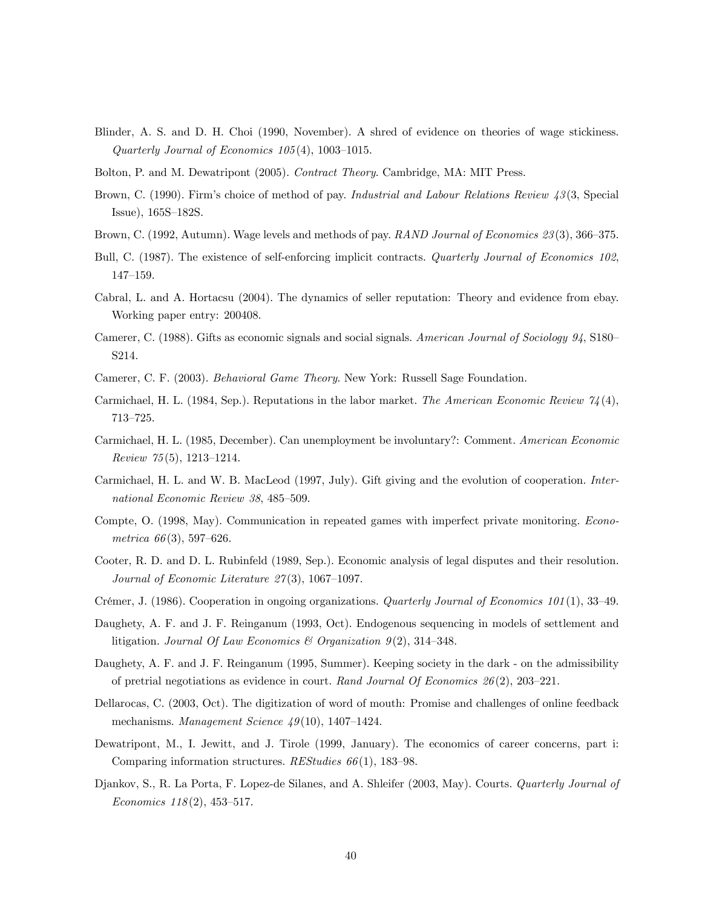- Blinder, A. S. and D. H. Choi (1990, November). A shred of evidence on theories of wage stickiness. Quarterly Journal of Economics 105 (4), 1003—1015.
- Bolton, P. and M. Dewatripont (2005). Contract Theory. Cambridge, MA: MIT Press.
- Brown, C. (1990). Firm's choice of method of pay. Industrial and Labour Relations Review 43(3, Special Issue), 165S—182S.
- Brown, C. (1992, Autumn). Wage levels and methods of pay. RAND Journal of Economics 23(3), 366–375.
- Bull, C. (1987). The existence of self-enforcing implicit contracts. Quarterly Journal of Economics 102, 147—159.
- Cabral, L. and A. Hortacsu (2004). The dynamics of seller reputation: Theory and evidence from ebay. Working paper entry: 200408.
- Camerer, C. (1988). Gifts as economic signals and social signals. American Journal of Sociology 94, S180— S214.
- Camerer, C. F. (2003). Behavioral Game Theory. New York: Russell Sage Foundation.
- Carmichael, H. L. (1984, Sep.). Reputations in the labor market. The American Economic Review  $\mathcal{U}_4(4)$ , 713—725.
- Carmichael, H. L. (1985, December). Can unemployment be involuntary?: Comment. American Economic Review 75 (5), 1213—1214.
- Carmichael, H. L. and W. B. MacLeod (1997, July). Gift giving and the evolution of cooperation. International Economic Review 38, 485—509.
- Compte, O. (1998, May). Communication in repeated games with imperfect private monitoring. Econometrica  $66(3)$ , 597–626.
- Cooter, R. D. and D. L. Rubinfeld (1989, Sep.). Economic analysis of legal disputes and their resolution. Journal of Economic Literature  $27(3)$ , 1067-1097.
- Crémer, J. (1986). Cooperation in ongoing organizations. Quarterly Journal of Economics 101 (1), 33—49.
- Daughety, A. F. and J. F. Reinganum (1993, Oct). Endogenous sequencing in models of settlement and litigation. Journal Of Law Economics & Organization  $9(2)$ , 314-348.
- Daughety, A. F. and J. F. Reinganum (1995, Summer). Keeping society in the dark on the admissibility of pretrial negotiations as evidence in court. Rand Journal Of Economics  $26(2)$ ,  $203-221$ .
- Dellarocas, C. (2003, Oct). The digitization of word of mouth: Promise and challenges of online feedback mechanisms. Management Science  $49(10)$ , 1407-1424.
- Dewatripont, M., I. Jewitt, and J. Tirole (1999, January). The economics of career concerns, part i: Comparing information structures.  $REStudies 66(1), 183-98.$
- Djankov, S., R. La Porta, F. Lopez-de Silanes, and A. Shleifer (2003, May). Courts. Quarterly Journal of Economics  $118(2)$ , 453-517.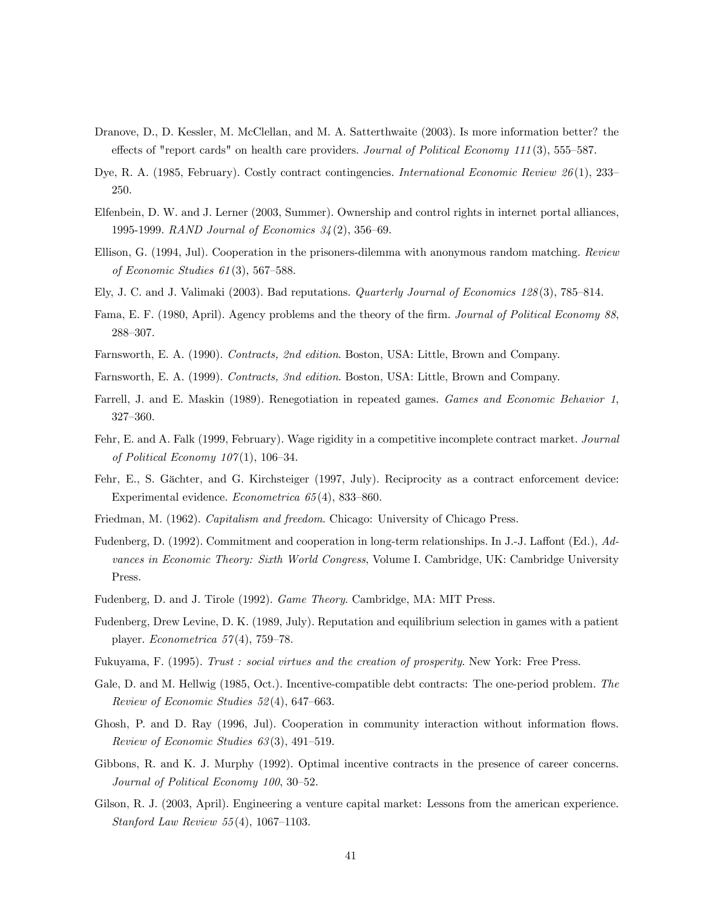- Dranove, D., D. Kessler, M. McClellan, and M. A. Satterthwaite (2003). Is more information better? the effects of "report cards" on health care providers. Journal of Political Economy 111(3), 555–587.
- Dye, R. A. (1985, February). Costly contract contingencies. International Economic Review 26(1), 233– 250.
- Elfenbein, D. W. and J. Lerner (2003, Summer). Ownership and control rights in internet portal alliances, 1995-1999. RAND Journal of Economics 34 (2), 356—69.
- Ellison, G. (1994, Jul). Cooperation in the prisoners-dilemma with anonymous random matching. Review of Economic Studies 61 (3), 567—588.
- Ely, J. C. and J. Valimaki (2003). Bad reputations. Quarterly Journal of Economics 128 (3), 785—814.
- Fama, E. F. (1980, April). Agency problems and the theory of the firm. Journal of Political Economy 88, 288—307.
- Farnsworth, E. A. (1990). Contracts, 2nd edition. Boston, USA: Little, Brown and Company.
- Farnsworth, E. A. (1999). Contracts, 3nd edition. Boston, USA: Little, Brown and Company.
- Farrell, J. and E. Maskin (1989). Renegotiation in repeated games. Games and Economic Behavior 1, 327—360.
- Fehr, E. and A. Falk (1999, February). Wage rigidity in a competitive incomplete contract market. Journal of Political Economy  $107(1)$ , 106-34.
- Fehr, E., S. Gächter, and G. Kirchsteiger (1997, July). Reciprocity as a contract enforcement device: Experimental evidence. Econometrica 65 (4), 833—860.
- Friedman, M. (1962). Capitalism and freedom. Chicago: University of Chicago Press.
- Fudenberg, D. (1992). Commitment and cooperation in long-term relationships. In J.-J. Laffont (Ed.), Advances in Economic Theory: Sixth World Congress, Volume I. Cambridge, UK: Cambridge University Press.
- Fudenberg, D. and J. Tirole (1992). Game Theory. Cambridge, MA: MIT Press.
- Fudenberg, Drew Levine, D. K. (1989, July). Reputation and equilibrium selection in games with a patient player. *Econometrica* 57(4), 759–78.
- Fukuyama, F. (1995). Trust : social virtues and the creation of prosperity. New York: Free Press.
- Gale, D. and M. Hellwig (1985, Oct.). Incentive-compatible debt contracts: The one-period problem. The Review of Economic Studies 52 (4), 647—663.
- Ghosh, P. and D. Ray (1996, Jul). Cooperation in community interaction without information flows. Review of Economic Studies 63 (3), 491—519.
- Gibbons, R. and K. J. Murphy (1992). Optimal incentive contracts in the presence of career concerns. Journal of Political Economy 100, 30—52.
- Gilson, R. J. (2003, April). Engineering a venture capital market: Lessons from the american experience. Stanford Law Review 55 (4), 1067—1103.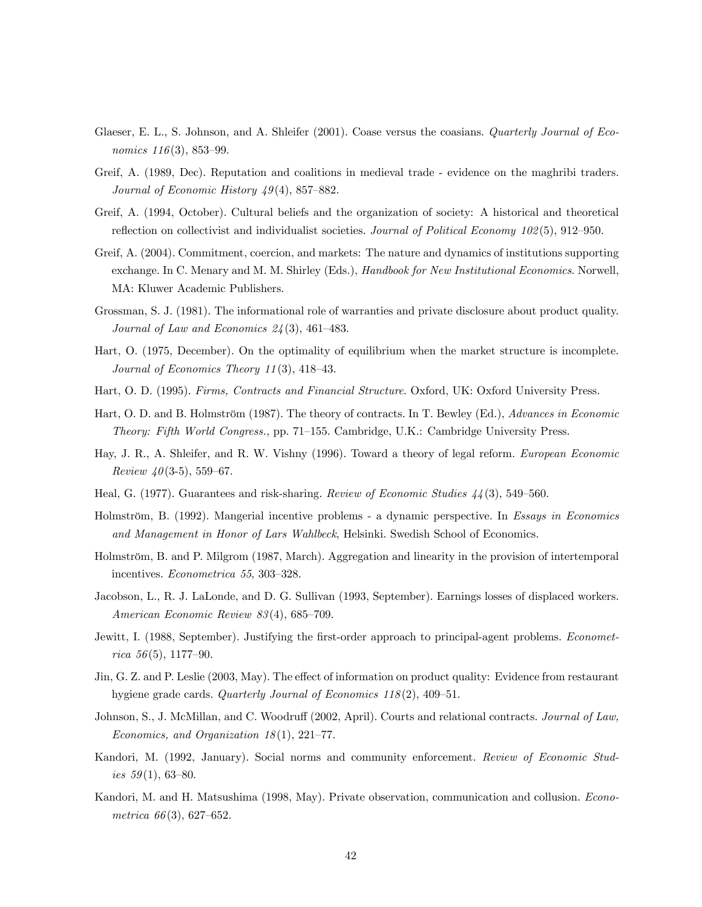- Glaeser, E. L., S. Johnson, and A. Shleifer (2001). Coase versus the coasians. Quarterly Journal of Economics  $116(3)$ , 853-99.
- Greif, A. (1989, Dec). Reputation and coalitions in medieval trade evidence on the maghribi traders. Journal of Economic History  $49(4)$ , 857–882.
- Greif, A. (1994, October). Cultural beliefs and the organization of society: A historical and theoretical reflection on collectivist and individualist societies. Journal of Political Economy 102(5), 912–950.
- Greif, A. (2004). Commitment, coercion, and markets: The nature and dynamics of institutions supporting exchange. In C. Menary and M. M. Shirley (Eds.), *Handbook for New Institutional Economics*. Norwell, MA: Kluwer Academic Publishers.
- Grossman, S. J. (1981). The informational role of warranties and private disclosure about product quality. Journal of Law and Economics 24 (3), 461—483.
- Hart, O. (1975, December). On the optimality of equilibrium when the market structure is incomplete. Journal of Economics Theory 11 (3), 418—43.
- Hart, O. D. (1995). Firms, Contracts and Financial Structure. Oxford, UK: Oxford University Press.
- Hart, O. D. and B. Holmström (1987). The theory of contracts. In T. Bewley (Ed.), Advances in Economic Theory: Fifth World Congress., pp. 71—155. Cambridge, U.K.: Cambridge University Press.
- Hay, J. R., A. Shleifer, and R. W. Vishny (1996). Toward a theory of legal reform. European Economic Review  $40(3-5)$ , 559-67.
- Heal, G. (1977). Guarantees and risk-sharing. Review of Economic Studies 44 (3), 549—560.
- Holmström, B. (1992). Mangerial incentive problems a dynamic perspective. In Essays in Economics and Management in Honor of Lars Wahlbeck, Helsinki. Swedish School of Economics.
- Holmström, B. and P. Milgrom (1987, March). Aggregation and linearity in the provision of intertemporal incentives. Econometrica 55, 303—328.
- Jacobson, L., R. J. LaLonde, and D. G. Sullivan (1993, September). Earnings losses of displaced workers. American Economic Review 83 (4), 685—709.
- Jewitt, I. (1988, September). Justifying the first-order approach to principal-agent problems. *Economet* $rica 56(5), 1177-90.$
- Jin, G. Z. and P. Leslie (2003, May). The effect of information on product quality: Evidence from restaurant hygiene grade cards. *Quarterly Journal of Economics 118* (2), 409–51.
- Johnson, S., J. McMillan, and C. Woodruff (2002, April). Courts and relational contracts. Journal of Law, Economics, and Organization  $18(1)$ ,  $221-77$ .
- Kandori, M. (1992, January). Social norms and community enforcement. Review of Economic Studies  $59(1)$ , 63-80.
- Kandori, M. and H. Matsushima (1998, May). Private observation, communication and collusion. Econometrica  $66(3)$ , 627–652.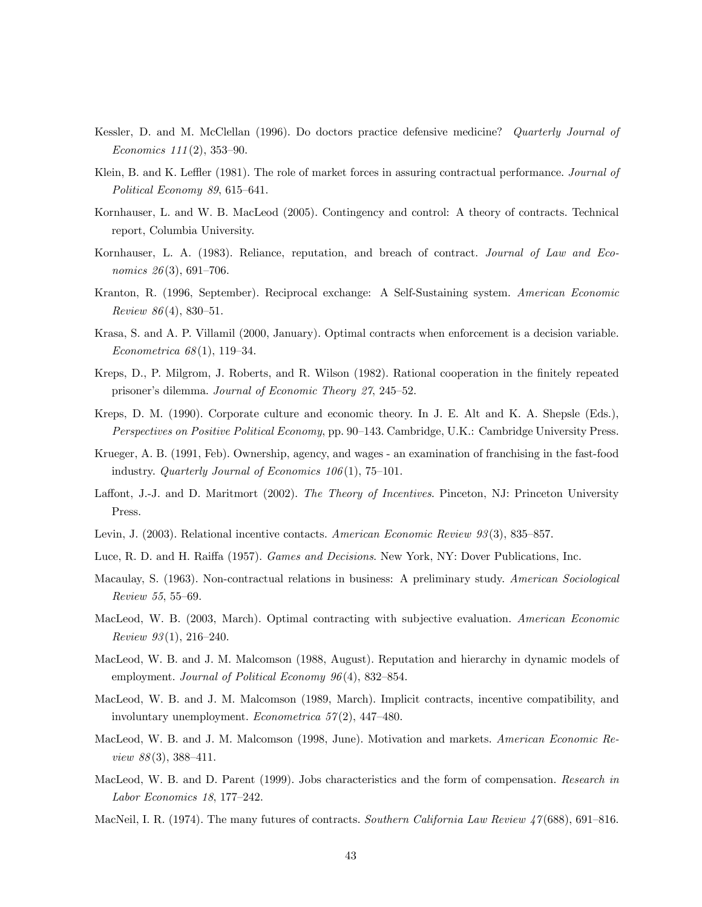- Kessler, D. and M. McClellan (1996). Do doctors practice defensive medicine? Quarterly Journal of Economics  $111(2)$ , 353-90.
- Klein, B. and K. Leffler (1981). The role of market forces in assuring contractual performance. Journal of Political Economy 89, 615—641.
- Kornhauser, L. and W. B. MacLeod (2005). Contingency and control: A theory of contracts. Technical report, Columbia University.
- Kornhauser, L. A. (1983). Reliance, reputation, and breach of contract. Journal of Law and Economics 26(3), 691-706.
- Kranton, R. (1996, September). Reciprocal exchange: A Self-Sustaining system. American Economic  $Review 86(4), 830-51.$
- Krasa, S. and A. P. Villamil (2000, January). Optimal contracts when enforcement is a decision variable. Econometrica 68 (1), 119—34.
- Kreps, D., P. Milgrom, J. Roberts, and R. Wilson (1982). Rational cooperation in the finitely repeated prisoner's dilemma. Journal of Economic Theory 27, 245—52.
- Kreps, D. M. (1990). Corporate culture and economic theory. In J. E. Alt and K. A. Shepsle (Eds.), Perspectives on Positive Political Economy, pp. 90—143. Cambridge, U.K.: Cambridge University Press.
- Krueger, A. B. (1991, Feb). Ownership, agency, and wages an examination of franchising in the fast-food industry. Quarterly Journal of Economics  $106(1)$ , 75-101.
- Laffont, J.-J. and D. Maritmort (2002). The Theory of Incentives. Pinceton, NJ: Princeton University Press.
- Levin, J. (2003). Relational incentive contacts. American Economic Review 93(3), 835–857.
- Luce, R. D. and H. Raiffa (1957). Games and Decisions. New York, NY: Dover Publications, Inc.
- Macaulay, S. (1963). Non-contractual relations in business: A preliminary study. American Sociological Review 55, 55—69.
- MacLeod, W. B. (2003, March). Optimal contracting with subjective evaluation. American Economic *Review 93* $(1), 216-240$ .
- MacLeod, W. B. and J. M. Malcomson (1988, August). Reputation and hierarchy in dynamic models of employment. Journal of Political Economy 96(4), 832–854.
- MacLeod, W. B. and J. M. Malcomson (1989, March). Implicit contracts, incentive compatibility, and involuntary unemployment. Econometrica  $57(2)$ , 447-480.
- MacLeod, W. B. and J. M. Malcomson (1998, June). Motivation and markets. American Economic Re*view 88* $(3)$ , 388–411.
- MacLeod, W. B. and D. Parent (1999). Jobs characteristics and the form of compensation. Research in Labor Economics 18, 177—242.
- MacNeil, I. R. (1974). The many futures of contracts. Southern California Law Review 47(688), 691–816.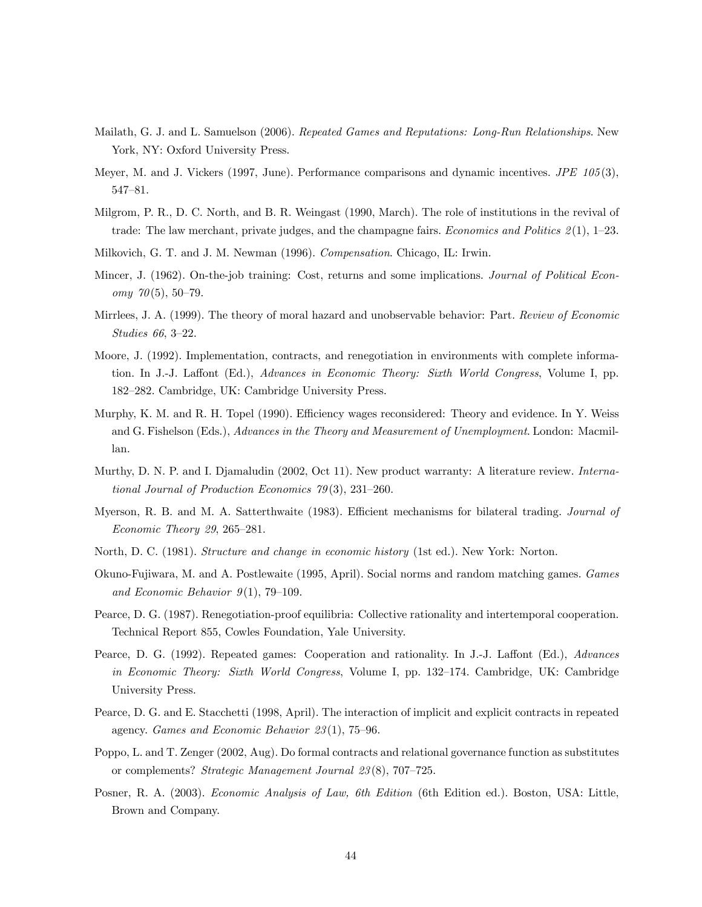- Mailath, G. J. and L. Samuelson (2006). Repeated Games and Reputations: Long-Run Relationships. New York, NY: Oxford University Press.
- Meyer, M. and J. Vickers (1997, June). Performance comparisons and dynamic incentives. JPE 105 (3), 547—81.
- Milgrom, P. R., D. C. North, and B. R. Weingast (1990, March). The role of institutions in the revival of trade: The law merchant, private judges, and the champagne fairs. *Economics and Politics*  $\mathcal{Z}(1)$ , 1–23.
- Milkovich, G. T. and J. M. Newman (1996). Compensation. Chicago, IL: Irwin.
- Mincer, J. (1962). On-the-job training: Cost, returns and some implications. Journal of Political Econ $omu$  70(5), 50–79.
- Mirrlees, J. A. (1999). The theory of moral hazard and unobservable behavior: Part. Review of Economic Studies 66, 3—22.
- Moore, J. (1992). Implementation, contracts, and renegotiation in environments with complete information. In J.-J. Laffont (Ed.), Advances in Economic Theory: Sixth World Congress, Volume I, pp. 182—282. Cambridge, UK: Cambridge University Press.
- Murphy, K. M. and R. H. Topel (1990). Efficiency wages reconsidered: Theory and evidence. In Y. Weiss and G. Fishelson (Eds.), Advances in the Theory and Measurement of Unemployment. London: Macmillan.
- Murthy, D. N. P. and I. Djamaludin (2002, Oct 11). New product warranty: A literature review. International Journal of Production Economics 79 (3), 231—260.
- Myerson, R. B. and M. A. Satterthwaite (1983). Efficient mechanisms for bilateral trading. Journal of Economic Theory 29, 265—281.
- North, D. C. (1981). Structure and change in economic history (1st ed.). New York: Norton.
- Okuno-Fujiwara, M. and A. Postlewaite (1995, April). Social norms and random matching games. Games and Economic Behavior  $9(1)$ , 79-109.
- Pearce, D. G. (1987). Renegotiation-proof equilibria: Collective rationality and intertemporal cooperation. Technical Report 855, Cowles Foundation, Yale University.
- Pearce, D. G. (1992). Repeated games: Cooperation and rationality. In J.-J. Laffont (Ed.), Advances in Economic Theory: Sixth World Congress, Volume I, pp. 132—174. Cambridge, UK: Cambridge University Press.
- Pearce, D. G. and E. Stacchetti (1998, April). The interaction of implicit and explicit contracts in repeated agency. Games and Economic Behavior 23 (1), 75—96.
- Poppo, L. and T. Zenger (2002, Aug). Do formal contracts and relational governance function as substitutes or complements? Strategic Management Journal 23 (8), 707—725.
- Posner, R. A. (2003). Economic Analysis of Law, 6th Edition (6th Edition ed.). Boston, USA: Little, Brown and Company.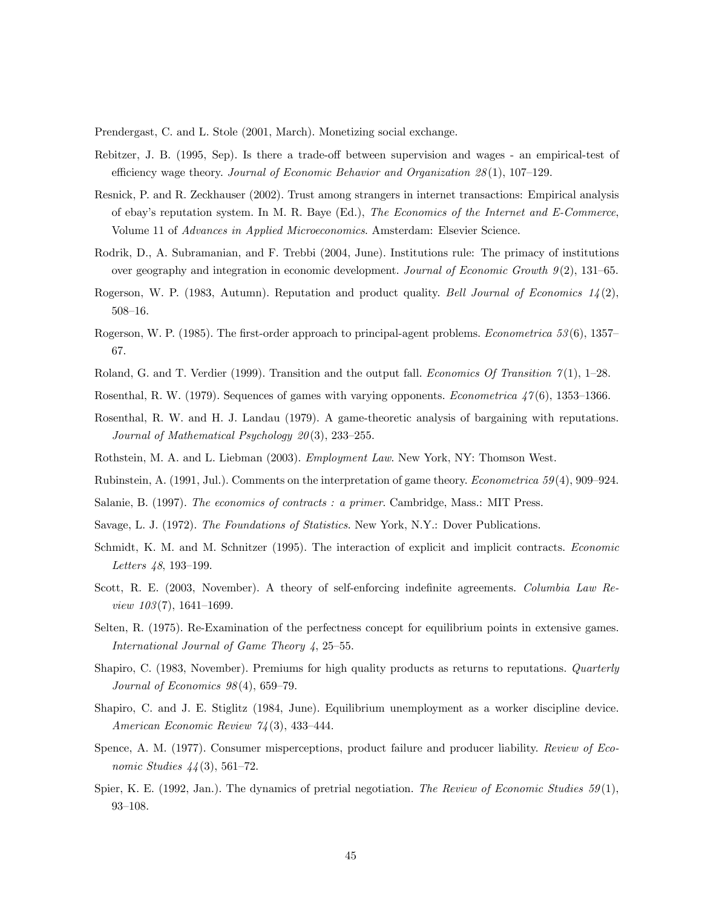Prendergast, C. and L. Stole (2001, March). Monetizing social exchange.

- Rebitzer, J. B. (1995, Sep). Is there a trade-off between supervision and wages an empirical-test of efficiency wage theory. Journal of Economic Behavior and Organization  $28(1)$ , 107-129.
- Resnick, P. and R. Zeckhauser (2002). Trust among strangers in internet transactions: Empirical analysis of ebay's reputation system. In M. R. Baye (Ed.), The Economics of the Internet and E-Commerce, Volume 11 of *Advances in Applied Microeconomics*. Amsterdam: Elsevier Science.
- Rodrik, D., A. Subramanian, and F. Trebbi (2004, June). Institutions rule: The primacy of institutions over geography and integration in economic development. Journal of Economic Growth 9 (2), 131—65.
- Rogerson, W. P. (1983, Autumn). Reputation and product quality. Bell Journal of Economics  $1/2(2)$ , 508—16.
- Rogerson, W. P. (1985). The first-order approach to principal-agent problems. Econometrica 53 (6), 1357— 67.
- Roland, G. and T. Verdier (1999). Transition and the output fall. Economics Of Transition  $\gamma(1)$ , 1-28.
- Rosenthal, R. W. (1979). Sequences of games with varying opponents. *Econometrica* 47(6), 1353–1366.
- Rosenthal, R. W. and H. J. Landau (1979). A game-theoretic analysis of bargaining with reputations. Journal of Mathematical Psychology 20(3), 233-255.
- Rothstein, M. A. and L. Liebman (2003). Employment Law. New York, NY: Thomson West.
- Rubinstein, A. (1991, Jul.). Comments on the interpretation of game theory. Econometrica 59 (4), 909—924.
- Salanie, B. (1997). The economics of contracts : a primer. Cambridge, Mass.: MIT Press.
- Savage, L. J. (1972). The Foundations of Statistics. New York, N.Y.: Dover Publications.
- Schmidt, K. M. and M. Schnitzer (1995). The interaction of explicit and implicit contracts. Economic Letters 48, 193—199.
- Scott, R. E. (2003, November). A theory of self-enforcing indefinite agreements. Columbia Law Review  $103(7)$ , 1641-1699.
- Selten, R. (1975). Re-Examination of the perfectness concept for equilibrium points in extensive games. International Journal of Game Theory 4, 25—55.
- Shapiro, C. (1983, November). Premiums for high quality products as returns to reputations. Quarterly Journal of Economics  $98(4)$ , 659-79.
- Shapiro, C. and J. E. Stiglitz (1984, June). Equilibrium unemployment as a worker discipline device. American Economic Review 74 (3), 433—444.
- Spence, A. M. (1977). Consumer misperceptions, product failure and producer liability. Review of Economic Studies  $44(3)$ , 561–72.
- Spier, K. E. (1992, Jan.). The dynamics of pretrial negotiation. The Review of Economic Studies  $59(1)$ , 93—108.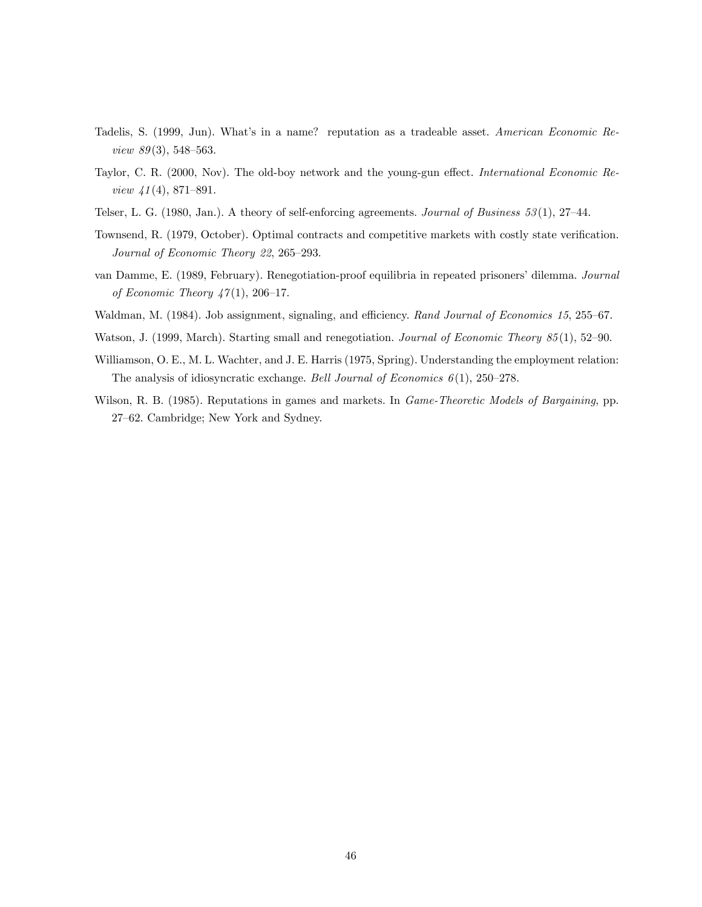- Tadelis, S. (1999, Jun). What's in a name? reputation as a tradeable asset. American Economic Review  $89(3)$ , 548-563.
- Taylor, C. R. (2000, Nov). The old-boy network and the young-gun effect. International Economic Review  $41(4)$ , 871–891.
- Telser, L. G. (1980, Jan.). A theory of self-enforcing agreements. Journal of Business 53 (1), 27—44.
- Townsend, R. (1979, October). Optimal contracts and competitive markets with costly state verification. Journal of Economic Theory 22, 265—293.
- van Damme, E. (1989, February). Renegotiation-proof equilibria in repeated prisoners' dilemma. Journal of Economic Theory  $47(1)$ , 206-17.
- Waldman, M. (1984). Job assignment, signaling, and efficiency. Rand Journal of Economics 15, 255–67.
- Watson, J. (1999, March). Starting small and renegotiation. Journal of Economic Theory 85(1), 52–90.
- Williamson, O. E., M. L. Wachter, and J. E. Harris (1975, Spring). Understanding the employment relation: The analysis of idiosyncratic exchange. Bell Journal of Economics  $6(1)$ , 250–278.
- Wilson, R. B. (1985). Reputations in games and markets. In *Game-Theoretic Models of Bargaining*, pp. 27—62. Cambridge; New York and Sydney.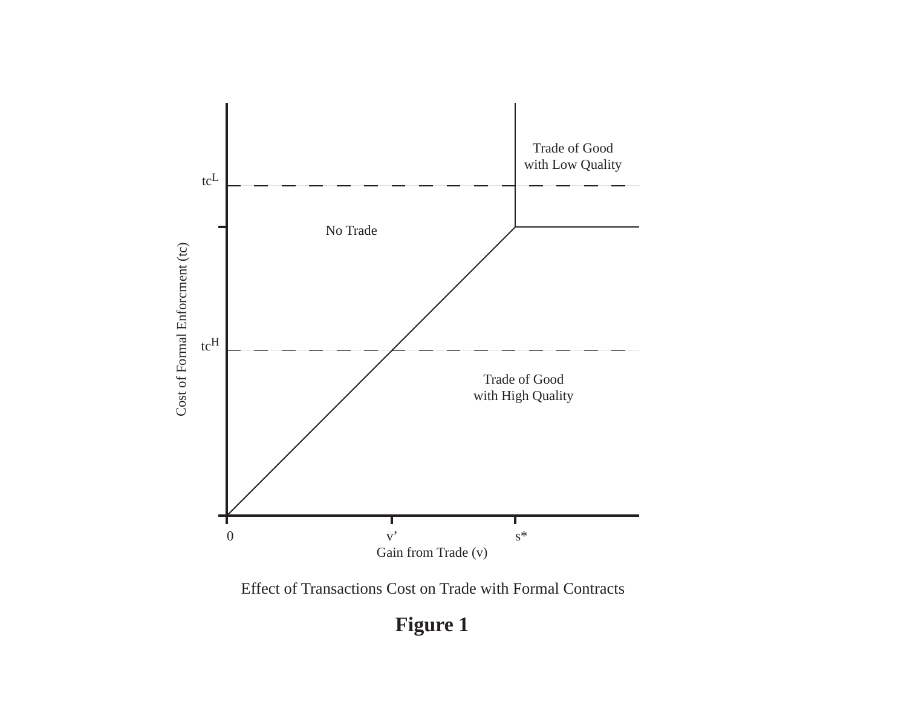

Effect of Transactions Cost on Trade with Formal Contracts

# **Figure 1**